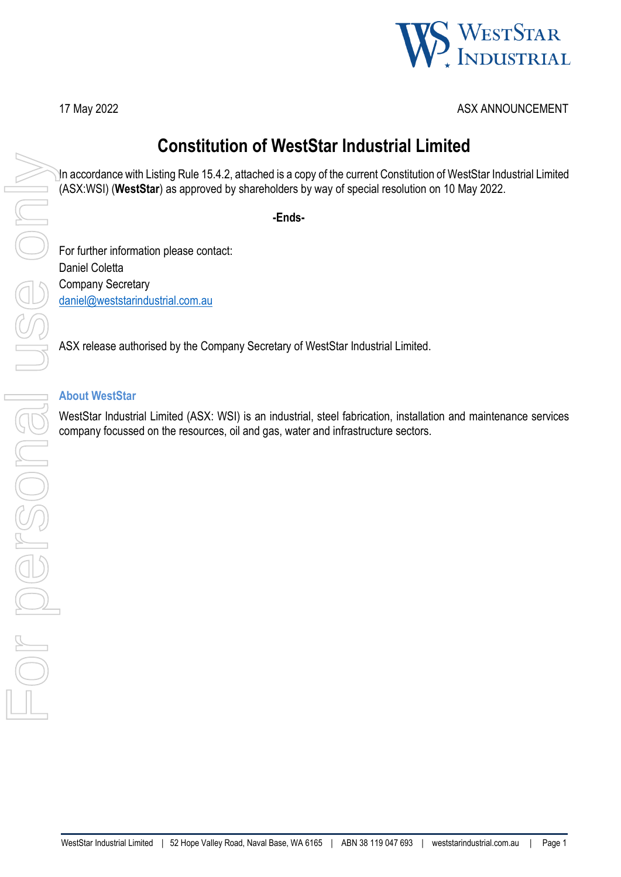

## 17 May 2022 ASX ANNOUNCEMENT

## **Constitution of WestStar Industrial Limited**

In accordance with Listing Rule 15.4.2, attached is a copy of the current Constitution of WestStar Industrial Limited (ASX:WSI) (**WestStar**) as approved by shareholders by way of special resolution on 10 May 2022.

**-Ends-**

For further information please contact: Daniel Coletta Company Secretary [daniel@weststarindustrial.com.au](mailto:daniel@weststarindustrial.com.au)

ASX release authorised by the Company Secretary of WestStar Industrial Limited.

## **About WestStar**

WestStar Industrial Limited (ASX: WSI) is an industrial, steel fabrication, installation and maintenance services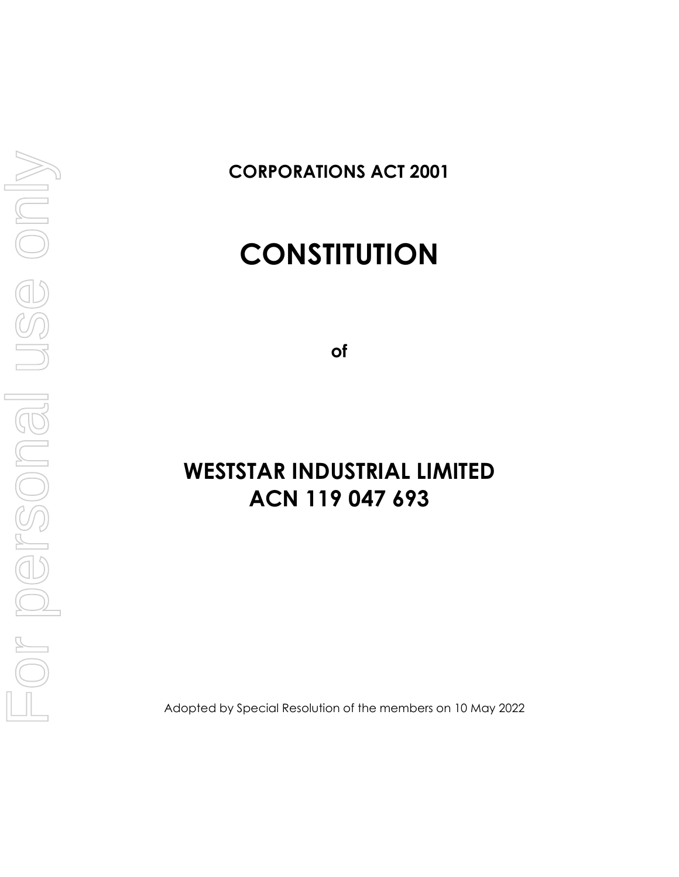**CORPORATIONS ACT 2001**

# **CONSTITUTION**

**of**

## **WESTSTAR INDUSTRIAL LIMITED ACN 119 047 693**

Adopted by Special Resolution of the members on 10 May 2022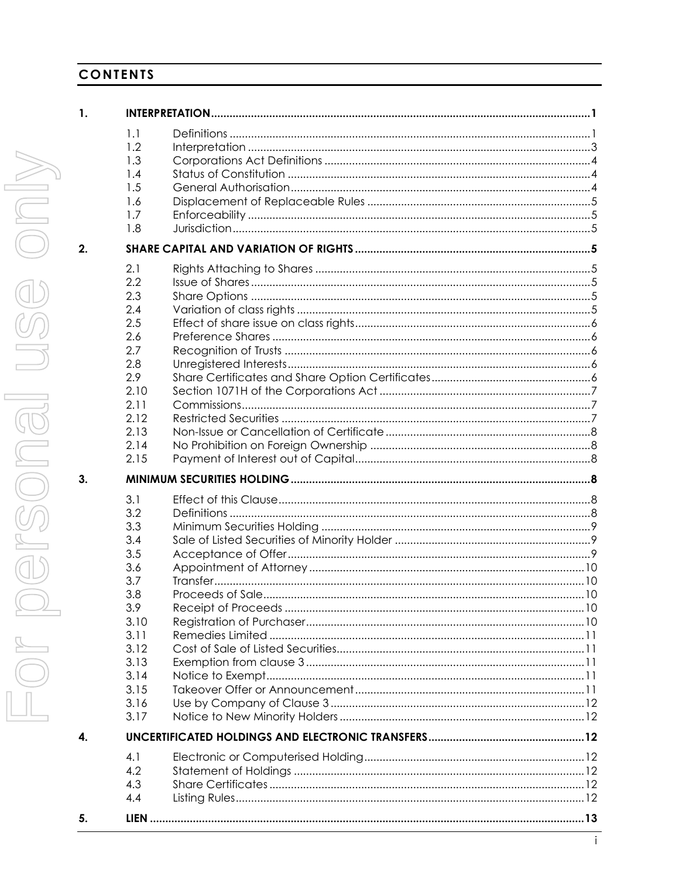## **CONTENTS**

5.

| 1. |      |  |
|----|------|--|
|    | 1.1  |  |
|    | 1.2  |  |
|    | 1.3  |  |
|    | 1.4  |  |
|    | 1.5  |  |
|    | 1.6  |  |
|    | 1.7  |  |
|    | 1.8  |  |
| 2. |      |  |
|    | 2.1  |  |
|    | 2.2  |  |
|    | 2.3  |  |
|    | 2.4  |  |
|    | 2.5  |  |
|    | 2.6  |  |
|    | 2.7  |  |
|    | 2.8  |  |
|    | 2.9  |  |
|    | 2.10 |  |
|    | 2.11 |  |
|    | 2.12 |  |
|    | 2.13 |  |
|    | 2.14 |  |
|    | 2.15 |  |
| 3. |      |  |
|    | 3.1  |  |
|    | 3.2  |  |
|    | 3.3  |  |
|    | 3.4  |  |
|    | 3.5  |  |
|    | 3.6  |  |
|    | 3.7  |  |
|    | 3.8  |  |
|    | 3.9  |  |
|    | 3.10 |  |
|    | 3.11 |  |
|    | 3.12 |  |
|    | 3.13 |  |
|    | 3.14 |  |
|    | 3.15 |  |
|    | 3.16 |  |
|    | 3.17 |  |
| 4. |      |  |
|    | 4.1  |  |
|    | 4.2  |  |
|    | 4.3  |  |
|    | 4.4  |  |

## $\mathbf{i}$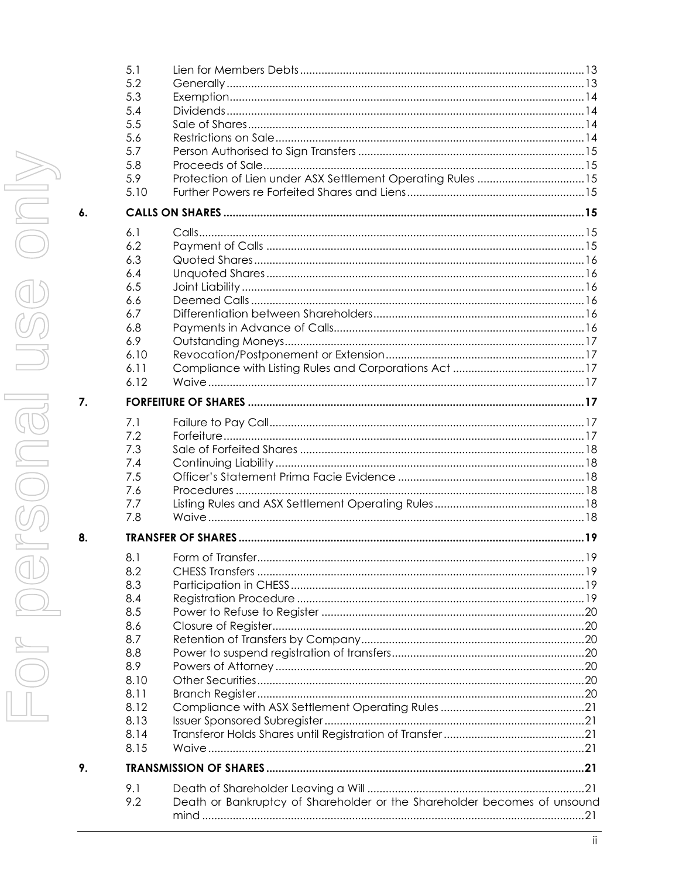|    | 5.1        |                                                            |  |
|----|------------|------------------------------------------------------------|--|
|    | 5.2        |                                                            |  |
|    | 5.3        |                                                            |  |
|    | 5.4        |                                                            |  |
|    | 5.5        |                                                            |  |
|    | 5.6        |                                                            |  |
|    | 5.7        |                                                            |  |
|    | 5.8        |                                                            |  |
|    | 5.9        | Protection of Lien under ASX Settlement Operating Rules 15 |  |
|    | 5.10       |                                                            |  |
| 6. |            |                                                            |  |
|    | 6.1        |                                                            |  |
|    | 6.2        |                                                            |  |
|    | 6.3        |                                                            |  |
|    | 6.4        |                                                            |  |
|    | 6.5        |                                                            |  |
|    | 6.6        |                                                            |  |
|    | 6.7        |                                                            |  |
|    | 6.8        |                                                            |  |
|    | 6.9        |                                                            |  |
|    | 6.10       |                                                            |  |
|    | 6.11       |                                                            |  |
|    | 6.12       |                                                            |  |
| 7. |            |                                                            |  |
|    |            |                                                            |  |
|    | 7.1<br>7.2 |                                                            |  |
|    |            |                                                            |  |
|    | 7.3        |                                                            |  |
|    | 7.4        |                                                            |  |
|    | 7.5        |                                                            |  |
|    | 7.6        |                                                            |  |
|    | 7.7        |                                                            |  |
|    | 7.8        |                                                            |  |
| 8. |            |                                                            |  |
|    | 8.1        |                                                            |  |
|    | 8.2        |                                                            |  |
|    | 8.3        |                                                            |  |
|    | 8.4        |                                                            |  |
|    | 8.5        |                                                            |  |
|    | 8.6        |                                                            |  |
|    | 8.7        |                                                            |  |
|    | 8.8        |                                                            |  |
|    | 8.9        |                                                            |  |
|    | 8.10       |                                                            |  |
|    | 8.11       |                                                            |  |
|    | 8.12       |                                                            |  |
|    | 8.13       |                                                            |  |
|    | 8.14       |                                                            |  |
|    | 8.15       |                                                            |  |
| 9. |            |                                                            |  |
|    | 9.1        |                                                            |  |
|    |            |                                                            |  |

9.2

 $\epsilon$  and  $\epsilon$  and  $\epsilon$ 

 $\ddot{\mathbf{i}}$ 

Death or Bankruptcy of Shareholder or the Shareholder becomes of unsound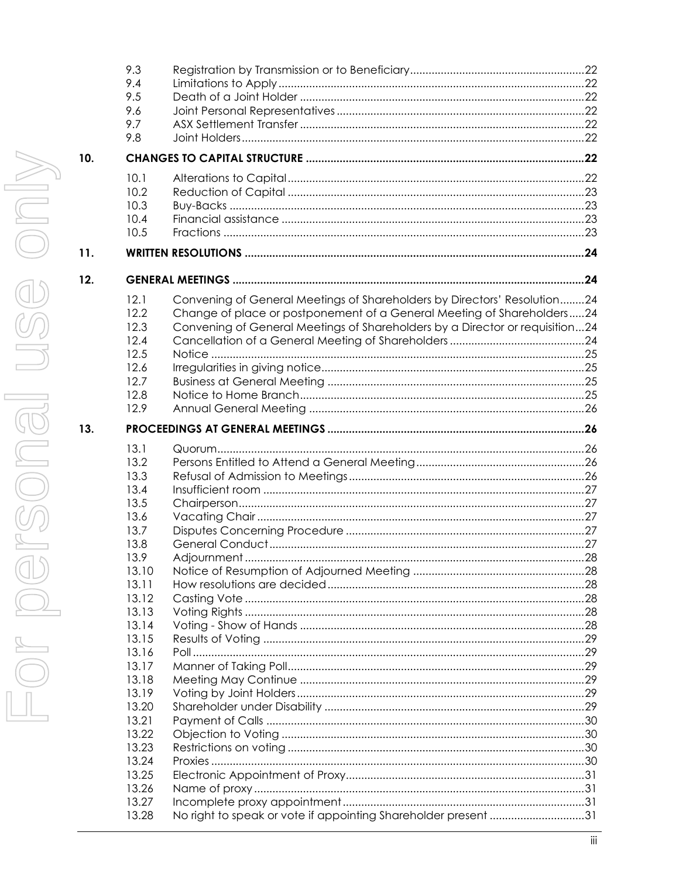|     | 9.3   |                                                                              |  |
|-----|-------|------------------------------------------------------------------------------|--|
|     | 9.4   |                                                                              |  |
|     | 9.5   |                                                                              |  |
|     | 9.6   |                                                                              |  |
|     | 9.7   |                                                                              |  |
|     | 9.8   |                                                                              |  |
| 10. |       |                                                                              |  |
|     | 10.1  |                                                                              |  |
|     | 10.2  |                                                                              |  |
|     | 10.3  |                                                                              |  |
|     | 10.4  |                                                                              |  |
|     | 10.5  |                                                                              |  |
| 11. |       |                                                                              |  |
| 12. |       |                                                                              |  |
|     | 12.1  | Convening of General Meetings of Shareholders by Directors' Resolution24     |  |
|     | 12.2  | Change of place or postponement of a General Meeting of Shareholders24       |  |
|     | 12.3  | Convening of General Meetings of Shareholders by a Director or requisition24 |  |
|     | 12.4  |                                                                              |  |
|     | 12.5  |                                                                              |  |
|     | 12.6  |                                                                              |  |
|     | 12.7  |                                                                              |  |
|     | 12.8  |                                                                              |  |
|     | 12.9  |                                                                              |  |
| 13. |       |                                                                              |  |
|     | 13.1  |                                                                              |  |
|     | 13.2  |                                                                              |  |
|     | 13.3  |                                                                              |  |
|     | 13.4  |                                                                              |  |
|     | 13.5  |                                                                              |  |
|     | 13.6  |                                                                              |  |
|     | 13.7  |                                                                              |  |
|     | 13.8  |                                                                              |  |
|     | 13.9  |                                                                              |  |
|     | 13.10 |                                                                              |  |
|     | 13.11 |                                                                              |  |
|     | 13.12 |                                                                              |  |
|     | 13.13 |                                                                              |  |
|     | 13.14 |                                                                              |  |
|     | 13.15 |                                                                              |  |
|     | 13.16 |                                                                              |  |
|     | 13.17 |                                                                              |  |
|     | 13.18 |                                                                              |  |
|     | 13.19 |                                                                              |  |
|     | 13.20 |                                                                              |  |
|     | 13.21 |                                                                              |  |
|     | 13.22 |                                                                              |  |
|     | 13.23 |                                                                              |  |
|     | 13.24 |                                                                              |  |
|     | 13.25 |                                                                              |  |
|     | 13.26 |                                                                              |  |
|     | 13.27 |                                                                              |  |
|     | 13.28 | No right to speak or vote if appointing Shareholder present 31               |  |
|     |       |                                                                              |  |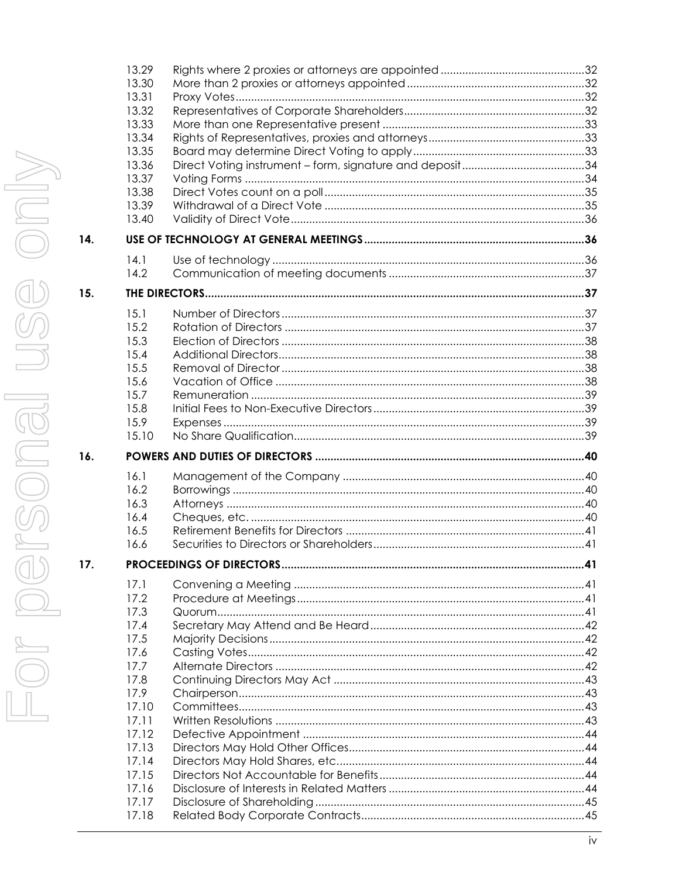|     | 13.29<br>13.30<br>13.31<br>13.32<br>13.33<br>13.34<br>13.35<br>13.36<br>13.37<br>13.38<br>13.39<br>13.40                                     |  |
|-----|----------------------------------------------------------------------------------------------------------------------------------------------|--|
| 14. |                                                                                                                                              |  |
|     | 14.1<br>14.2                                                                                                                                 |  |
| 15. |                                                                                                                                              |  |
| 16. | 15.1<br>15.2<br>15.3<br>15.4<br>15.5<br>15.6<br>15.7<br>15.8<br>15.9<br>15.10                                                                |  |
|     |                                                                                                                                              |  |
|     |                                                                                                                                              |  |
|     | 16.1<br>16.2<br>16.3<br>16.4<br>16.5<br>16.6                                                                                                 |  |
| 17. |                                                                                                                                              |  |
|     | 17.1<br>17.2<br>17.3<br>17.4<br>17.5<br>17.6<br>17.7<br>17.8<br>17.9<br>17.10<br>17.11<br>17.12<br>17.13<br>17.14<br>17.15<br>17.16<br>17.17 |  |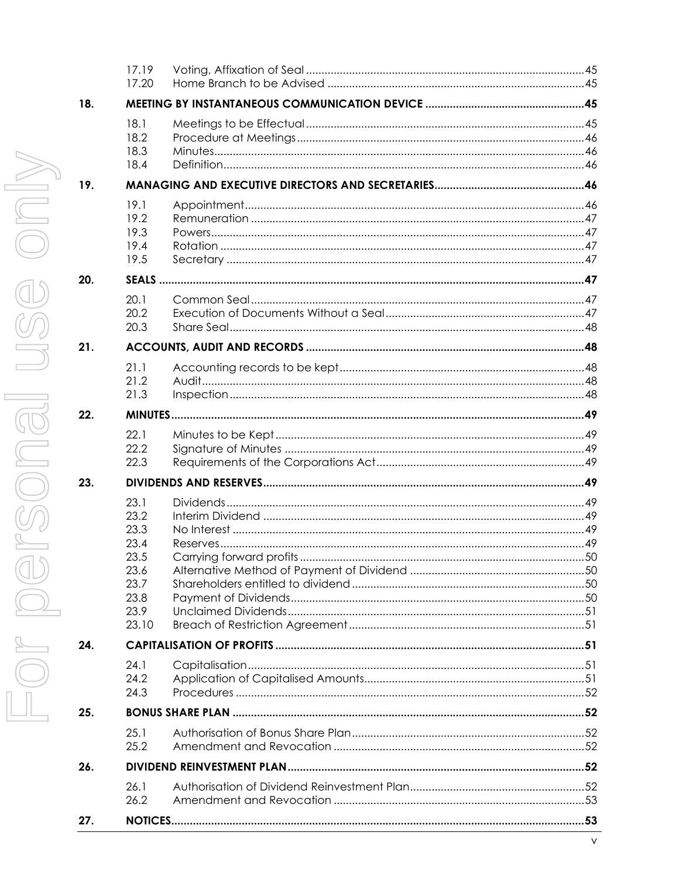|     | 17.19<br>17.20                                                                |  |
|-----|-------------------------------------------------------------------------------|--|
| 18. |                                                                               |  |
|     | 18.1<br>18.2<br>18.3<br>18.4                                                  |  |
| 19. |                                                                               |  |
|     | 19.1<br>19.2<br>19.3<br>19.4<br>19.5                                          |  |
| 20. |                                                                               |  |
|     | 20.1<br>20.2<br>20.3                                                          |  |
| 21. |                                                                               |  |
|     | 21.1<br>21.2<br>21.3                                                          |  |
| 22. |                                                                               |  |
|     | 22.1<br>22.2<br>22.3                                                          |  |
| 23. |                                                                               |  |
|     | 23.1<br>23.2<br>23.3<br>23.4<br>23.5<br>23.6<br>23.7<br>23.8<br>23.9<br>23.10 |  |
| 24. |                                                                               |  |
|     | 24.1<br>24.2<br>24.3                                                          |  |
| 25. |                                                                               |  |
|     | 25.1<br>25.2                                                                  |  |
| 26. |                                                                               |  |
|     | 26.1<br>26.2                                                                  |  |
| 27. |                                                                               |  |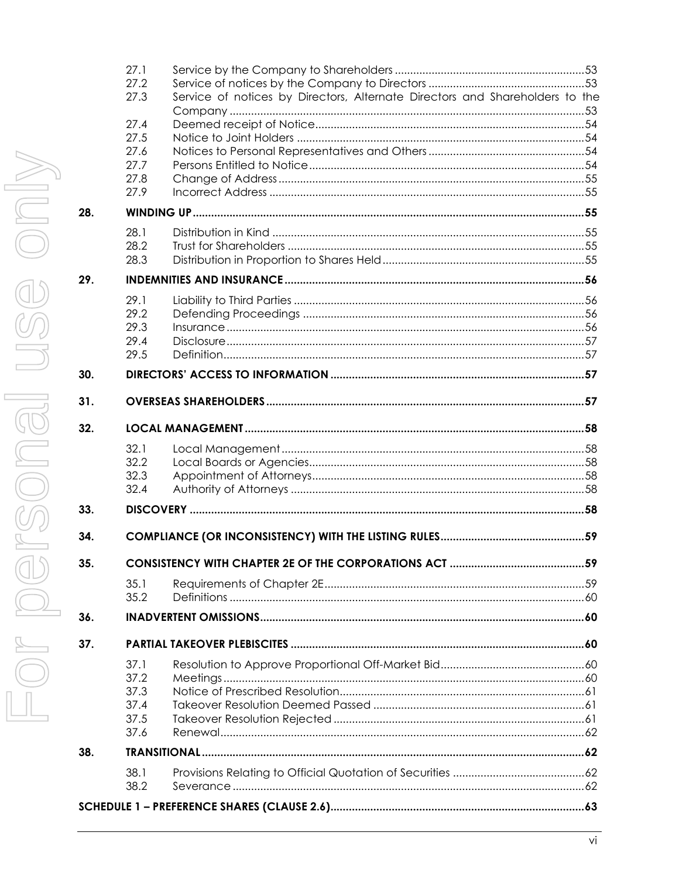|     | 27.1<br>27.2<br>27.3                         |
|-----|----------------------------------------------|
|     | 27.4<br>27.5<br>27.6<br>27.7<br>27.8<br>27.9 |
| 28. | <b>WIN</b>                                   |
|     | 28.1<br>28.2<br>28.3                         |
| 29. | <b>IND</b>                                   |
|     | 29.1<br>29.2                                 |
|     | 29.3<br>29.4                                 |
|     | 29.5                                         |
| 30. | <b>DIRE</b>                                  |
| 31. | <b>OVE</b>                                   |
| 32. | LOC                                          |
|     | 32.1<br>32.2<br>32.3<br>32.4                 |
| 33. | <b>DISC</b>                                  |
| 34. | <b>COI</b>                                   |
| 35. | COI                                          |
|     | 35.1<br>35.2                                 |
| 36. | <b>INA</b>                                   |
| 37. | <b>PAR</b>                                   |
|     | 37.1<br>37.2                                 |
|     | 37.3<br>37.4                                 |
|     | 37.5                                         |
|     | 37.6                                         |

|     | 27.1         |                                                                              |  |
|-----|--------------|------------------------------------------------------------------------------|--|
|     | 27.2<br>27.3 | Service of notices by Directors, Alternate Directors and Shareholders to the |  |
|     |              |                                                                              |  |
|     | 27.4         |                                                                              |  |
|     | 27.5         |                                                                              |  |
|     | 27.6<br>27.7 |                                                                              |  |
|     | 27.8         |                                                                              |  |
|     | 27.9         |                                                                              |  |
| 28. |              |                                                                              |  |
|     | 28.1         |                                                                              |  |
|     | 28.2         |                                                                              |  |
|     | 28.3         |                                                                              |  |
| 29. |              |                                                                              |  |
|     | 29.1         |                                                                              |  |
|     | 29.2         |                                                                              |  |
|     | 29.3         |                                                                              |  |
|     | 29.4<br>29.5 |                                                                              |  |
|     |              |                                                                              |  |
| 30. |              |                                                                              |  |
| 31. |              |                                                                              |  |
| 32. |              |                                                                              |  |
|     | 32.1         |                                                                              |  |
|     | 32.2         |                                                                              |  |
|     | 32.3         |                                                                              |  |
|     | 32.4         |                                                                              |  |
| 33. |              |                                                                              |  |
| 34. |              |                                                                              |  |
| 35. |              |                                                                              |  |
|     | 35.1         |                                                                              |  |
|     | 35.2         |                                                                              |  |
| 36. |              |                                                                              |  |
| 37. |              |                                                                              |  |
|     | 37.1         |                                                                              |  |
|     | 37.2         |                                                                              |  |
|     | 37.3         |                                                                              |  |
|     | 37.4         |                                                                              |  |
|     | 37.5<br>37.6 |                                                                              |  |
| 38. |              |                                                                              |  |
|     |              |                                                                              |  |
|     | 38.1<br>38.2 |                                                                              |  |
|     |              |                                                                              |  |
|     |              |                                                                              |  |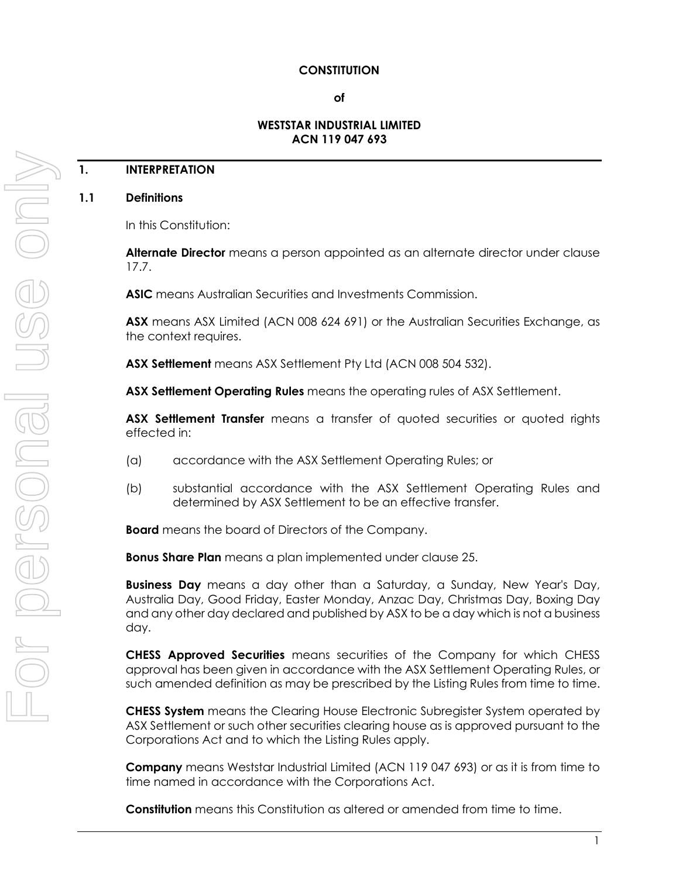#### **CONSTITUTION**

#### **of**

#### **WESTSTAR INDUSTRIAL LIMITED ACN 119 047 693**

#### **1. INTERPRETATION**

#### <span id="page-8-0"></span>**1.1 Definitions**

In this Constitution:

**Alternate Director** means a person appointed as an alternate director under clause [17.7.](#page-49-0)

**ASIC** means Australian Securities and Investments Commission.

**ASX** means ASX Limited (ACN 008 624 691) or the Australian Securities Exchange, as the context requires.

**ASX Settlement** means ASX Settlement Pty Ltd (ACN 008 504 532).

**ASX Settlement Operating Rules** means the operating rules of ASX Settlement.

**ASX Settlement Transfer** means a transfer of quoted securities or quoted rights effected in:

- (a) accordance with the ASX Settlement Operating Rules; or
- (b) substantial accordance with the ASX Settlement Operating Rules and determined by ASX Settlement to be an effective transfer.

**Board** means the board of Directors of the Company.

**Bonus Share Plan** means a plan implemented under clause [25.](#page-59-0)

**Business Day** means a day other than a Saturday, a Sunday, New Year's Day, Australia Day, Good Friday, Easter Monday, Anzac Day, Christmas Day, Boxing Day and any other day declared and published by ASX to be a day which is not a business day.

**CHESS Approved Securities** means securities of the Company for which CHESS approval has been given in accordance with the ASX Settlement Operating Rules, or such amended definition as may be prescribed by the Listing Rules from time to time.

**CHESS System** means the Clearing House Electronic Subregister System operated by ASX Settlement or such other securities clearing house as is approved pursuant to the Corporations Act and to which the Listing Rules apply.

**Company** means Weststar Industrial Limited (ACN 119 047 693) or as it is from time to time named in accordance with the Corporations Act.

**Constitution** means this Constitution as altered or amended from time to time.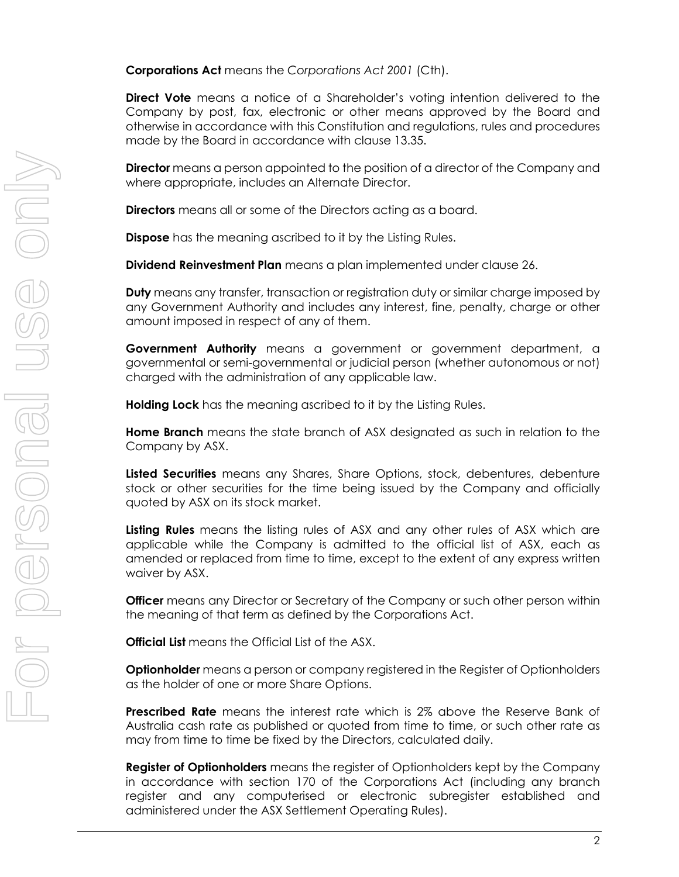**Corporations Act** means the *Corporations Act 2001* (Cth).

**Direct Vote** means a notice of a Shareholder's voting intention delivered to the Company by post, fax, electronic or other means approved by the Board and otherwise in accordance with this Constitution and regulations, rules and procedures made by the Board in accordance with clause [13.35.](#page-40-0)

**Director** means a person appointed to the position of a director of the Company and where appropriate, includes an Alternate Director.

**Directors** means all or some of the Directors acting as a board.

**Dispose** has the meaning ascribed to it by the Listing Rules.

**Dividend Reinvestment Plan** means a plan implemented under clause [26.](#page-59-1)

**Duty** means any transfer, transaction or registration duty or similar charge imposed by any Government Authority and includes any interest, fine, penalty, charge or other amount imposed in respect of any of them.

**Government Authority** means a government or government department, a governmental or semi-governmental or judicial person (whether autonomous or not) charged with the administration of any applicable law.

**Holding Lock** has the meaning ascribed to it by the Listing Rules.

**Home Branch** means the state branch of ASX designated as such in relation to the Company by ASX.

Listed Securities means any Shares, Share Options, stock, debentures, debenture stock or other securities for the time being issued by the Company and officially quoted by ASX on its stock market.

**Listing Rules** means the listing rules of ASX and any other rules of ASX which are applicable while the Company is admitted to the official list of ASX, each as amended or replaced from time to time, except to the extent of any express written waiver by ASX.

**Officer** means any Director or Secretary of the Company or such other person within the meaning of that term as defined by the Corporations Act.

**Official List** means the Official List of the ASX.

**Optionholder** means a person or company registered in the Register of Optionholders as the holder of one or more Share Options.

**Prescribed Rate** means the interest rate which is 2% above the Reserve Bank of Australia cash rate as published or quoted from time to time, or such other rate as may from time to time be fixed by the Directors, calculated daily.

**Register of Optionholders** means the register of Optionholders kept by the Company in accordance with section 170 of the Corporations Act (including any branch register and any computerised or electronic subregister established and administered under the ASX Settlement Operating Rules).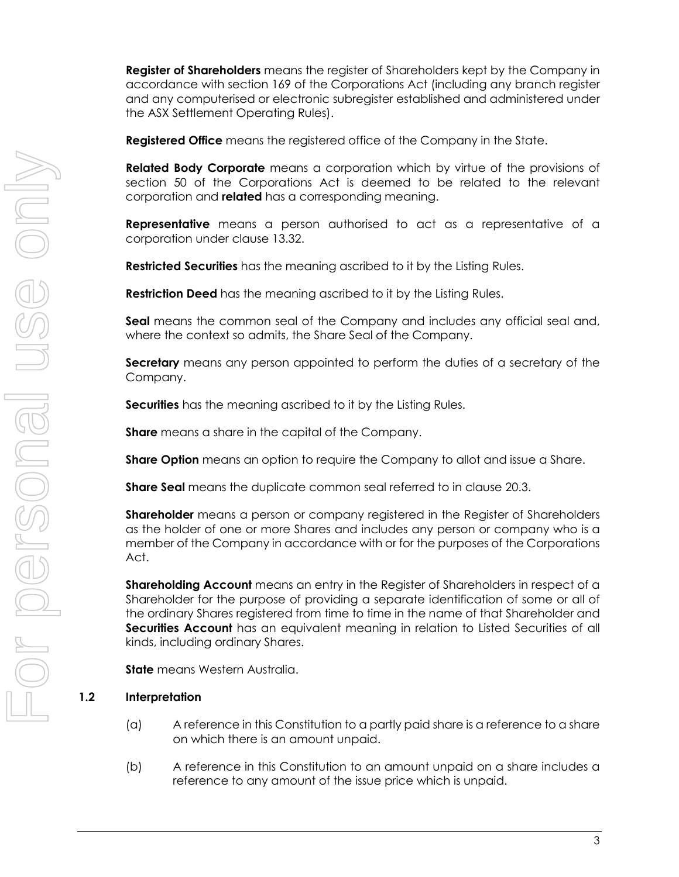**Register of Shareholders** means the register of Shareholders kept by the Company in accordance with section 169 of the Corporations Act (including any branch register and any computerised or electronic subregister established and administered under the ASX Settlement Operating Rules).

**Registered Office** means the registered office of the Company in the State.

**Related Body Corporate** means a corporation which by virtue of the provisions of section 50 of the Corporations Act is deemed to be related to the relevant corporation and **related** has a corresponding meaning.

**Representative** means a person authorised to act as a representative of a corporation under clause [13.32.](#page-39-0)

**Restricted Securities** has the meaning ascribed to it by the Listing Rules.

**Restriction Deed** has the meaning ascribed to it by the Listing Rules.

**Seal** means the common seal of the Company and includes any official seal and, where the context so admits, the Share Seal of the Company.

**Secretary** means any person appointed to perform the duties of a secretary of the Company.

**Securities** has the meaning ascribed to it by the Listing Rules.

**Share** means a share in the capital of the Company.

**Share Option** means an option to require the Company to allot and issue a Share.

**Share Seal** means the duplicate common seal referred to in clause [20.3.](#page-55-0)

**Shareholder** means a person or company registered in the Register of Shareholders as the holder of one or more Shares and includes any person or company who is a member of the Company in accordance with or for the purposes of the Corporations Act.

**Shareholding Account** means an entry in the Register of Shareholders in respect of a Shareholder for the purpose of providing a separate identification of some or all of the ordinary Shares registered from time to time in the name of that Shareholder and **Securities Account** has an equivalent meaning in relation to Listed Securities of all kinds, including ordinary Shares.

**State** means Western Australia.

## **1.2 Interpretation**

- (a) A reference in this Constitution to a partly paid share is a reference to a share on which there is an amount unpaid.
- (b) A reference in this Constitution to an amount unpaid on a share includes a reference to any amount of the issue price which is unpaid.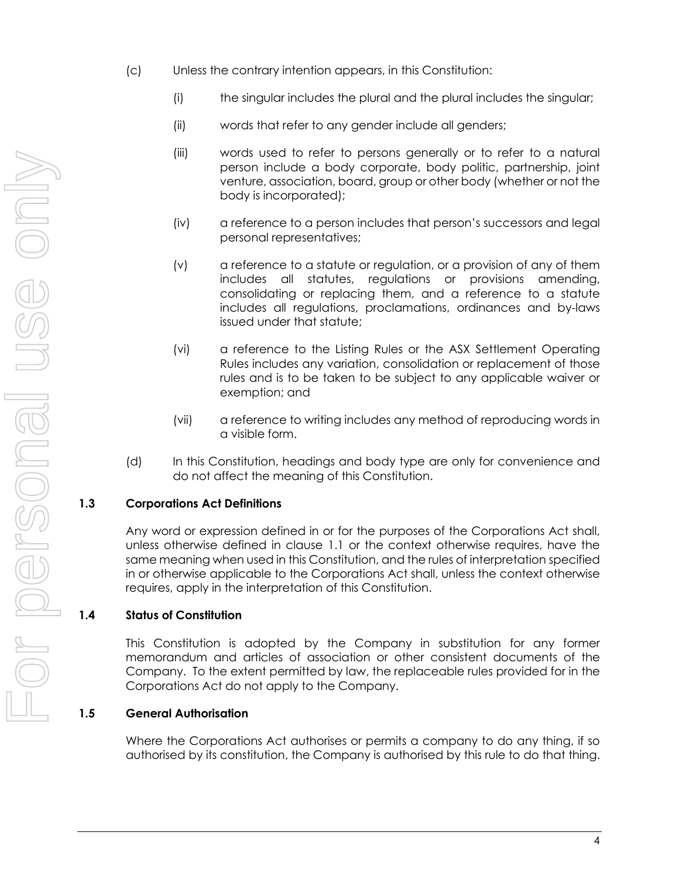- (c) Unless the contrary intention appears, in this Constitution:
	- (i) the singular includes the plural and the plural includes the singular;
	- (ii) words that refer to any gender include all genders;
	- (iii) words used to refer to persons generally or to refer to a natural person include a body corporate, body politic, partnership, joint venture, association, board, group or other body (whether or not the body is incorporated);
	- (iv) a reference to a person includes that person's successors and legal personal representatives;
	- (v) a reference to a statute or regulation, or a provision of any of them includes all statutes, regulations or provisions amending, consolidating or replacing them, and a reference to a statute includes all regulations, proclamations, ordinances and by-laws issued under that statute;
	- (vi) a reference to the Listing Rules or the ASX Settlement Operating Rules includes any variation, consolidation or replacement of those rules and is to be taken to be subject to any applicable waiver or exemption; and
	- (vii) a reference to writing includes any method of reproducing words in a visible form.
- (d) In this Constitution, headings and body type are only for convenience and do not affect the meaning of this Constitution.

## **1.3 Corporations Act Definitions**

Any word or expression defined in or for the purposes of the Corporations Act shall, unless otherwise defined in clause [1.1](#page-8-0) or the context otherwise requires, have the same meaning when used in this Constitution, and the rules of interpretation specified in or otherwise applicable to the Corporations Act shall, unless the context otherwise requires, apply in the interpretation of this Constitution.

## **1.4 Status of Constitution**

This Constitution is adopted by the Company in substitution for any former memorandum and articles of association or other consistent documents of the Company. To the extent permitted by law, the replaceable rules provided for in the Corporations Act do not apply to the Company.

## **1.5 General Authorisation**

Where the Corporations Act authorises or permits a company to do any thing, if so authorised by its constitution, the Company is authorised by this rule to do that thing.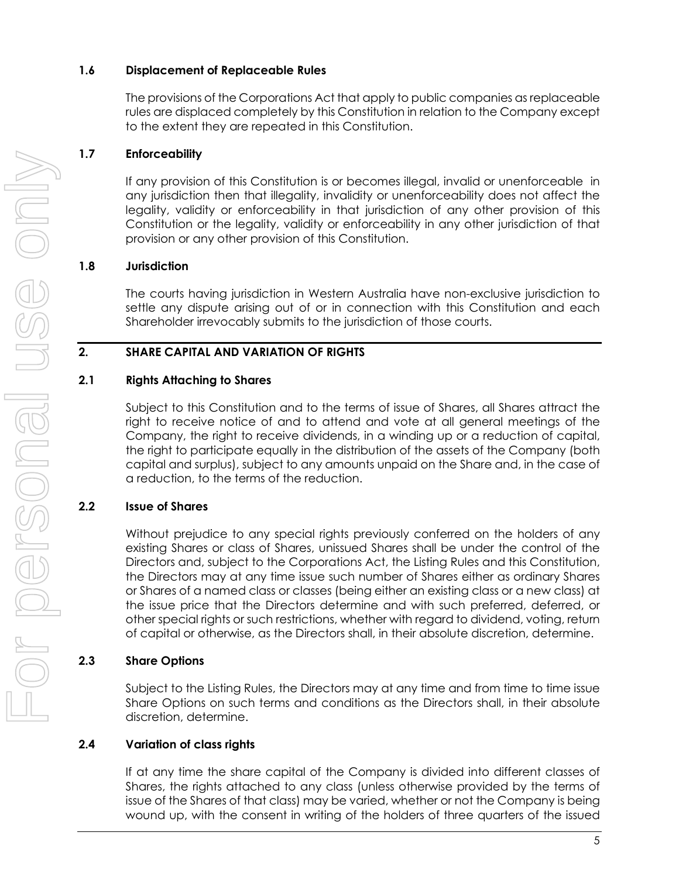## **1.6 Displacement of Replaceable Rules**

The provisions of the Corporations Act that apply to public companies as replaceable rules are displaced completely by this Constitution in relation to the Company except to the extent they are repeated in this Constitution.

## **1.7 Enforceability**

If any provision of this Constitution is or becomes illegal, invalid or unenforceable in any jurisdiction then that illegality, invalidity or unenforceability does not affect the legality, validity or enforceability in that jurisdiction of any other provision of this Constitution or the legality, validity or enforceability in any other jurisdiction of that provision or any other provision of this Constitution.

## **1.8 Jurisdiction**

The courts having jurisdiction in Western Australia have non-exclusive jurisdiction to settle any dispute arising out of or in connection with this Constitution and each Shareholder irrevocably submits to the jurisdiction of those courts.

## <span id="page-12-1"></span>**2. SHARE CAPITAL AND VARIATION OF RIGHTS**

## **2.1 Rights Attaching to Shares**

Subject to this Constitution and to the terms of issue of Shares, all Shares attract the right to receive notice of and to attend and vote at all general meetings of the Company, the right to receive dividends, in a winding up or a reduction of capital, the right to participate equally in the distribution of the assets of the Company (both capital and surplus), subject to any amounts unpaid on the Share and, in the case of a reduction, to the terms of the reduction.

## **2.2 Issue of Shares**

Without prejudice to any special rights previously conferred on the holders of any existing Shares or class of Shares, unissued Shares shall be under the control of the Directors and, subject to the Corporations Act, the Listing Rules and this Constitution, the Directors may at any time issue such number of Shares either as ordinary Shares or Shares of a named class or classes (being either an existing class or a new class) at the issue price that the Directors determine and with such preferred, deferred, or other special rights or such restrictions, whether with regard to dividend, voting, return of capital or otherwise, as the Directors shall, in their absolute discretion, determine.

## **2.3 Share Options**

Subject to the Listing Rules, the Directors may at any time and from time to time issue Share Options on such terms and conditions as the Directors shall, in their absolute discretion, determine.

## <span id="page-12-0"></span>**2.4 Variation of class rights**

If at any time the share capital of the Company is divided into different classes of Shares, the rights attached to any class (unless otherwise provided by the terms of issue of the Shares of that class) may be varied, whether or not the Company is being wound up, with the consent in writing of the holders of three quarters of the issued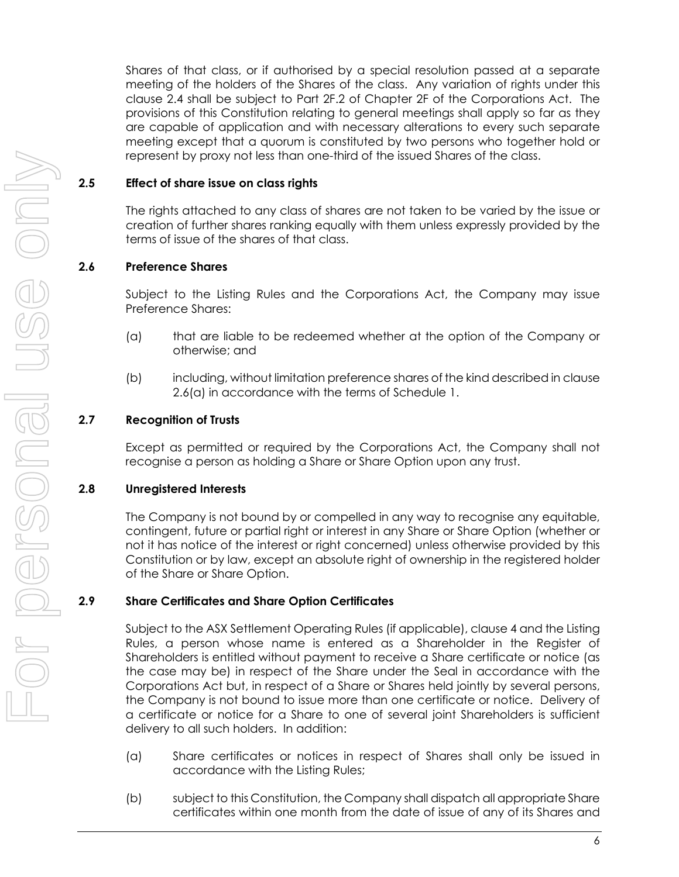Shares of that class, or if authorised by a special resolution passed at a separate meeting of the holders of the Shares of the class. Any variation of rights under this clause [2.4](#page-12-0) shall be subject to Part 2F.2 of Chapter 2F of the Corporations Act. The provisions of this Constitution relating to general meetings shall apply so far as they are capable of application and with necessary alterations to every such separate meeting except that a quorum is constituted by two persons who together hold or represent by proxy not less than one-third of the issued Shares of the class.

#### **2.5 Effect of share issue on class rights**

The rights attached to any class of shares are not taken to be varied by the issue or creation of further shares ranking equally with them unless expressly provided by the terms of issue of the shares of that class.

### **2.6 Preference Shares**

Subject to the Listing Rules and the Corporations Act, the Company may issue Preference Shares:

- <span id="page-13-0"></span>(a) that are liable to be redeemed whether at the option of the Company or otherwise; and
- (b) including, without limitation preference shares of the kind described in clause [2.6\(a\)](#page-13-0) in accordance with the terms of [Schedule](#page-70-0) 1.

#### **2.7 Recognition of Trusts**

Except as permitted or required by the Corporations Act, the Company shall not recognise a person as holding a Share or Share Option upon any trust.

#### **2.8 Unregistered Interests**

The Company is not bound by or compelled in any way to recognise any equitable, contingent, future or partial right or interest in any Share or Share Option (whether or not it has notice of the interest or right concerned) unless otherwise provided by this Constitution or by law, except an absolute right of ownership in the registered holder of the Share or Share Option.

#### <span id="page-13-1"></span>**2.9 Share Certificates and Share Option Certificates**

Subject to the ASX Settlement Operating Rules (if applicable), claus[e 4](#page-19-0) and the Listing Rules, a person whose name is entered as a Shareholder in the Register of Shareholders is entitled without payment to receive a Share certificate or notice (as the case may be) in respect of the Share under the Seal in accordance with the Corporations Act but, in respect of a Share or Shares held jointly by several persons, the Company is not bound to issue more than one certificate or notice. Delivery of a certificate or notice for a Share to one of several joint Shareholders is sufficient delivery to all such holders. In addition:

- (a) Share certificates or notices in respect of Shares shall only be issued in accordance with the Listing Rules;
- (b) subject to this Constitution, the Company shall dispatch all appropriate Share certificates within one month from the date of issue of any of its Shares and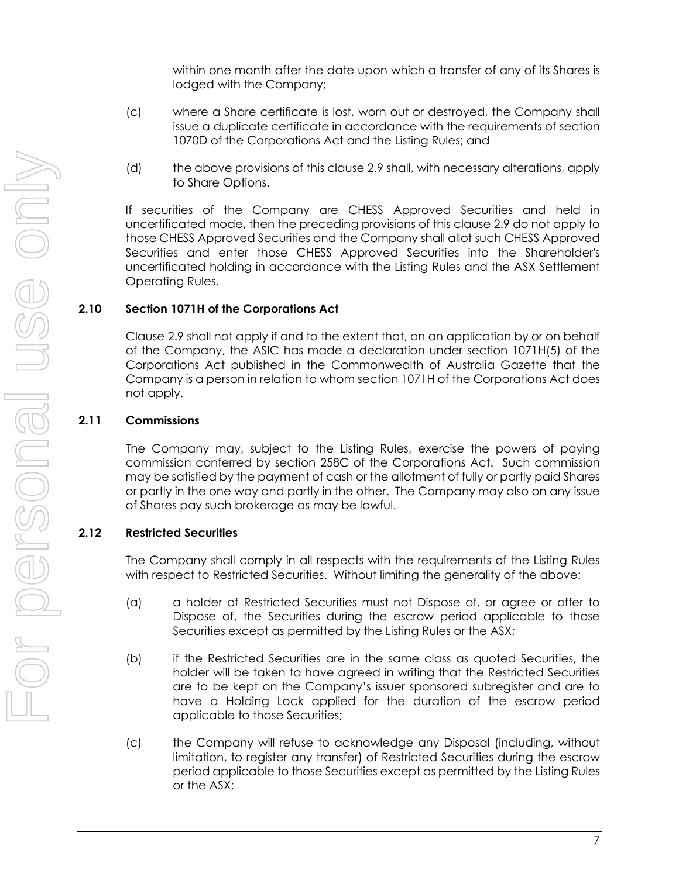within one month after the date upon which a transfer of any of its Shares is lodged with the Company;

- (c) where a Share certificate is lost, worn out or destroyed, the Company shall issue a duplicate certificate in accordance with the requirements of section 1070D of the Corporations Act and the Listing Rules; and
- (d) the above provisions of this clause [2.9](#page-13-1) shall, with necessary alterations, apply to Share Options.

If securities of the Company are CHESS Approved Securities and held in uncertificated mode, then the preceding provisions of this clause [2.9](#page-13-1) do not apply to those CHESS Approved Securities and the Company shall allot such CHESS Approved Securities and enter those CHESS Approved Securities into the Shareholder's uncertificated holding in accordance with the Listing Rules and the ASX Settlement Operating Rules.

### **2.10 Section 1071H of the Corporations Act**

Clause [2.9](#page-13-1) shall not apply if and to the extent that, on an application by or on behalf of the Company, the ASIC has made a declaration under section 1071H(5) of the Corporations Act published in the Commonwealth of Australia Gazette that the Company is a person in relation to whom section 1071H of the Corporations Act does not apply.

#### **2.11 Commissions**

The Company may, subject to the Listing Rules, exercise the powers of paying commission conferred by section 258C of the Corporations Act. Such commission may be satisfied by the payment of cash or the allotment of fully or partly paid Shares or partly in the one way and partly in the other. The Company may also on any issue of Shares pay such brokerage as may be lawful.

## **2.12 Restricted Securities**

The Company shall comply in all respects with the requirements of the Listing Rules with respect to Restricted Securities. Without limiting the generality of the above:

- (a) a holder of Restricted Securities must not Dispose of, or agree or offer to Dispose of, the Securities during the escrow period applicable to those Securities except as permitted by the Listing Rules or the ASX;
- (b) if the Restricted Securities are in the same class as quoted Securities, the holder will be taken to have agreed in writing that the Restricted Securities are to be kept on the Company's issuer sponsored subregister and are to have a Holding Lock applied for the duration of the escrow period applicable to those Securities;
- (c) the Company will refuse to acknowledge any Disposal (including, without limitation, to register any transfer) of Restricted Securities during the escrow period applicable to those Securities except as permitted by the Listing Rules or the ASX;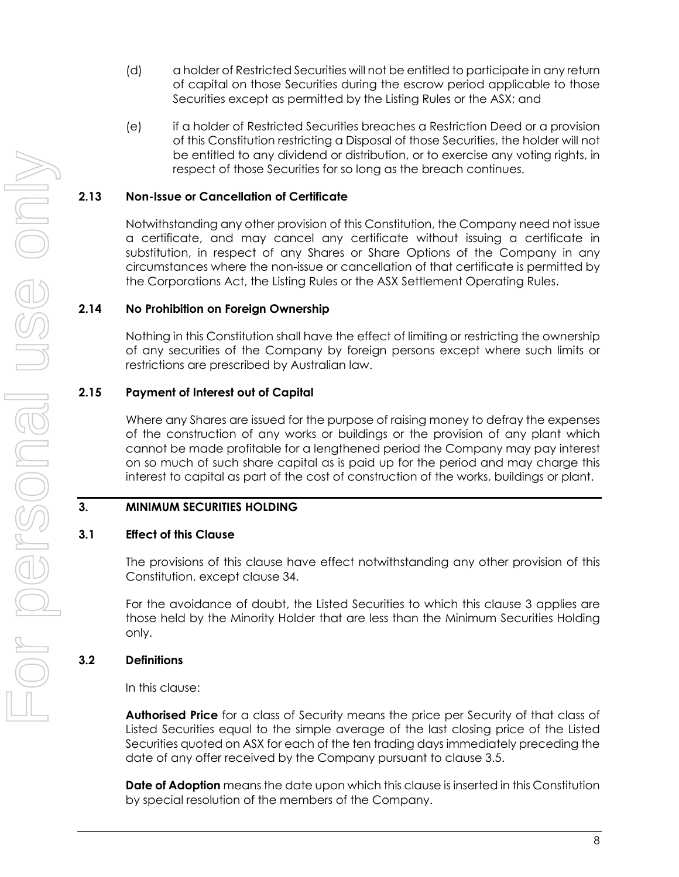- (d) a holder of Restricted Securities will not be entitled to participate in any return of capital on those Securities during the escrow period applicable to those Securities except as permitted by the Listing Rules or the ASX; and
- (e) if a holder of Restricted Securities breaches a Restriction Deed or a provision of this Constitution restricting a Disposal of those Securities, the holder will not be entitled to any dividend or distribution, or to exercise any voting rights, in respect of those Securities for so long as the breach continues.

#### **2.13 Non-Issue or Cancellation of Certificate**

Notwithstanding any other provision of this Constitution, the Company need not issue a certificate, and may cancel any certificate without issuing a certificate in substitution, in respect of any Shares or Share Options of the Company in any circumstances where the non-issue or cancellation of that certificate is permitted by the Corporations Act, the Listing Rules or the ASX Settlement Operating Rules.

#### **2.14 No Prohibition on Foreign Ownership**

Nothing in this Constitution shall have the effect of limiting or restricting the ownership of any securities of the Company by foreign persons except where such limits or restrictions are prescribed by Australian law.

### **2.15 Payment of Interest out of Capital**

Where any Shares are issued for the purpose of raising money to defray the expenses of the construction of any works or buildings or the provision of any plant which cannot be made profitable for a lengthened period the Company may pay interest on so much of such share capital as is paid up for the period and may charge this interest to capital as part of the cost of construction of the works, buildings or plant.

## <span id="page-15-0"></span>**3. MINIMUM SECURITIES HOLDING**

#### **3.1 Effect of this Clause**

The provisions of this clause have effect notwithstanding any other provision of this Constitution, except clause [34.](#page-66-0)

For the avoidance of doubt, the Listed Securities to which this clause [3](#page-15-0) applies are those held by the Minority Holder that are less than the Minimum Securities Holding only.

## **3.2 Definitions**

In this clause:

**Authorised Price** for a class of Security means the price per Security of that class of Listed Securities equal to the simple average of the last closing price of the Listed Securities quoted on ASX for each of the ten trading days immediately preceding the date of any offer received by the Company pursuant to clause 3.5.

**Date of Adoption** means the date upon which this clause is inserted in this Constitution by special resolution of the members of the Company.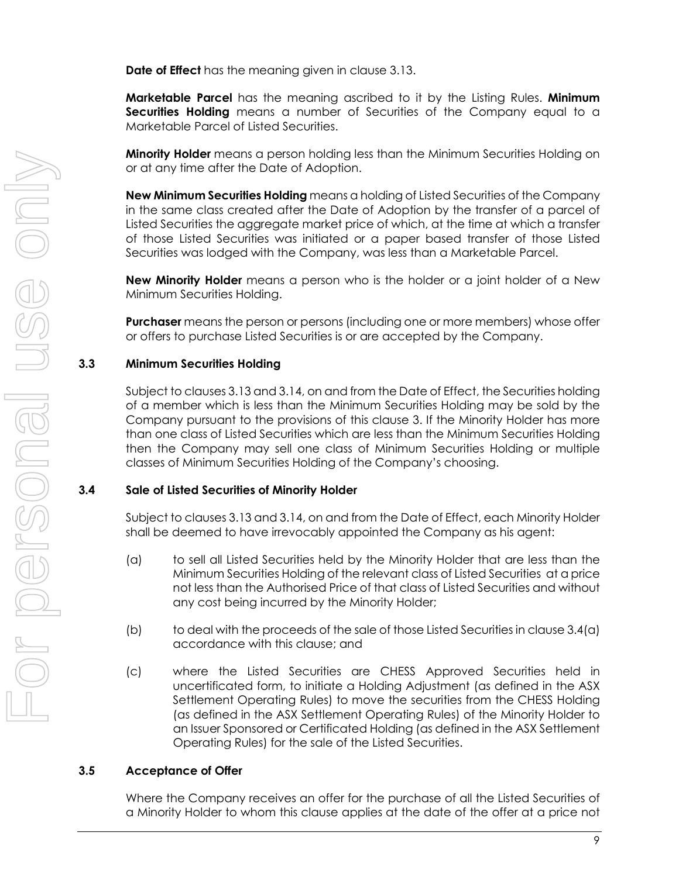**Date of Effect** has the meaning given in clause [3.13.](#page-18-0)

**Marketable Parcel** has the meaning ascribed to it by the Listing Rules. **Minimum Securities Holding** means a number of Securities of the Company equal to a Marketable Parcel of Listed Securities.

**Minority Holder** means a person holding less than the Minimum Securities Holding on or at any time after the Date of Adoption.

**New Minimum Securities Holding** means a holding of Listed Securities of the Company in the same class created after the Date of Adoption by the transfer of a parcel of Listed Securities the aggregate market price of which, at the time at which a transfer of those Listed Securities was initiated or a paper based transfer of those Listed Securities was lodged with the Company, was less than a Marketable Parcel.

**New Minority Holder** means a person who is the holder or a joint holder of a New Minimum Securities Holding.

**Purchaser** means the person or persons (including one or more members) whose offer or offers to purchase Listed Securities is or are accepted by the Company.

## **3.3 Minimum Securities Holding**

Subject to clauses [3.13](#page-18-0) and [3.14,](#page-18-1) on and from the Date of Effect, the Securities holding of a member which is less than the Minimum Securities Holding may be sold by the Company pursuant to the provisions of this clause [3.](#page-15-0) If the Minority Holder has more than one class of Listed Securities which are less than the Minimum Securities Holding then the Company may sell one class of Minimum Securities Holding or multiple classes of Minimum Securities Holding of the Company's choosing.

#### **3.4 Sale of Listed Securities of Minority Holder**

Subject to clause[s 3.13](#page-18-0) and [3.14,](#page-18-1) on and from the Date of Effect, each Minority Holder shall be deemed to have irrevocably appointed the Company as his agent:

- <span id="page-16-0"></span>(a) to sell all Listed Securities held by the Minority Holder that are less than the Minimum Securities Holding of the relevant class of Listed Securities at a price not less than the Authorised Price of that class of Listed Securities and without any cost being incurred by the Minority Holder;
- (b) to deal with the proceeds of the sale of those Listed Securities in claus[e 3.4\(a\)](#page-16-0) accordance with this clause; and
- (c) where the Listed Securities are CHESS Approved Securities held in uncertificated form, to initiate a Holding Adjustment (as defined in the ASX Settlement Operating Rules) to move the securities from the CHESS Holding (as defined in the ASX Settlement Operating Rules) of the Minority Holder to an Issuer Sponsored or Certificated Holding (as defined in the ASX Settlement Operating Rules) for the sale of the Listed Securities.

## **3.5 Acceptance of Offer**

Where the Company receives an offer for the purchase of all the Listed Securities of a Minority Holder to whom this clause applies at the date of the offer at a price not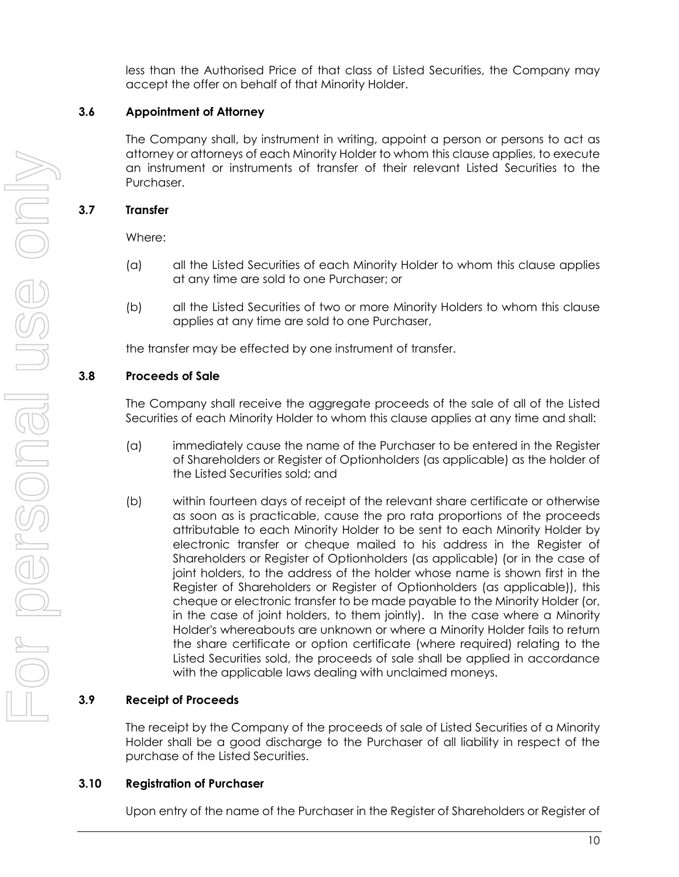less than the Authorised Price of that class of Listed Securities, the Company may accept the offer on behalf of that Minority Holder.

## **3.6 Appointment of Attorney**

The Company shall, by instrument in writing, appoint a person or persons to act as attorney or attorneys of each Minority Holder to whom this clause applies, to execute an instrument or instruments of transfer of their relevant Listed Securities to the Purchaser.

### **3.7 Transfer**

Where:

- (a) all the Listed Securities of each Minority Holder to whom this clause applies at any time are sold to one Purchaser; or
- (b) all the Listed Securities of two or more Minority Holders to whom this clause applies at any time are sold to one Purchaser,

the transfer may be effected by one instrument of transfer.

#### <span id="page-17-0"></span>**3.8 Proceeds of Sale**

The Company shall receive the aggregate proceeds of the sale of all of the Listed Securities of each Minority Holder to whom this clause applies at any time and shall:

- (a) immediately cause the name of the Purchaser to be entered in the Register of Shareholders or Register of Optionholders (as applicable) as the holder of the Listed Securities sold; and
- (b) within fourteen days of receipt of the relevant share certificate or otherwise as soon as is practicable, cause the pro rata proportions of the proceeds attributable to each Minority Holder to be sent to each Minority Holder by electronic transfer or cheque mailed to his address in the Register of Shareholders or Register of Optionholders (as applicable) (or in the case of joint holders, to the address of the holder whose name is shown first in the Register of Shareholders or Register of Optionholders (as applicable)), this cheque or electronic transfer to be made payable to the Minority Holder (or, in the case of joint holders, to them jointly). In the case where a Minority Holder's whereabouts are unknown or where a Minority Holder fails to return the share certificate or option certificate (where required) relating to the Listed Securities sold, the proceeds of sale shall be applied in accordance with the applicable laws dealing with unclaimed moneys.

## **3.9 Receipt of Proceeds**

The receipt by the Company of the proceeds of sale of Listed Securities of a Minority Holder shall be a good discharge to the Purchaser of all liability in respect of the purchase of the Listed Securities.

#### **3.10 Registration of Purchaser**

Upon entry of the name of the Purchaser in the Register of Shareholders or Register of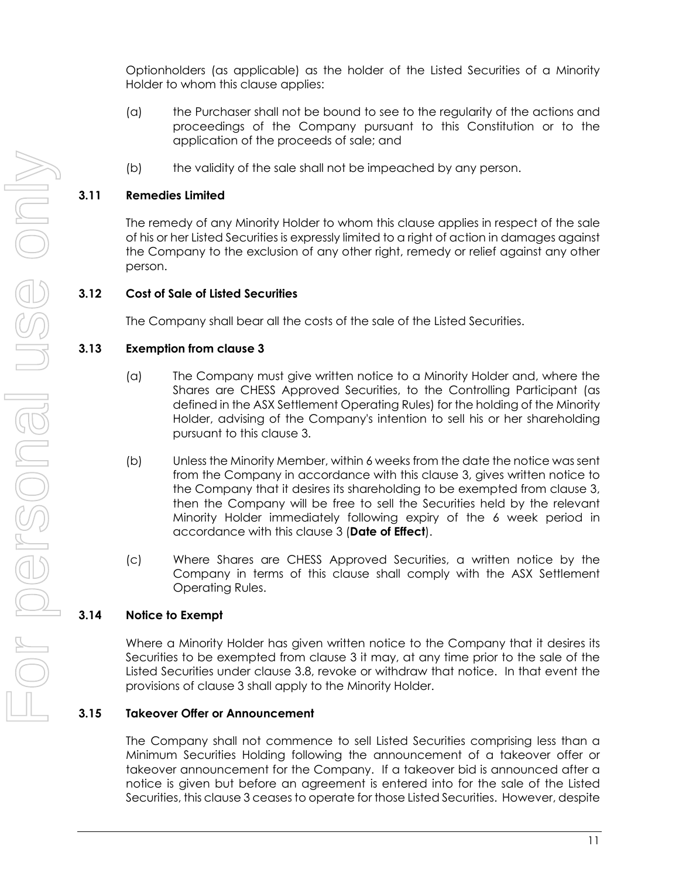Optionholders (as applicable) as the holder of the Listed Securities of a Minority Holder to whom this clause applies:

- (a) the Purchaser shall not be bound to see to the regularity of the actions and proceedings of the Company pursuant to this Constitution or to the application of the proceeds of sale; and
- (b) the validity of the sale shall not be impeached by any person.

#### **3.11 Remedies Limited**

The remedy of any Minority Holder to whom this clause applies in respect of the sale of his or her Listed Securities is expressly limited to a right of action in damages against the Company to the exclusion of any other right, remedy or relief against any other person.

#### **3.12 Cost of Sale of Listed Securities**

The Company shall bear all the costs of the sale of the Listed Securities.

#### <span id="page-18-0"></span>**3.13 Exemption from clause [3](#page-15-0)**

- (a) The Company must give written notice to a Minority Holder and, where the Shares are CHESS Approved Securities, to the Controlling Participant (as defined in the ASX Settlement Operating Rules) for the holding of the Minority Holder, advising of the Company's intention to sell his or her shareholding pursuant to this clause [3.](#page-15-0)
- (b) Unless the Minority Member, within 6 weeks from the date the notice was sent from the Company in accordance with this clause [3,](#page-15-0) gives written notice to the Company that it desires its shareholding to be exempted from clause [3,](#page-15-0) then the Company will be free to sell the Securities held by the relevant Minority Holder immediately following expiry of the 6 week period in accordance with this clause [3](#page-15-0) (**Date of Effect**).
- (c) Where Shares are CHESS Approved Securities, a written notice by the Company in terms of this clause shall comply with the ASX Settlement Operating Rules.

## <span id="page-18-1"></span>**3.14 Notice to Exempt**

Where a Minority Holder has given written notice to the Company that it desires its Securities to be exempted from clause [3](#page-15-0) it may, at any time prior to the sale of the Listed Securities under clause [3.8,](#page-17-0) revoke or withdraw that notice. In that event the provisions of clause [3](#page-15-0) shall apply to the Minority Holder.

## <span id="page-18-2"></span>**3.15 Takeover Offer or Announcement**

The Company shall not commence to sell Listed Securities comprising less than a Minimum Securities Holding following the announcement of a takeover offer or takeover announcement for the Company. If a takeover bid is announced after a notice is given but before an agreement is entered into for the sale of the Listed Securities, this claus[e 3](#page-15-0) ceases to operate for those Listed Securities. However, despite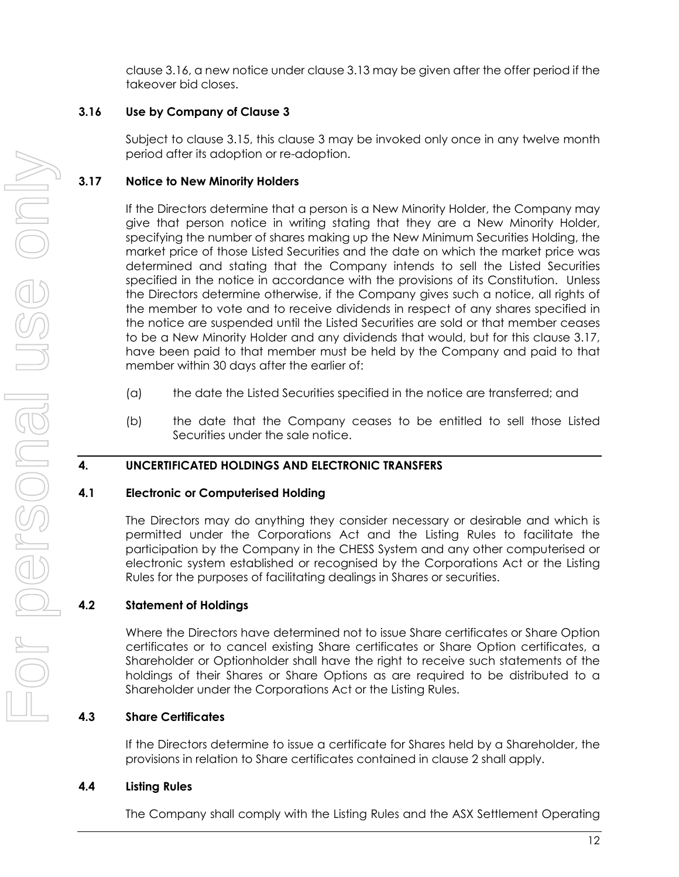claus[e 3.16,](#page-19-1) a new notice under clause [3.13](#page-18-0) may be given after the offer period if the takeover bid closes.

## <span id="page-19-1"></span>**3.16 Use by Company of Clause [3](#page-15-0)**

Subject to clause [3.15,](#page-18-2) this clause [3](#page-15-0) may be invoked only once in any twelve month period after its adoption or re-adoption.

## <span id="page-19-2"></span>**3.17 Notice to New Minority Holders**

If the Directors determine that a person is a New Minority Holder, the Company may give that person notice in writing stating that they are a New Minority Holder, specifying the number of shares making up the New Minimum Securities Holding, the market price of those Listed Securities and the date on which the market price was determined and stating that the Company intends to sell the Listed Securities specified in the notice in accordance with the provisions of its Constitution. Unless the Directors determine otherwise, if the Company gives such a notice, all rights of the member to vote and to receive dividends in respect of any shares specified in the notice are suspended until the Listed Securities are sold or that member ceases to be a New Minority Holder and any dividends that would, but for this clause [3.17,](#page-19-2) have been paid to that member must be held by the Company and paid to that member within 30 days after the earlier of:

- (a) the date the Listed Securities specified in the notice are transferred; and
- (b) the date that the Company ceases to be entitled to sell those Listed Securities under the sale notice.

## <span id="page-19-0"></span>**4. UNCERTIFICATED HOLDINGS AND ELECTRONIC TRANSFERS**

## **4.1 Electronic or Computerised Holding**

The Directors may do anything they consider necessary or desirable and which is permitted under the Corporations Act and the Listing Rules to facilitate the participation by the Company in the CHESS System and any other computerised or electronic system established or recognised by the Corporations Act or the Listing Rules for the purposes of facilitating dealings in Shares or securities.

## **4.2 Statement of Holdings**

Where the Directors have determined not to issue Share certificates or Share Option certificates or to cancel existing Share certificates or Share Option certificates, a Shareholder or Optionholder shall have the right to receive such statements of the holdings of their Shares or Share Options as are required to be distributed to a Shareholder under the Corporations Act or the Listing Rules.

## **4.3 Share Certificates**

If the Directors determine to issue a certificate for Shares held by a Shareholder, the provisions in relation to Share certificates contained in clause [2](#page-12-1) shall apply.

## **4.4 Listing Rules**

The Company shall comply with the Listing Rules and the ASX Settlement Operating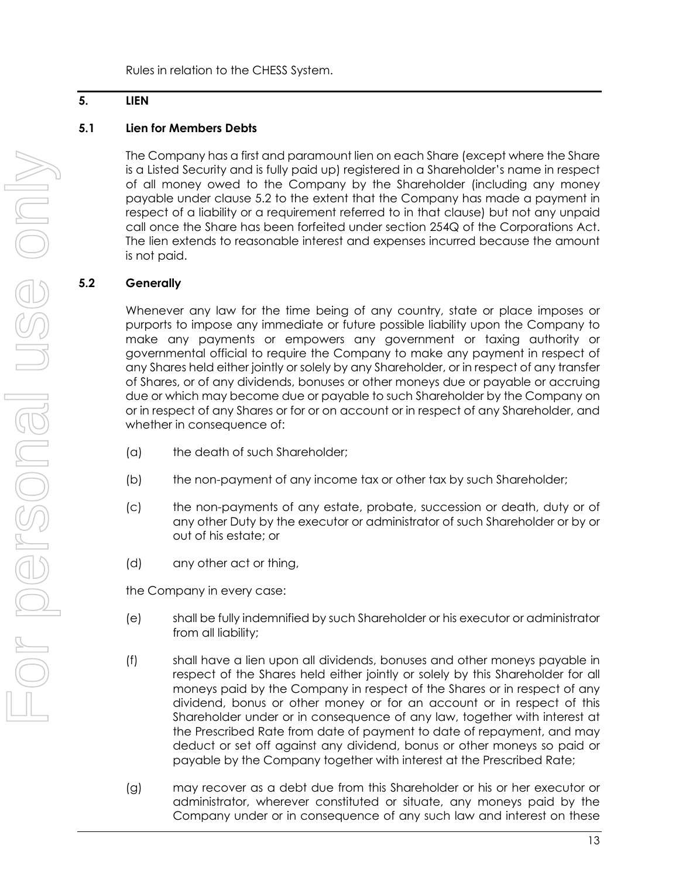## <span id="page-20-1"></span>**5. LIEN**

## **5.1 Lien for Members Debts**

The Company has a first and paramount lien on each Share (except where the Share is a Listed Security and is fully paid up) registered in a Shareholder's name in respect of all money owed to the Company by the Shareholder (including any money payable under clause [5.2](#page-20-0) to the extent that the Company has made a payment in respect of a liability or a requirement referred to in that clause) but not any unpaid call once the Share has been forfeited under section 254Q of the Corporations Act. The lien extends to reasonable interest and expenses incurred because the amount is not paid.

## <span id="page-20-0"></span>**5.2 Generally**

Whenever any law for the time being of any country, state or place imposes or purports to impose any immediate or future possible liability upon the Company to make any payments or empowers any government or taxing authority or governmental official to require the Company to make any payment in respect of any Shares held either jointly or solely by any Shareholder, or in respect of any transfer of Shares, or of any dividends, bonuses or other moneys due or payable or accruing due or which may become due or payable to such Shareholder by the Company on or in respect of any Shares or for or on account or in respect of any Shareholder, and whether in consequence of:

- (a) the death of such Shareholder;
- (b) the non-payment of any income tax or other tax by such Shareholder;
- (c) the non-payments of any estate, probate, succession or death, duty or of any other Duty by the executor or administrator of such Shareholder or by or out of his estate; or
- (d) any other act or thing,

the Company in every case:

- (e) shall be fully indemnified by such Shareholder or his executor or administrator from all liability;
- (f) shall have a lien upon all dividends, bonuses and other moneys payable in respect of the Shares held either jointly or solely by this Shareholder for all moneys paid by the Company in respect of the Shares or in respect of any dividend, bonus or other money or for an account or in respect of this Shareholder under or in consequence of any law, together with interest at the Prescribed Rate from date of payment to date of repayment, and may deduct or set off against any dividend, bonus or other moneys so paid or payable by the Company together with interest at the Prescribed Rate;
- (g) may recover as a debt due from this Shareholder or his or her executor or administrator, wherever constituted or situate, any moneys paid by the Company under or in consequence of any such law and interest on these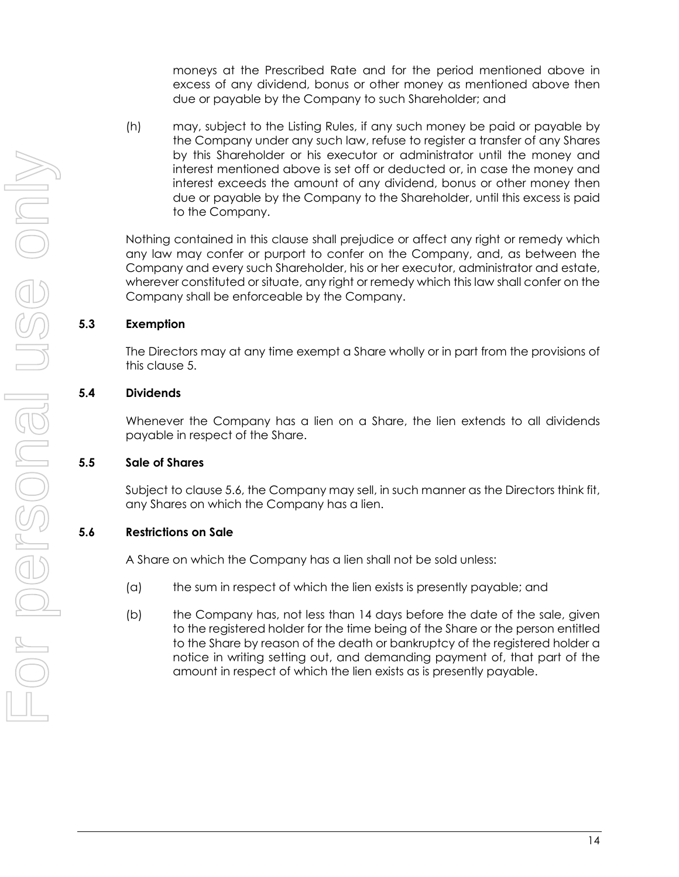moneys at the Prescribed Rate and for the period mentioned above in excess of any dividend, bonus or other money as mentioned above then due or payable by the Company to such Shareholder; and

(h) may, subject to the Listing Rules, if any such money be paid or payable by the Company under any such law, refuse to register a transfer of any Shares by this Shareholder or his executor or administrator until the money and interest mentioned above is set off or deducted or, in case the money and interest exceeds the amount of any dividend, bonus or other money then due or payable by the Company to the Shareholder, until this excess is paid to the Company.

Nothing contained in this clause shall prejudice or affect any right or remedy which any law may confer or purport to confer on the Company, and, as between the Company and every such Shareholder, his or her executor, administrator and estate, wherever constituted or situate, any right or remedy which this law shall confer on the Company shall be enforceable by the Company.

#### **5.3 Exemption**

The Directors may at any time exempt a Share wholly or in part from the provisions of this clause [5.](#page-20-1)

### **5.4 Dividends**

Whenever the Company has a lien on a Share, the lien extends to all dividends payable in respect of the Share.

#### <span id="page-21-1"></span>**5.5 Sale of Shares**

Subject to clause [5.6,](#page-21-0) the Company may sell, in such manner as the Directors think fit, any Shares on which the Company has a lien.

## <span id="page-21-0"></span>**5.6 Restrictions on Sale**

A Share on which the Company has a lien shall not be sold unless:

- (a) the sum in respect of which the lien exists is presently payable; and
- (b) the Company has, not less than 14 days before the date of the sale, given to the registered holder for the time being of the Share or the person entitled to the Share by reason of the death or bankruptcy of the registered holder a notice in writing setting out, and demanding payment of, that part of the amount in respect of which the lien exists as is presently payable.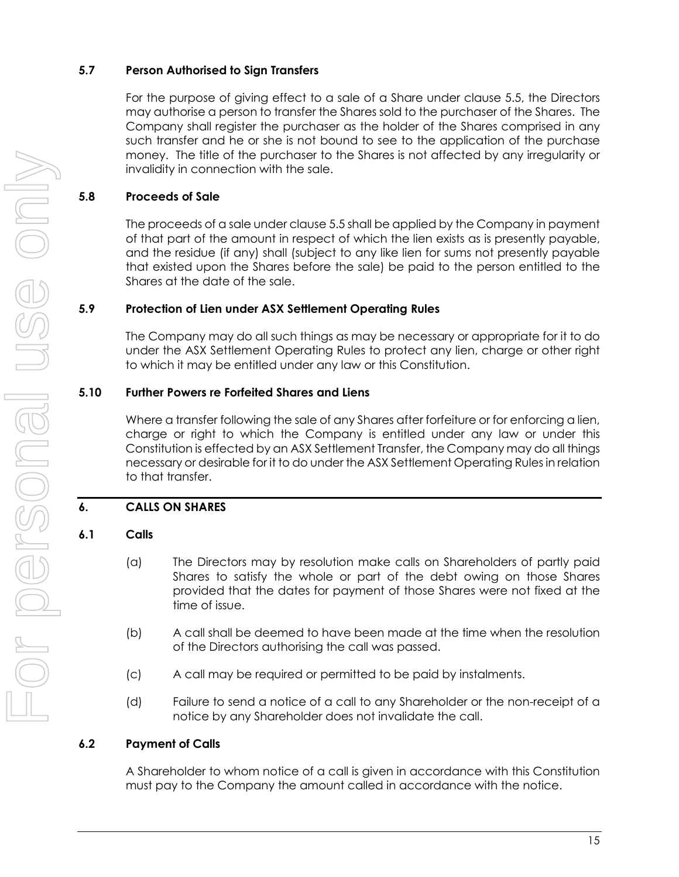## **5.7 Person Authorised to Sign Transfers**

For the purpose of giving effect to a sale of a Share under clause [5.5,](#page-21-1) the Directors may authorise a person to transfer the Shares sold to the purchaser of the Shares. The Company shall register the purchaser as the holder of the Shares comprised in any such transfer and he or she is not bound to see to the application of the purchase money. The title of the purchaser to the Shares is not affected by any irregularity or invalidity in connection with the sale.

## **5.8 Proceeds of Sale**

The proceeds of a sale under claus[e 5.5](#page-21-1) shall be applied by the Company in payment of that part of the amount in respect of which the lien exists as is presently payable, and the residue (if any) shall (subject to any like lien for sums not presently payable that existed upon the Shares before the sale) be paid to the person entitled to the Shares at the date of the sale.

### **5.9 Protection of Lien under ASX Settlement Operating Rules**

The Company may do all such things as may be necessary or appropriate for it to do under the ASX Settlement Operating Rules to protect any lien, charge or other right to which it may be entitled under any law or this Constitution.

### **5.10 Further Powers re Forfeited Shares and Liens**

Where a transfer following the sale of any Shares after forfeiture or for enforcing a lien, charge or right to which the Company is entitled under any law or under this Constitution is effected by an ASX Settlement Transfer, the Company may do all things necessary or desirable for it to do under the ASX Settlement Operating Rulesin relation to that transfer.

## <span id="page-22-0"></span>**6. CALLS ON SHARES**

## **6.1 Calls**

- (a) The Directors may by resolution make calls on Shareholders of partly paid Shares to satisfy the whole or part of the debt owing on those Shares provided that the dates for payment of those Shares were not fixed at the time of issue.
- (b) A call shall be deemed to have been made at the time when the resolution of the Directors authorising the call was passed.
- (c) A call may be required or permitted to be paid by instalments.
- (d) Failure to send a notice of a call to any Shareholder or the non-receipt of a notice by any Shareholder does not invalidate the call.

## **6.2 Payment of Calls**

A Shareholder to whom notice of a call is given in accordance with this Constitution must pay to the Company the amount called in accordance with the notice.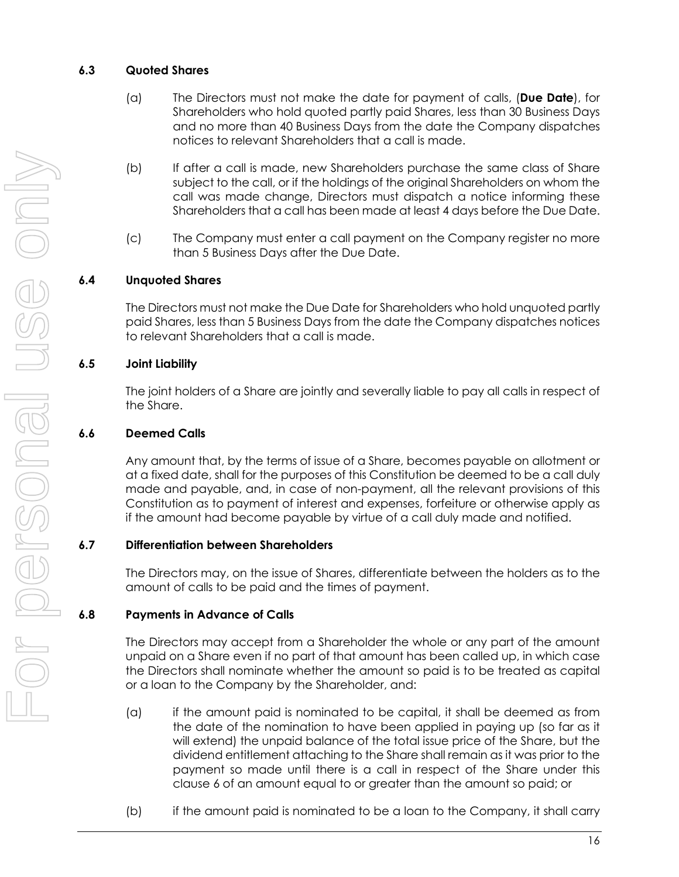## **6.3 Quoted Shares**

- (a) The Directors must not make the date for payment of calls, (**Due Date**), for Shareholders who hold quoted partly paid Shares, less than 30 Business Days and no more than 40 Business Days from the date the Company dispatches notices to relevant Shareholders that a call is made.
- (b) If after a call is made, new Shareholders purchase the same class of Share subject to the call, or if the holdings of the original Shareholders on whom the call was made change, Directors must dispatch a notice informing these Shareholders that a call has been made at least 4 days before the Due Date.
- (c) The Company must enter a call payment on the Company register no more than 5 Business Days after the Due Date.

## **6.4 Unquoted Shares**

The Directors must not make the Due Date for Shareholders who hold unquoted partly paid Shares, less than 5 Business Days from the date the Company dispatches notices to relevant Shareholders that a call is made.

#### **6.5 Joint Liability**

The joint holders of a Share are jointly and severally liable to pay all calls in respect of the Share.

#### **6.6 Deemed Calls**

Any amount that, by the terms of issue of a Share, becomes payable on allotment or at a fixed date, shall for the purposes of this Constitution be deemed to be a call duly made and payable, and, in case of non-payment, all the relevant provisions of this Constitution as to payment of interest and expenses, forfeiture or otherwise apply as if the amount had become payable by virtue of a call duly made and notified.

#### **6.7 Differentiation between Shareholders**

The Directors may, on the issue of Shares, differentiate between the holders as to the amount of calls to be paid and the times of payment.

#### **6.8 Payments in Advance of Calls**

The Directors may accept from a Shareholder the whole or any part of the amount unpaid on a Share even if no part of that amount has been called up, in which case the Directors shall nominate whether the amount so paid is to be treated as capital or a loan to the Company by the Shareholder, and:

- (a) if the amount paid is nominated to be capital, it shall be deemed as from the date of the nomination to have been applied in paying up (so far as it will extend) the unpaid balance of the total issue price of the Share, but the dividend entitlement attaching to the Share shall remain as it was prior to the payment so made until there is a call in respect of the Share under this clause [6](#page-22-0) of an amount equal to or greater than the amount so paid; or
- (b) if the amount paid is nominated to be a loan to the Company, it shall carry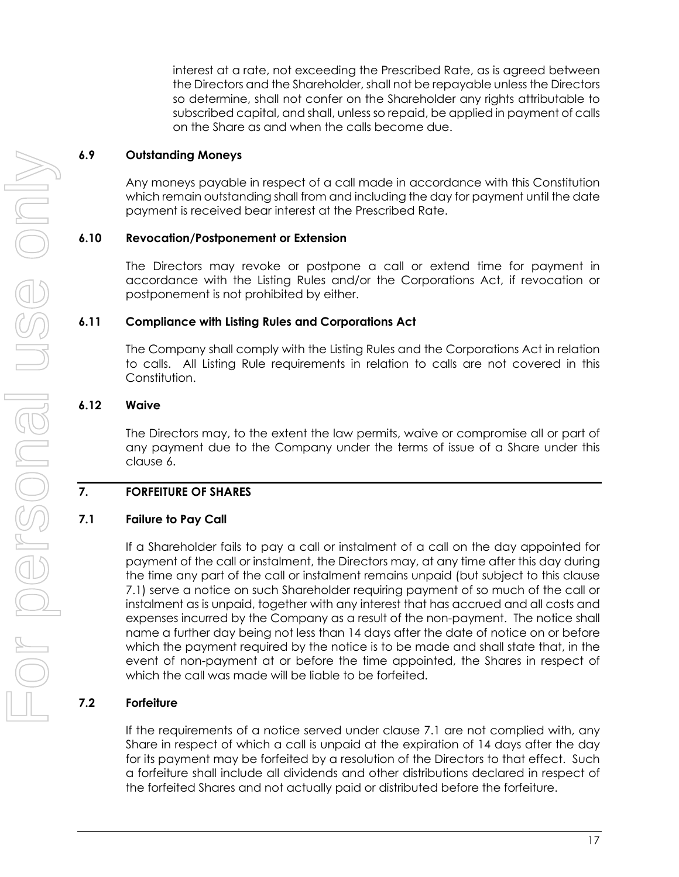interest at a rate, not exceeding the Prescribed Rate, as is agreed between the Directors and the Shareholder, shall not be repayable unless the Directors so determine, shall not confer on the Shareholder any rights attributable to subscribed capital, and shall, unless so repaid, be applied in payment of calls on the Share as and when the calls become due.

#### **6.9 Outstanding Moneys**

Any moneys payable in respect of a call made in accordance with this Constitution which remain outstanding shall from and including the day for payment until the date payment is received bear interest at the Prescribed Rate.

### **6.10 Revocation/Postponement or Extension**

The Directors may revoke or postpone a call or extend time for payment in accordance with the Listing Rules and/or the Corporations Act, if revocation or postponement is not prohibited by either.

#### **6.11 Compliance with Listing Rules and Corporations Act**

The Company shall comply with the Listing Rules and the Corporations Act in relation to calls. All Listing Rule requirements in relation to calls are not covered in this Constitution.

#### **6.12 Waive**

The Directors may, to the extent the law permits, waive or compromise all or part of any payment due to the Company under the terms of issue of a Share under this clause [6.](#page-22-0)

## <span id="page-24-1"></span>**7. FORFEITURE OF SHARES**

## <span id="page-24-0"></span>**7.1 Failure to Pay Call**

If a Shareholder fails to pay a call or instalment of a call on the day appointed for payment of the call or instalment, the Directors may, at any time after this day during the time any part of the call or instalment remains unpaid (but subject to this clause [7.1\)](#page-24-0) serve a notice on such Shareholder requiring payment of so much of the call or instalment as is unpaid, together with any interest that has accrued and all costs and expenses incurred by the Company as a result of the non-payment. The notice shall name a further day being not less than 14 days after the date of notice on or before which the payment required by the notice is to be made and shall state that, in the event of non-payment at or before the time appointed, the Shares in respect of which the call was made will be liable to be forfeited.

## **7.2 Forfeiture**

If the requirements of a notice served under clause [7.1](#page-24-0) are not complied with, any Share in respect of which a call is unpaid at the expiration of 14 days after the day for its payment may be forfeited by a resolution of the Directors to that effect. Such a forfeiture shall include all dividends and other distributions declared in respect of the forfeited Shares and not actually paid or distributed before the forfeiture.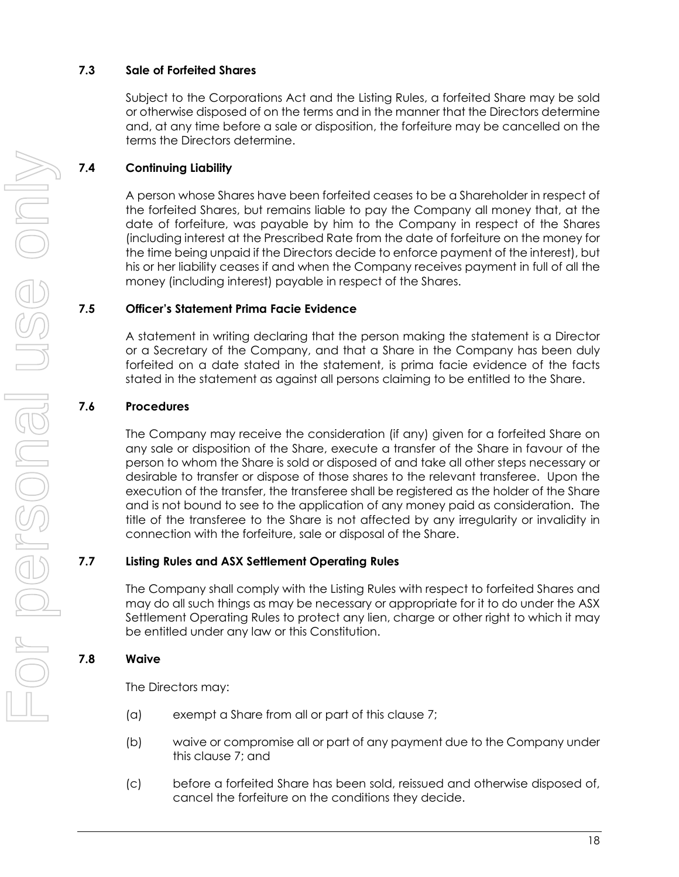## **7.3 Sale of Forfeited Shares**

Subject to the Corporations Act and the Listing Rules, a forfeited Share may be sold or otherwise disposed of on the terms and in the manner that the Directors determine and, at any time before a sale or disposition, the forfeiture may be cancelled on the terms the Directors determine.

## **7.4 Continuing Liability**

A person whose Shares have been forfeited ceases to be a Shareholder in respect of the forfeited Shares, but remains liable to pay the Company all money that, at the date of forfeiture, was payable by him to the Company in respect of the Shares (including interest at the Prescribed Rate from the date of forfeiture on the money for the time being unpaid if the Directors decide to enforce payment of the interest), but his or her liability ceases if and when the Company receives payment in full of all the money (including interest) payable in respect of the Shares.

### **7.5 Officer's Statement Prima Facie Evidence**

A statement in writing declaring that the person making the statement is a Director or a Secretary of the Company, and that a Share in the Company has been duly forfeited on a date stated in the statement, is prima facie evidence of the facts stated in the statement as against all persons claiming to be entitled to the Share.

## **7.6 Procedures**

The Company may receive the consideration (if any) given for a forfeited Share on any sale or disposition of the Share, execute a transfer of the Share in favour of the person to whom the Share is sold or disposed of and take all other steps necessary or desirable to transfer or dispose of those shares to the relevant transferee. Upon the execution of the transfer, the transferee shall be registered as the holder of the Share and is not bound to see to the application of any money paid as consideration. The title of the transferee to the Share is not affected by any irregularity or invalidity in connection with the forfeiture, sale or disposal of the Share.

## **7.7 Listing Rules and ASX Settlement Operating Rules**

The Company shall comply with the Listing Rules with respect to forfeited Shares and may do all such things as may be necessary or appropriate for it to do under the ASX Settlement Operating Rules to protect any lien, charge or other right to which it may be entitled under any law or this Constitution.

## **7.8 Waive**

The Directors may:

- (a) exempt a Share from all or part of this clause [7;](#page-24-1)
- (b) waive or compromise all or part of any payment due to the Company under this clause [7;](#page-24-1) and
- (c) before a forfeited Share has been sold, reissued and otherwise disposed of, cancel the forfeiture on the conditions they decide.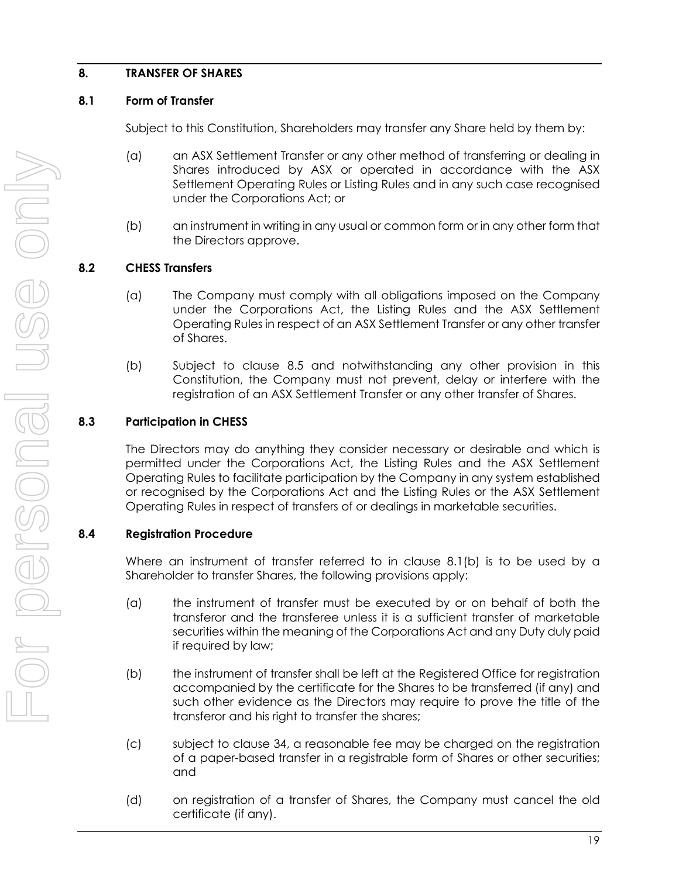## <span id="page-26-1"></span>**8. TRANSFER OF SHARES**

### **8.1 Form of Transfer**

Subject to this Constitution, Shareholders may transfer any Share held by them by:

- (a) an ASX Settlement Transfer or any other method of transferring or dealing in Shares introduced by ASX or operated in accordance with the ASX Settlement Operating Rules or Listing Rules and in any such case recognised under the Corporations Act; or
- (b) an instrument in writing in any usual or common form or in any other form that the Directors approve.

### <span id="page-26-0"></span>**8.2 CHESS Transfers**

- (a) The Company must comply with all obligations imposed on the Company under the Corporations Act, the Listing Rules and the ASX Settlement Operating Rules in respect of an ASX Settlement Transfer or any other transfer of Shares.
- (b) Subject to clause [8.5](#page-27-0) and notwithstanding any other provision in this Constitution, the Company must not prevent, delay or interfere with the registration of an ASX Settlement Transfer or any other transfer of Shares.

### **8.3 Participation in CHESS**

The Directors may do anything they consider necessary or desirable and which is permitted under the Corporations Act, the Listing Rules and the ASX Settlement Operating Rules to facilitate participation by the Company in any system established or recognised by the Corporations Act and the Listing Rules or the ASX Settlement Operating Rules in respect of transfers of or dealings in marketable securities.

#### **8.4 Registration Procedure**

Where an instrument of transfer referred to in clause [8.1\(b\)](#page-26-0) is to be used by a Shareholder to transfer Shares, the following provisions apply:

- (a) the instrument of transfer must be executed by or on behalf of both the transferor and the transferee unless it is a sufficient transfer of marketable securities within the meaning of the Corporations Act and any Duty duly paid if required by law;
- (b) the instrument of transfer shall be left at the Registered Office for registration accompanied by the certificate for the Shares to be transferred (if any) and such other evidence as the Directors may require to prove the title of the transferor and his right to transfer the shares;
- (c) subject to clause [34,](#page-66-0) a reasonable fee may be charged on the registration of a paper-based transfer in a registrable form of Shares or other securities; and
- (d) on registration of a transfer of Shares, the Company must cancel the old certificate (if any).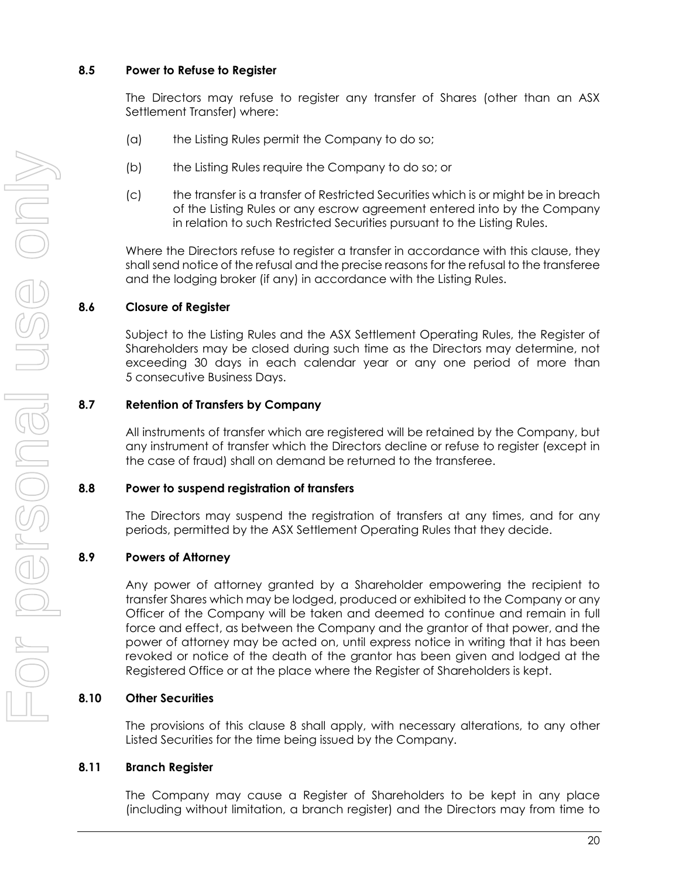#### <span id="page-27-0"></span>**8.5 Power to Refuse to Register**

The Directors may refuse to register any transfer of Shares (other than an ASX Settlement Transfer) where:

- (a) the Listing Rules permit the Company to do so;
- (b) the Listing Rules require the Company to do so; or
- (c) the transfer is a transfer of Restricted Securities which is or might be in breach of the Listing Rules or any escrow agreement entered into by the Company in relation to such Restricted Securities pursuant to the Listing Rules.

Where the Directors refuse to register a transfer in accordance with this clause, they shall send notice of the refusal and the precise reasons for the refusal to the transferee and the lodging broker (if any) in accordance with the Listing Rules.

#### **8.6 Closure of Register**

Subject to the Listing Rules and the ASX Settlement Operating Rules, the Register of Shareholders may be closed during such time as the Directors may determine, not exceeding 30 days in each calendar year or any one period of more than 5 consecutive Business Days.

#### **8.7 Retention of Transfers by Company**

All instruments of transfer which are registered will be retained by the Company, but any instrument of transfer which the Directors decline or refuse to register (except in the case of fraud) shall on demand be returned to the transferee.

#### **8.8 Power to suspend registration of transfers**

The Directors may suspend the registration of transfers at any times, and for any periods, permitted by the ASX Settlement Operating Rules that they decide.

#### **8.9 Powers of Attorney**

Any power of attorney granted by a Shareholder empowering the recipient to transfer Shares which may be lodged, produced or exhibited to the Company or any Officer of the Company will be taken and deemed to continue and remain in full force and effect, as between the Company and the grantor of that power, and the power of attorney may be acted on, until express notice in writing that it has been revoked or notice of the death of the grantor has been given and lodged at the Registered Office or at the place where the Register of Shareholders is kept.

#### **8.10 Other Securities**

The provisions of this clause [8](#page-26-1) shall apply, with necessary alterations, to any other Listed Securities for the time being issued by the Company.

#### **8.11 Branch Register**

The Company may cause a Register of Shareholders to be kept in any place (including without limitation, a branch register) and the Directors may from time to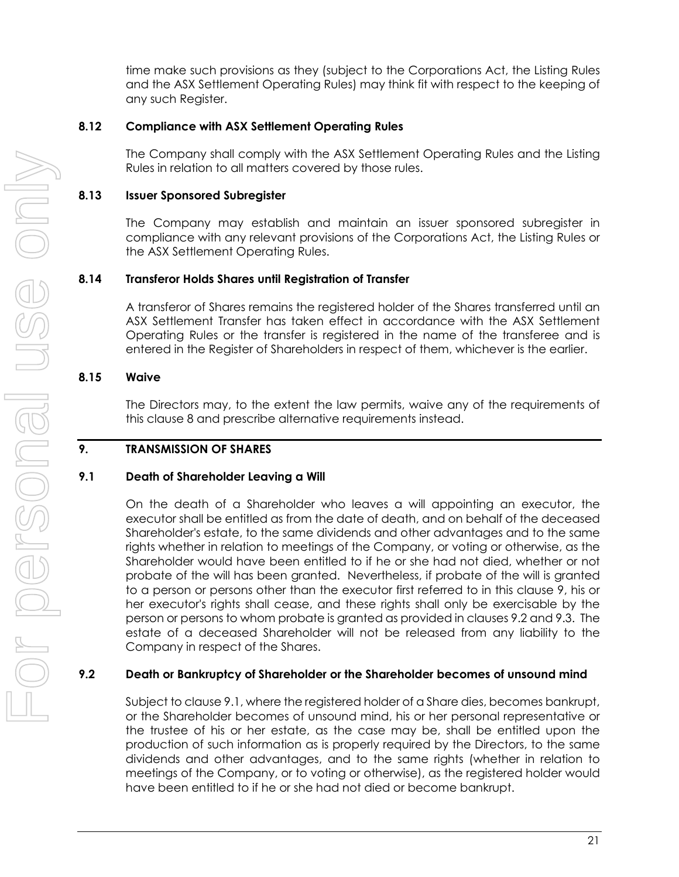time make such provisions as they (subject to the Corporations Act, the Listing Rules and the ASX Settlement Operating Rules) may think fit with respect to the keeping of any such Register.

### **8.12 Compliance with ASX Settlement Operating Rules**

The Company shall comply with the ASX Settlement Operating Rules and the Listing Rules in relation to all matters covered by those rules.

### **8.13 Issuer Sponsored Subregister**

The Company may establish and maintain an issuer sponsored subregister in compliance with any relevant provisions of the Corporations Act, the Listing Rules or the ASX Settlement Operating Rules.

#### **8.14 Transferor Holds Shares until Registration of Transfer**

A transferor of Shares remains the registered holder of the Shares transferred until an ASX Settlement Transfer has taken effect in accordance with the ASX Settlement Operating Rules or the transfer is registered in the name of the transferee and is entered in the Register of Shareholders in respect of them, whichever is the earlier.

### **8.15 Waive**

The Directors may, to the extent the law permits, waive any of the requirements of this clause [8](#page-26-1) and prescribe alternative requirements instead.

#### <span id="page-28-0"></span>**9. TRANSMISSION OF SHARES**

#### <span id="page-28-2"></span>**9.1 Death of Shareholder Leaving a Will**

On the death of a Shareholder who leaves a will appointing an executor, the executor shall be entitled as from the date of death, and on behalf of the deceased Shareholder's estate, to the same dividends and other advantages and to the same rights whether in relation to meetings of the Company, or voting or otherwise, as the Shareholder would have been entitled to if he or she had not died, whether or not probate of the will has been granted. Nevertheless, if probate of the will is granted to a person or persons other than the executor first referred to in this clause [9,](#page-28-0) his or her executor's rights shall cease, and these rights shall only be exercisable by the person or persons to whom probate is granted as provided in clauses [9.2](#page-28-1) and [9.3.](#page-29-0) The estate of a deceased Shareholder will not be released from any liability to the Company in respect of the Shares.

## <span id="page-28-1"></span>**9.2 Death or Bankruptcy of Shareholder or the Shareholder becomes of unsound mind**

Subject to clause [9.1,](#page-28-2) where the registered holder of a Share dies, becomes bankrupt, or the Shareholder becomes of unsound mind, his or her personal representative or the trustee of his or her estate, as the case may be, shall be entitled upon the production of such information as is properly required by the Directors, to the same dividends and other advantages, and to the same rights (whether in relation to meetings of the Company, or to voting or otherwise), as the registered holder would have been entitled to if he or she had not died or become bankrupt.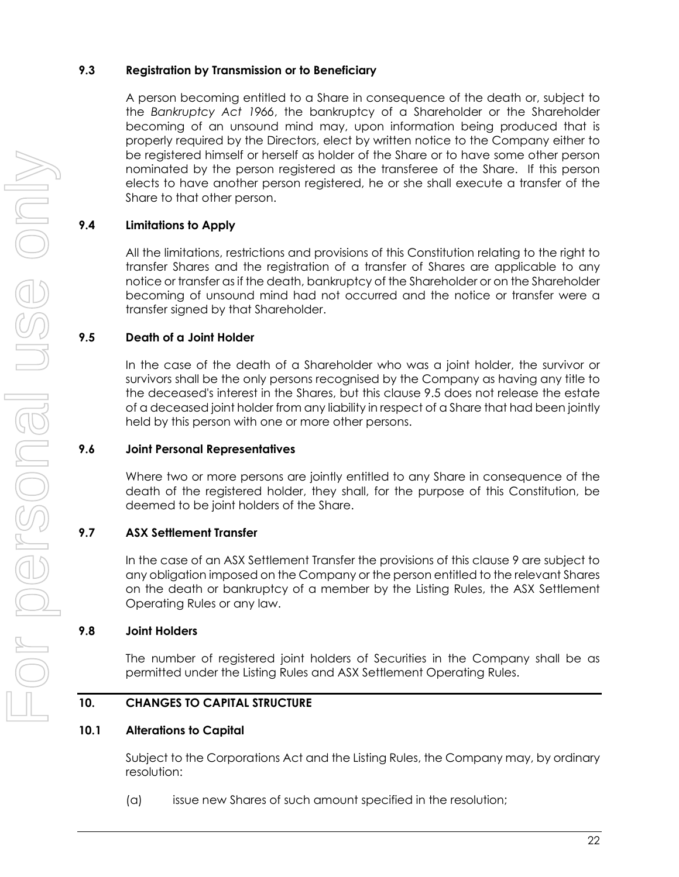## <span id="page-29-0"></span>**9.3 Registration by Transmission or to Beneficiary**

A person becoming entitled to a Share in consequence of the death or, subject to the *Bankruptcy Act 1966*, the bankruptcy of a Shareholder or the Shareholder becoming of an unsound mind may, upon information being produced that is properly required by the Directors, elect by written notice to the Company either to be registered himself or herself as holder of the Share or to have some other person nominated by the person registered as the transferee of the Share. If this person elects to have another person registered, he or she shall execute a transfer of the Share to that other person.

## **9.4 Limitations to Apply**

All the limitations, restrictions and provisions of this Constitution relating to the right to transfer Shares and the registration of a transfer of Shares are applicable to any notice or transfer as if the death, bankruptcy of the Shareholder or on the Shareholder becoming of unsound mind had not occurred and the notice or transfer were a transfer signed by that Shareholder.

### <span id="page-29-1"></span>**9.5 Death of a Joint Holder**

In the case of the death of a Shareholder who was a joint holder, the survivor or survivors shall be the only persons recognised by the Company as having any title to the deceased's interest in the Shares, but this clause [9.5](#page-29-1) does not release the estate of a deceased joint holder from any liability in respect of a Share that had been jointly held by this person with one or more other persons.

#### **9.6 Joint Personal Representatives**

Where two or more persons are jointly entitled to any Share in consequence of the death of the registered holder, they shall, for the purpose of this Constitution, be deemed to be joint holders of the Share.

#### **9.7 ASX Settlement Transfer**

In the case of an ASX Settlement Transfer the provisions of this clause [9](#page-28-0) are subject to any obligation imposed on the Company or the person entitled to the relevant Shares on the death or bankruptcy of a member by the Listing Rules, the ASX Settlement Operating Rules or any law.

#### **9.8 Joint Holders**

The number of registered joint holders of Securities in the Company shall be as permitted under the Listing Rules and ASX Settlement Operating Rules.

## **10. CHANGES TO CAPITAL STRUCTURE**

#### **10.1 Alterations to Capital**

Subject to the Corporations Act and the Listing Rules, the Company may, by ordinary resolution:

(a) issue new Shares of such amount specified in the resolution;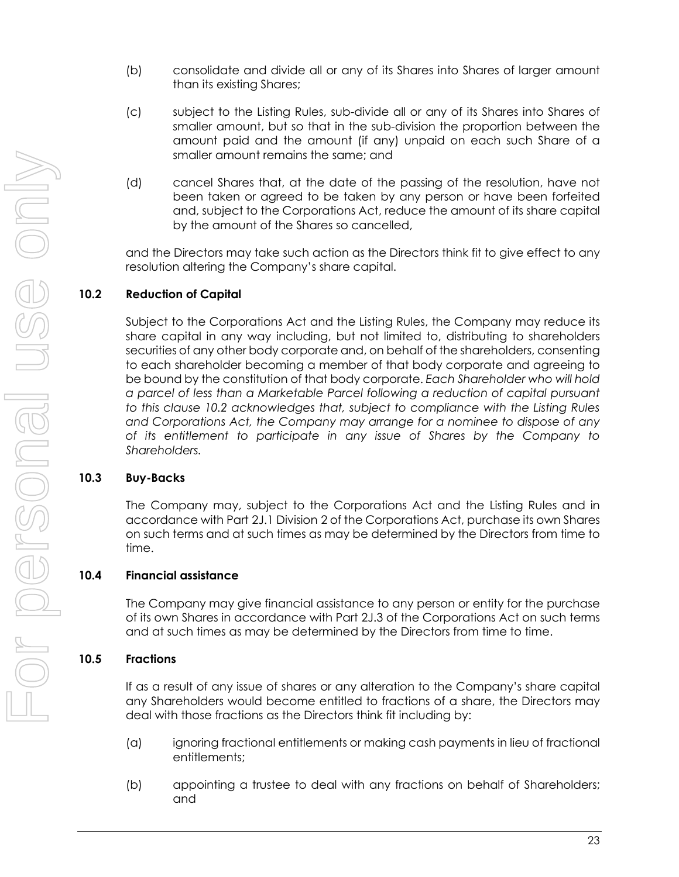- (b) consolidate and divide all or any of its Shares into Shares of larger amount than its existing Shares;
- (c) subject to the Listing Rules, sub-divide all or any of its Shares into Shares of smaller amount, but so that in the sub-division the proportion between the amount paid and the amount (if any) unpaid on each such Share of a smaller amount remains the same; and
- (d) cancel Shares that, at the date of the passing of the resolution, have not been taken or agreed to be taken by any person or have been forfeited and, subject to the Corporations Act, reduce the amount of its share capital by the amount of the Shares so cancelled,

and the Directors may take such action as the Directors think fit to give effect to any resolution altering the Company's share capital.

## **10.2 Reduction of Capital**

Subject to the Corporations Act and the Listing Rules, the Company may reduce its share capital in any way including, but not limited to, distributing to shareholders securities of any other body corporate and, on behalf of the shareholders, consenting to each shareholder becoming a member of that body corporate and agreeing to be bound by the constitution of that body corporate. *Each Shareholder who will hold a parcel of less than a Marketable Parcel following a reduction of capital pursuant to this clause 10.2 acknowledges that, subject to compliance with the Listing Rules and Corporations Act, the Company may arrange for a nominee to dispose of any of its entitlement to participate in any issue of Shares by the Company to Shareholders.*

#### **10.3 Buy-Backs**

The Company may, subject to the Corporations Act and the Listing Rules and in accordance with Part 2J.1 Division 2 of the Corporations Act, purchase its own Shares on such terms and at such times as may be determined by the Directors from time to time.

#### **10.4 Financial assistance**

The Company may give financial assistance to any person or entity for the purchase of its own Shares in accordance with Part 2J.3 of the Corporations Act on such terms and at such times as may be determined by the Directors from time to time.

#### **10.5 Fractions**

If as a result of any issue of shares or any alteration to the Company's share capital any Shareholders would become entitled to fractions of a share, the Directors may deal with those fractions as the Directors think fit including by:

- (a) ignoring fractional entitlements or making cash payments in lieu of fractional entitlements;
- (b) appointing a trustee to deal with any fractions on behalf of Shareholders; and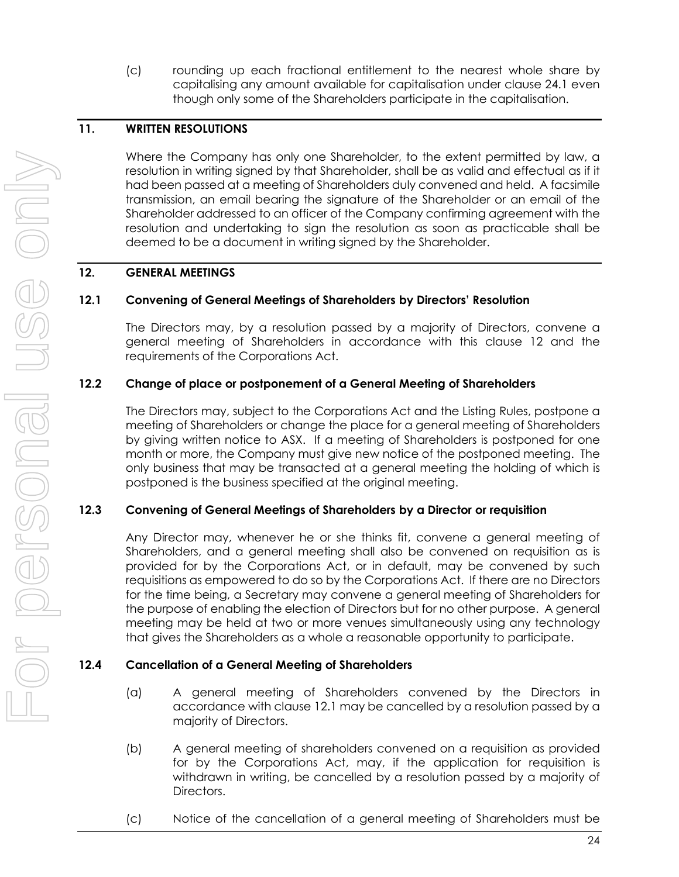(c) rounding up each fractional entitlement to the nearest whole share by capitalising any amount available for capitalisation under clause [24.1](#page-58-0) even though only some of the Shareholders participate in the capitalisation.

## **11. WRITTEN RESOLUTIONS**

Where the Company has only one Shareholder, to the extent permitted by law, a resolution in writing signed by that Shareholder, shall be as valid and effectual as if it had been passed at a meeting of Shareholders duly convened and held. A facsimile transmission, an email bearing the signature of the Shareholder or an email of the Shareholder addressed to an officer of the Company confirming agreement with the resolution and undertaking to sign the resolution as soon as practicable shall be deemed to be a document in writing signed by the Shareholder.

#### <span id="page-31-0"></span>**12. GENERAL MEETINGS**

### <span id="page-31-1"></span>**12.1 Convening of General Meetings of Shareholders by Directors' Resolution**

The Directors may, by a resolution passed by a majority of Directors, convene a general meeting of Shareholders in accordance with this clause [12](#page-31-0) and the requirements of the Corporations Act.

### **12.2 Change of place or postponement of a General Meeting of Shareholders**

The Directors may, subject to the Corporations Act and the Listing Rules, postpone a meeting of Shareholders or change the place for a general meeting of Shareholders by giving written notice to ASX. If a meeting of Shareholders is postponed for one month or more, the Company must give new notice of the postponed meeting. The only business that may be transacted at a general meeting the holding of which is postponed is the business specified at the original meeting.

#### **12.3 Convening of General Meetings of Shareholders by a Director or requisition**

Any Director may, whenever he or she thinks fit, convene a general meeting of Shareholders, and a general meeting shall also be convened on requisition as is provided for by the Corporations Act, or in default, may be convened by such requisitions as empowered to do so by the Corporations Act. If there are no Directors for the time being, a Secretary may convene a general meeting of Shareholders for the purpose of enabling the election of Directors but for no other purpose. A general meeting may be held at two or more venues simultaneously using any technology that gives the Shareholders as a whole a reasonable opportunity to participate.

## **12.4 Cancellation of a General Meeting of Shareholders**

- (a) A general meeting of Shareholders convened by the Directors in accordance with clause [12.1](#page-31-1) may be cancelled by a resolution passed by a majority of Directors.
- (b) A general meeting of shareholders convened on a requisition as provided for by the Corporations Act, may, if the application for requisition is withdrawn in writing, be cancelled by a resolution passed by a majority of Directors.
- (c) Notice of the cancellation of a general meeting of Shareholders must be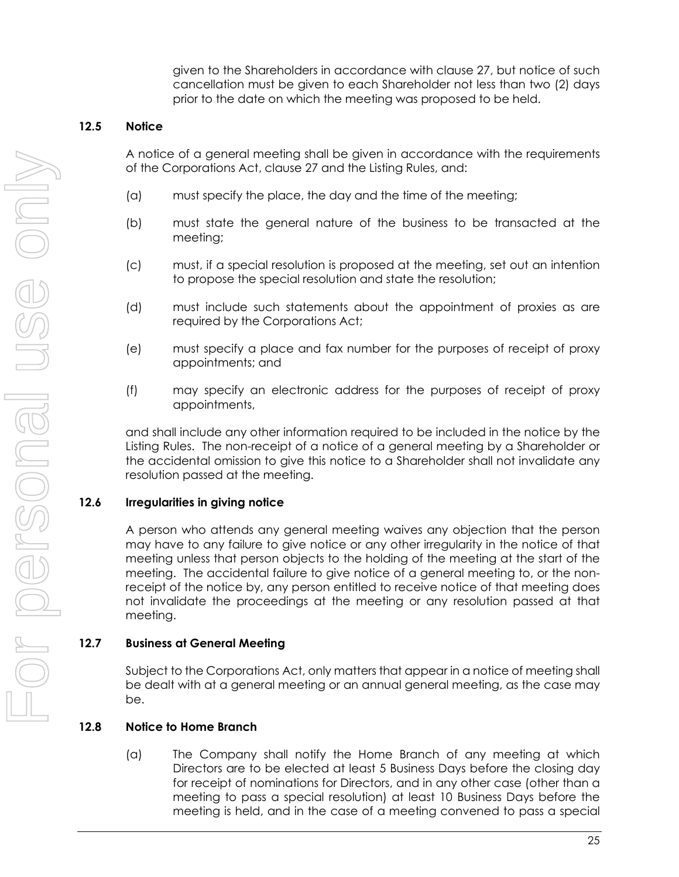given to the Shareholders in accordance with clause [27,](#page-60-0) but notice of such cancellation must be given to each Shareholder not less than two (2) days prior to the date on which the meeting was proposed to be held.

#### **12.5 Notice**

A notice of a general meeting shall be given in accordance with the requirements of the Corporations Act, clause [27](#page-60-0) and the Listing Rules, and:

- (a) must specify the place, the day and the time of the meeting;
- (b) must state the general nature of the business to be transacted at the meeting;
- (c) must, if a special resolution is proposed at the meeting, set out an intention to propose the special resolution and state the resolution;
- (d) must include such statements about the appointment of proxies as are required by the Corporations Act;
- (e) must specify a place and fax number for the purposes of receipt of proxy appointments; and
- (f) may specify an electronic address for the purposes of receipt of proxy appointments,

and shall include any other information required to be included in the notice by the Listing Rules. The non-receipt of a notice of a general meeting by a Shareholder or the accidental omission to give this notice to a Shareholder shall not invalidate any resolution passed at the meeting.

#### **12.6 Irregularities in giving notice**

A person who attends any general meeting waives any objection that the person may have to any failure to give notice or any other irregularity in the notice of that meeting unless that person objects to the holding of the meeting at the start of the meeting. The accidental failure to give notice of a general meeting to, or the nonreceipt of the notice by, any person entitled to receive notice of that meeting does not invalidate the proceedings at the meeting or any resolution passed at that meeting.

#### **12.7 Business at General Meeting**

Subject to the Corporations Act, only matters that appear in a notice of meeting shall be dealt with at a general meeting or an annual general meeting, as the case may be.

#### **12.8 Notice to Home Branch**

(a) The Company shall notify the Home Branch of any meeting at which Directors are to be elected at least 5 Business Days before the closing day for receipt of nominations for Directors, and in any other case (other than a meeting to pass a special resolution) at least 10 Business Days before the meeting is held, and in the case of a meeting convened to pass a special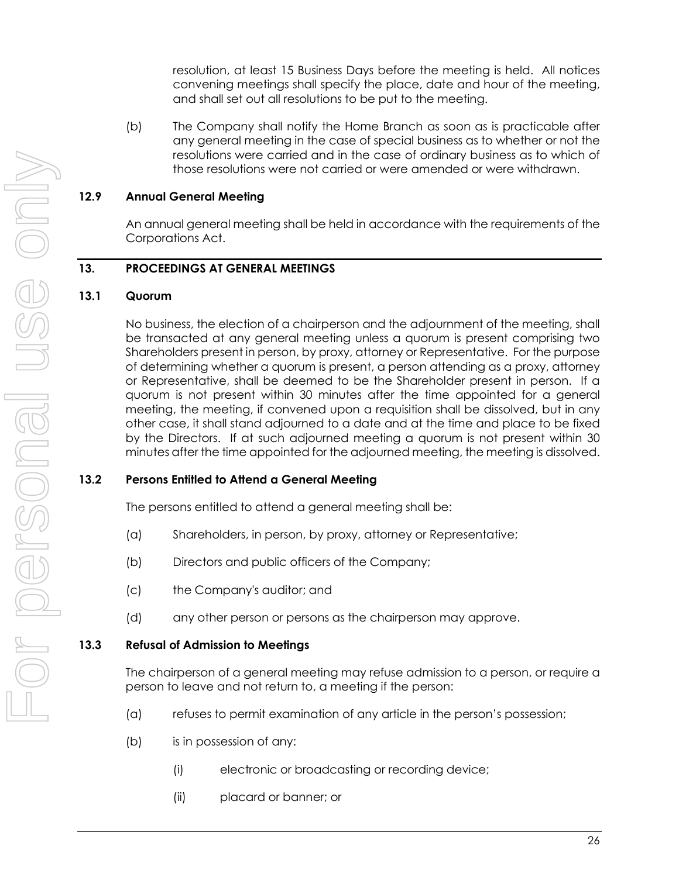resolution, at least 15 Business Days before the meeting is held. All notices convening meetings shall specify the place, date and hour of the meeting, and shall set out all resolutions to be put to the meeting.

(b) The Company shall notify the Home Branch as soon as is practicable after any general meeting in the case of special business as to whether or not the resolutions were carried and in the case of ordinary business as to which of those resolutions were not carried or were amended or were withdrawn.

#### **12.9 Annual General Meeting**

An annual general meeting shall be held in accordance with the requirements of the Corporations Act.

#### **13. PROCEEDINGS AT GENERAL MEETINGS**

#### **13.1 Quorum**

No business, the election of a chairperson and the adjournment of the meeting, shall be transacted at any general meeting unless a quorum is present comprising two Shareholders present in person, by proxy, attorney or Representative. For the purpose of determining whether a quorum is present, a person attending as a proxy, attorney or Representative, shall be deemed to be the Shareholder present in person. If a quorum is not present within 30 minutes after the time appointed for a general meeting, the meeting, if convened upon a requisition shall be dissolved, but in any other case, it shall stand adjourned to a date and at the time and place to be fixed by the Directors. If at such adjourned meeting a quorum is not present within 30 minutes after the time appointed for the adjourned meeting, the meeting is dissolved.

#### **13.2 Persons Entitled to Attend a General Meeting**

The persons entitled to attend a general meeting shall be:

- (a) Shareholders, in person, by proxy, attorney or Representative;
- (b) Directors and public officers of the Company;
- (c) the Company's auditor; and
- (d) any other person or persons as the chairperson may approve.

#### <span id="page-33-0"></span>**13.3 Refusal of Admission to Meetings**

The chairperson of a general meeting may refuse admission to a person, or require a person to leave and not return to, a meeting if the person:

- (a) refuses to permit examination of any article in the person's possession;
- (b) is in possession of any:
	- (i) electronic or broadcasting or recording device;
	- (ii) placard or banner; or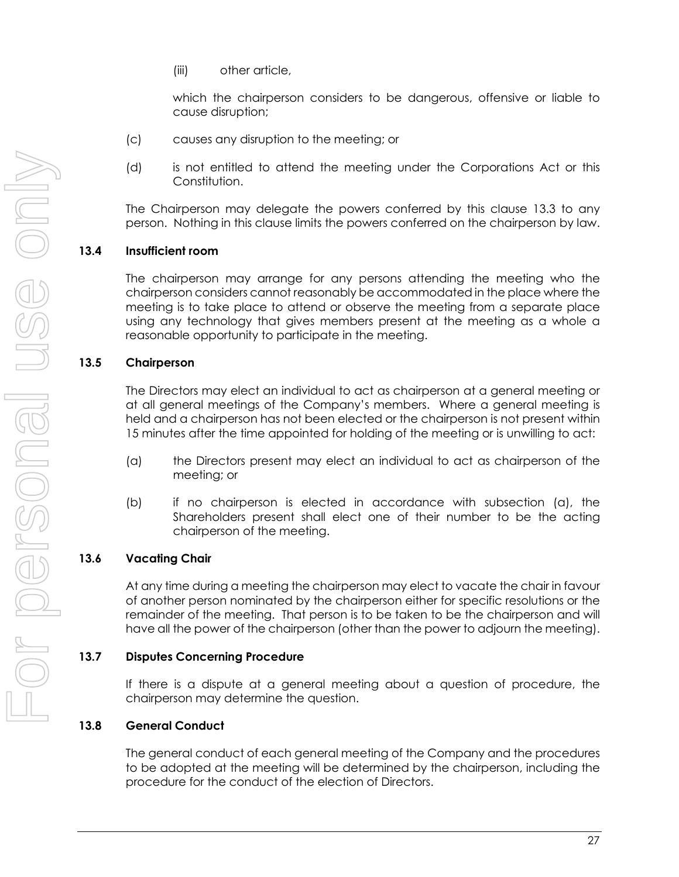(iii) other article,

which the chairperson considers to be dangerous, offensive or liable to cause disruption;

- (c) causes any disruption to the meeting; or
- (d) is not entitled to attend the meeting under the Corporations Act or this Constitution.

The Chairperson may delegate the powers conferred by this clause [13.3](#page-33-0) to any person. Nothing in this clause limits the powers conferred on the chairperson by law.

## **13.4 Insufficient room**

The chairperson may arrange for any persons attending the meeting who the chairperson considers cannot reasonably be accommodated in the place where the meeting is to take place to attend or observe the meeting from a separate place using any technology that gives members present at the meeting as a whole a reasonable opportunity to participate in the meeting.

### **13.5 Chairperson**

The Directors may elect an individual to act as chairperson at a general meeting or at all general meetings of the Company's members. Where a general meeting is held and a chairperson has not been elected or the chairperson is not present within 15 minutes after the time appointed for holding of the meeting or is unwilling to act:

- (a) the Directors present may elect an individual to act as chairperson of the meeting; or
- (b) if no chairperson is elected in accordance with subsection (a), the Shareholders present shall elect one of their number to be the acting chairperson of the meeting.

#### **13.6 Vacating Chair**

At any time during a meeting the chairperson may elect to vacate the chair in favour of another person nominated by the chairperson either for specific resolutions or the remainder of the meeting. That person is to be taken to be the chairperson and will have all the power of the chairperson (other than the power to adjourn the meeting).

#### **13.7 Disputes Concerning Procedure**

If there is a dispute at a general meeting about a question of procedure, the chairperson may determine the question.

## **13.8 General Conduct**

The general conduct of each general meeting of the Company and the procedures to be adopted at the meeting will be determined by the chairperson, including the procedure for the conduct of the election of Directors.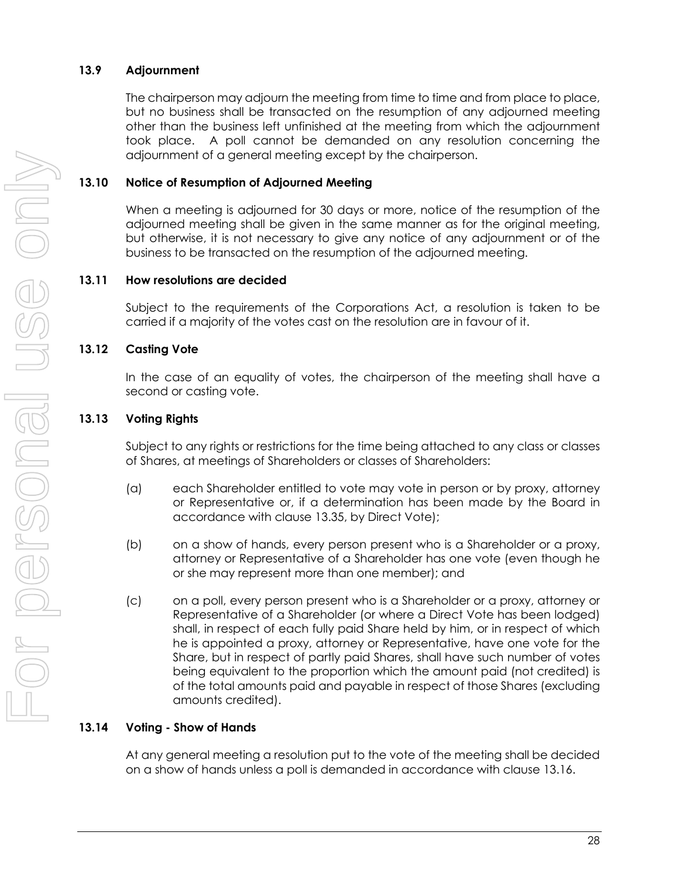### **13.9 Adjournment**

The chairperson may adjourn the meeting from time to time and from place to place, but no business shall be transacted on the resumption of any adjourned meeting other than the business left unfinished at the meeting from which the adjournment took place. A poll cannot be demanded on any resolution concerning the adjournment of a general meeting except by the chairperson.

## **13.10 Notice of Resumption of Adjourned Meeting**

When a meeting is adjourned for 30 days or more, notice of the resumption of the adjourned meeting shall be given in the same manner as for the original meeting, but otherwise, it is not necessary to give any notice of any adjournment or of the business to be transacted on the resumption of the adjourned meeting.

#### **13.11 How resolutions are decided**

Subject to the requirements of the Corporations Act, a resolution is taken to be carried if a majority of the votes cast on the resolution are in favour of it.

#### **13.12 Casting Vote**

In the case of an equality of votes, the chairperson of the meeting shall have a second or casting vote.

#### **13.13 Voting Rights**

Subject to any rights or restrictions for the time being attached to any class or classes of Shares, at meetings of Shareholders or classes of Shareholders:

- (a) each Shareholder entitled to vote may vote in person or by proxy, attorney or Representative or, if a determination has been made by the Board in accordance with clause [13.35,](#page-40-0) by Direct Vote);
- (b) on a show of hands, every person present who is a Shareholder or a proxy, attorney or Representative of a Shareholder has one vote (even though he or she may represent more than one member); and
- (c) on a poll, every person present who is a Shareholder or a proxy, attorney or Representative of a Shareholder (or where a Direct Vote has been lodged) shall, in respect of each fully paid Share held by him, or in respect of which he is appointed a proxy, attorney or Representative, have one vote for the Share, but in respect of partly paid Shares, shall have such number of votes being equivalent to the proportion which the amount paid (not credited) is of the total amounts paid and payable in respect of those Shares (excluding amounts credited).

#### **13.14 Voting - Show of Hands**

At any general meeting a resolution put to the vote of the meeting shall be decided on a show of hands unless a poll is demanded in accordance with clause [13.16.](#page-36-0)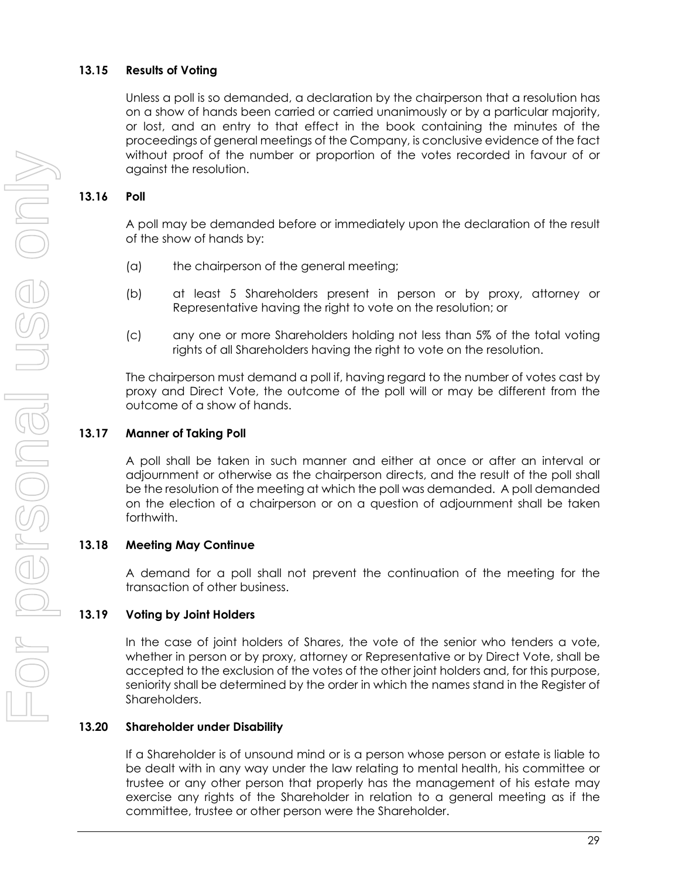#### **13.15 Results of Voting**

Unless a poll is so demanded, a declaration by the chairperson that a resolution has on a show of hands been carried or carried unanimously or by a particular majority, or lost, and an entry to that effect in the book containing the minutes of the proceedings of general meetings of the Company, is conclusive evidence of the fact without proof of the number or proportion of the votes recorded in favour of or against the resolution.

### **13.16 Poll**

A poll may be demanded before or immediately upon the declaration of the result of the show of hands by:

- (a) the chairperson of the general meeting;
- (b) at least 5 Shareholders present in person or by proxy, attorney or Representative having the right to vote on the resolution; or
- (c) any one or more Shareholders holding not less than 5% of the total voting rights of all Shareholders having the right to vote on the resolution.

The chairperson must demand a poll if, having regard to the number of votes cast by proxy and Direct Vote, the outcome of the poll will or may be different from the outcome of a show of hands.

### **13.17 Manner of Taking Poll**

A poll shall be taken in such manner and either at once or after an interval or adjournment or otherwise as the chairperson directs, and the result of the poll shall be the resolution of the meeting at which the poll was demanded. A poll demanded on the election of a chairperson or on a question of adjournment shall be taken forthwith.

### **13.18 Meeting May Continue**

A demand for a poll shall not prevent the continuation of the meeting for the transaction of other business.

#### **13.19 Voting by Joint Holders**

In the case of joint holders of Shares, the vote of the senior who tenders a vote, whether in person or by proxy, attorney or Representative or by Direct Vote, shall be accepted to the exclusion of the votes of the other joint holders and, for this purpose, seniority shall be determined by the order in which the names stand in the Register of Shareholders.

### **13.20 Shareholder under Disability**

If a Shareholder is of unsound mind or is a person whose person or estate is liable to be dealt with in any way under the law relating to mental health, his committee or trustee or any other person that properly has the management of his estate may exercise any rights of the Shareholder in relation to a general meeting as if the committee, trustee or other person were the Shareholder.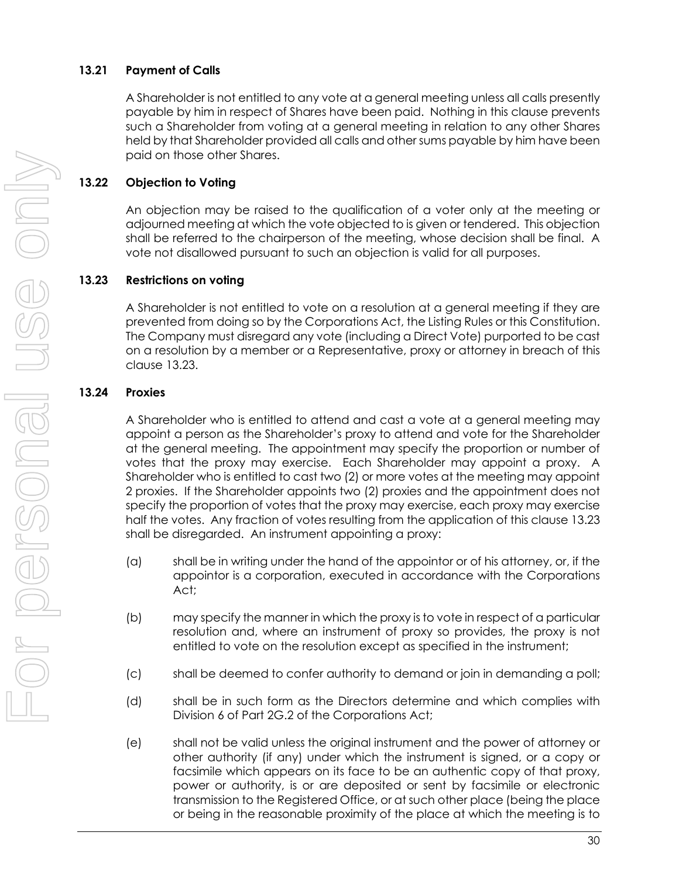### **13.21 Payment of Calls**

A Shareholder is not entitled to any vote at a general meeting unless all calls presently payable by him in respect of Shares have been paid. Nothing in this clause prevents such a Shareholder from voting at a general meeting in relation to any other Shares held by that Shareholder provided all calls and other sums payable by him have been paid on those other Shares.

### **13.22 Objection to Voting**

An objection may be raised to the qualification of a voter only at the meeting or adjourned meeting at which the vote objected to is given or tendered. This objection shall be referred to the chairperson of the meeting, whose decision shall be final. A vote not disallowed pursuant to such an objection is valid for all purposes.

### <span id="page-37-0"></span>**13.23 Restrictions on voting**

A Shareholder is not entitled to vote on a resolution at a general meeting if they are prevented from doing so by the Corporations Act, the Listing Rules or this Constitution. The Company must disregard any vote (including a Direct Vote) purported to be cast on a resolution by a member or a Representative, proxy or attorney in breach of this clause [13.23.](#page-37-0)

### <span id="page-37-1"></span>**13.24 Proxies**

A Shareholder who is entitled to attend and cast a vote at a general meeting may appoint a person as the Shareholder's proxy to attend and vote for the Shareholder at the general meeting. The appointment may specify the proportion or number of votes that the proxy may exercise. Each Shareholder may appoint a proxy. A Shareholder who is entitled to cast two (2) or more votes at the meeting may appoint 2 proxies. If the Shareholder appoints two (2) proxies and the appointment does not specify the proportion of votes that the proxy may exercise, each proxy may exercise half the votes. Any fraction of votes resulting from the application of this clause [13.23](#page-37-0) shall be disregarded. An instrument appointing a proxy:

- (a) shall be in writing under the hand of the appointor or of his attorney, or, if the appointor is a corporation, executed in accordance with the Corporations Act;
- (b) may specify the manner in which the proxy is to vote in respect of a particular resolution and, where an instrument of proxy so provides, the proxy is not entitled to vote on the resolution except as specified in the instrument;
- (c) shall be deemed to confer authority to demand or join in demanding a poll;
- (d) shall be in such form as the Directors determine and which complies with Division 6 of Part 2G.2 of the Corporations Act;
- <span id="page-37-2"></span>(e) shall not be valid unless the original instrument and the power of attorney or other authority (if any) under which the instrument is signed, or a copy or facsimile which appears on its face to be an authentic copy of that proxy, power or authority, is or are deposited or sent by facsimile or electronic transmission to the Registered Office, or at such other place (being the place or being in the reasonable proximity of the place at which the meeting is to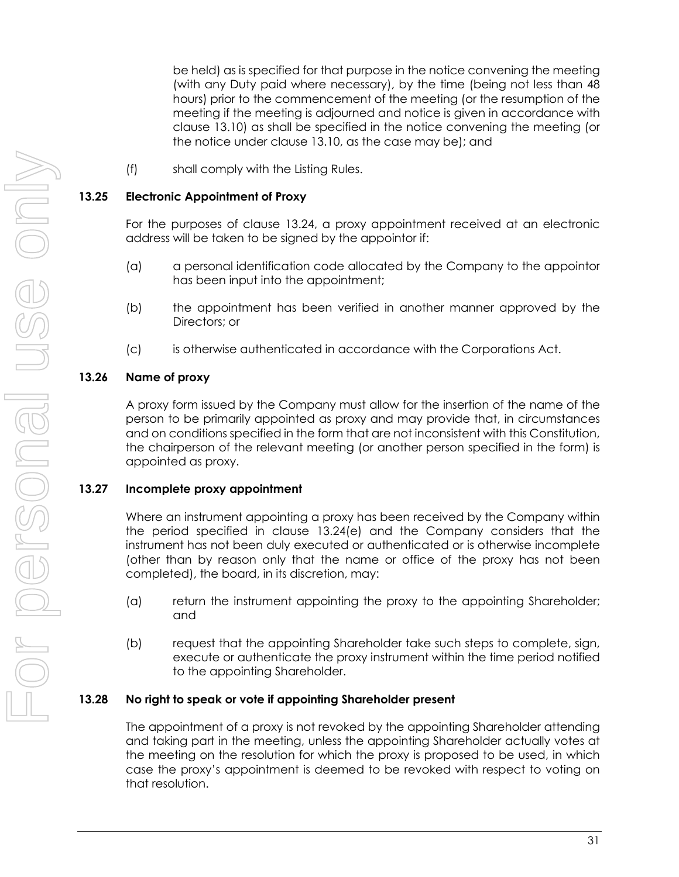be held) as is specified for that purpose in the notice convening the meeting (with any Duty paid where necessary), by the time (being not less than 48 hours) prior to the commencement of the meeting (or the resumption of the meeting if the meeting is adjourned and notice is given in accordance with clause [13.10\)](#page-35-0) as shall be specified in the notice convening the meeting (or the notice under clause [13.10,](#page-35-0) as the case may be); and

(f) shall comply with the Listing Rules.

#### **13.25 Electronic Appointment of Proxy**

For the purposes of clause [13.24,](#page-37-1) a proxy appointment received at an electronic address will be taken to be signed by the appointor if:

- (a) a personal identification code allocated by the Company to the appointor has been input into the appointment;
- (b) the appointment has been verified in another manner approved by the Directors; or
- (c) is otherwise authenticated in accordance with the Corporations Act.

### **13.26 Name of proxy**

A proxy form issued by the Company must allow for the insertion of the name of the person to be primarily appointed as proxy and may provide that, in circumstances and on conditions specified in the form that are not inconsistent with this Constitution, the chairperson of the relevant meeting (or another person specified in the form) is appointed as proxy.

#### **13.27 Incomplete proxy appointment**

Where an instrument appointing a proxy has been received by the Company within the period specified in clause [13.24\(e\)](#page-37-2) and the Company considers that the instrument has not been duly executed or authenticated or is otherwise incomplete (other than by reason only that the name or office of the proxy has not been completed), the board, in its discretion, may:

- (a) return the instrument appointing the proxy to the appointing Shareholder; and
- (b) request that the appointing Shareholder take such steps to complete, sign, execute or authenticate the proxy instrument within the time period notified to the appointing Shareholder.

### **13.28 No right to speak or vote if appointing Shareholder present**

The appointment of a proxy is not revoked by the appointing Shareholder attending and taking part in the meeting, unless the appointing Shareholder actually votes at the meeting on the resolution for which the proxy is proposed to be used, in which case the proxy's appointment is deemed to be revoked with respect to voting on that resolution.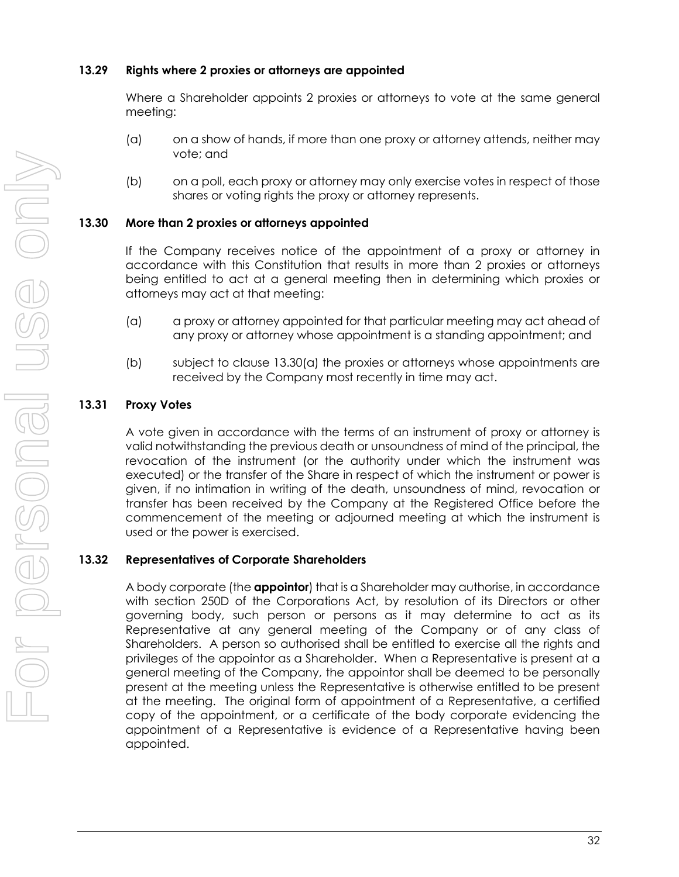#### **13.29 Rights where 2 proxies or attorneys are appointed**

Where a Shareholder appoints 2 proxies or attorneys to vote at the same general meeting:

- (a) on a show of hands, if more than one proxy or attorney attends, neither may vote; and
- (b) on a poll, each proxy or attorney may only exercise votes in respect of those shares or voting rights the proxy or attorney represents.

#### **13.30 More than 2 proxies or attorneys appointed**

If the Company receives notice of the appointment of a proxy or attorney in accordance with this Constitution that results in more than 2 proxies or attorneys being entitled to act at a general meeting then in determining which proxies or attorneys may act at that meeting:

- <span id="page-39-0"></span>(a) a proxy or attorney appointed for that particular meeting may act ahead of any proxy or attorney whose appointment is a standing appointment; and
- (b) subject to clause [13.30\(a\)](#page-39-0) the proxies or attorneys whose appointments are received by the Company most recently in time may act.

### **13.31 Proxy Votes**

A vote given in accordance with the terms of an instrument of proxy or attorney is valid notwithstanding the previous death or unsoundness of mind of the principal, the revocation of the instrument (or the authority under which the instrument was executed) or the transfer of the Share in respect of which the instrument or power is given, if no intimation in writing of the death, unsoundness of mind, revocation or transfer has been received by the Company at the Registered Office before the commencement of the meeting or adjourned meeting at which the instrument is used or the power is exercised.

#### <span id="page-39-1"></span>**13.32 Representatives of Corporate Shareholders**

A body corporate (the **appointor**) that is a Shareholder may authorise, in accordance with section 250D of the Corporations Act, by resolution of its Directors or other governing body, such person or persons as it may determine to act as its Representative at any general meeting of the Company or of any class of Shareholders. A person so authorised shall be entitled to exercise all the rights and privileges of the appointor as a Shareholder. When a Representative is present at a general meeting of the Company, the appointor shall be deemed to be personally present at the meeting unless the Representative is otherwise entitled to be present at the meeting. The original form of appointment of a Representative, a certified copy of the appointment, or a certificate of the body corporate evidencing the appointment of a Representative is evidence of a Representative having been appointed.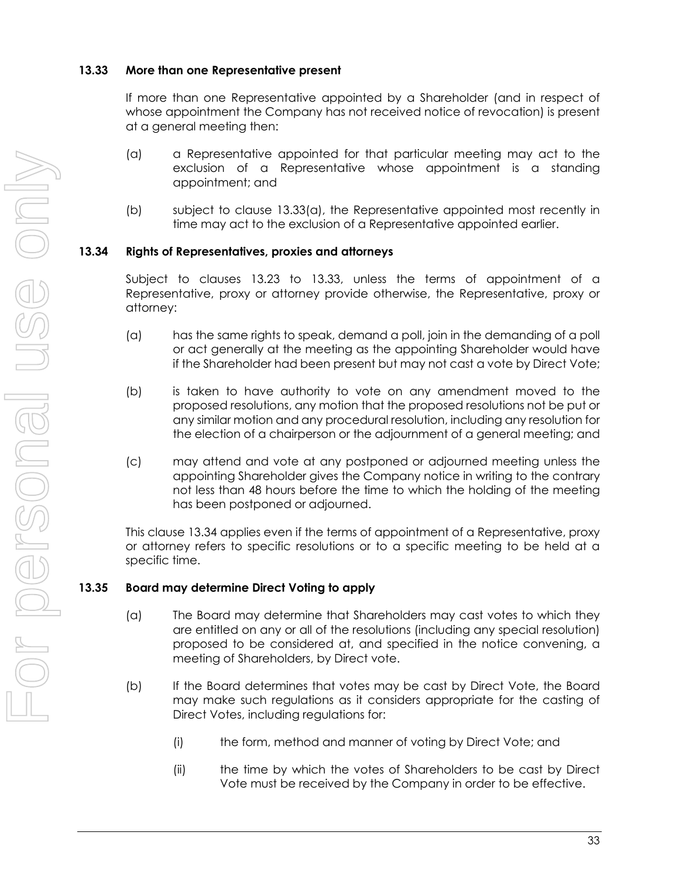#### <span id="page-40-1"></span>**13.33 More than one Representative present**

If more than one Representative appointed by a Shareholder (and in respect of whose appointment the Company has not received notice of revocation) is present at a general meeting then:

- <span id="page-40-0"></span>(a) a Representative appointed for that particular meeting may act to the exclusion of a Representative whose appointment is a standing appointment; and
- (b) subject to clause [13.33\(a\),](#page-40-0) the Representative appointed most recently in time may act to the exclusion of a Representative appointed earlier.

### <span id="page-40-2"></span>**13.34 Rights of Representatives, proxies and attorneys**

Subject to clauses [13.23](#page-37-0) to [13.33,](#page-40-1) unless the terms of appointment of a Representative, proxy or attorney provide otherwise, the Representative, proxy or attorney:

- (a) has the same rights to speak, demand a poll, join in the demanding of a poll or act generally at the meeting as the appointing Shareholder would have if the Shareholder had been present but may not cast a vote by Direct Vote;
- (b) is taken to have authority to vote on any amendment moved to the proposed resolutions, any motion that the proposed resolutions not be put or any similar motion and any procedural resolution, including any resolution for the election of a chairperson or the adjournment of a general meeting; and
- (c) may attend and vote at any postponed or adjourned meeting unless the appointing Shareholder gives the Company notice in writing to the contrary not less than 48 hours before the time to which the holding of the meeting has been postponed or adjourned.

This clause [13.34](#page-40-2) applies even if the terms of appointment of a Representative, proxy or attorney refers to specific resolutions or to a specific meeting to be held at a specific time.

#### <span id="page-40-3"></span>**13.35 Board may determine Direct Voting to apply**

- (a) The Board may determine that Shareholders may cast votes to which they are entitled on any or all of the resolutions (including any special resolution) proposed to be considered at, and specified in the notice convening, a meeting of Shareholders, by Direct vote.
- (b) If the Board determines that votes may be cast by Direct Vote, the Board may make such regulations as it considers appropriate for the casting of Direct Votes, including regulations for:
	- (i) the form, method and manner of voting by Direct Vote; and
	- (ii) the time by which the votes of Shareholders to be cast by Direct Vote must be received by the Company in order to be effective.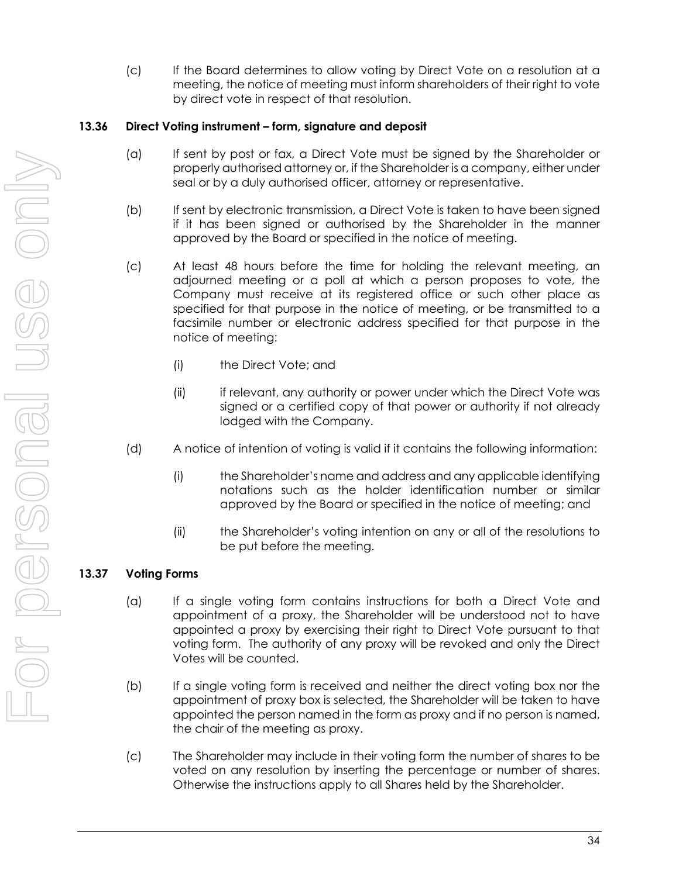(c) If the Board determines to allow voting by Direct Vote on a resolution at a meeting, the notice of meeting must inform shareholders of their right to vote by direct vote in respect of that resolution.

### **13.36 Direct Voting instrument – form, signature and deposit**

- (a) If sent by post or fax, a Direct Vote must be signed by the Shareholder or properly authorised attorney or, if the Shareholder is a company, either under seal or by a duly authorised officer, attorney or representative.
- (b) If sent by electronic transmission, a Direct Vote is taken to have been signed if it has been signed or authorised by the Shareholder in the manner approved by the Board or specified in the notice of meeting.
- (c) At least 48 hours before the time for holding the relevant meeting, an adjourned meeting or a poll at which a person proposes to vote, the Company must receive at its registered office or such other place as specified for that purpose in the notice of meeting, or be transmitted to a facsimile number or electronic address specified for that purpose in the notice of meeting:
	- (i) the Direct Vote; and
	- (ii) if relevant, any authority or power under which the Direct Vote was signed or a certified copy of that power or authority if not already lodged with the Company.
- (d) A notice of intention of voting is valid if it contains the following information:
	- (i) the Shareholder's name and address and any applicable identifying notations such as the holder identification number or similar approved by the Board or specified in the notice of meeting; and
	- (ii) the Shareholder's voting intention on any or all of the resolutions to be put before the meeting.

### **13.37 Voting Forms**

- (a) If a single voting form contains instructions for both a Direct Vote and appointment of a proxy, the Shareholder will be understood not to have appointed a proxy by exercising their right to Direct Vote pursuant to that voting form. The authority of any proxy will be revoked and only the Direct Votes will be counted.
- (b) If a single voting form is received and neither the direct voting box nor the appointment of proxy box is selected, the Shareholder will be taken to have appointed the person named in the form as proxy and if no person is named, the chair of the meeting as proxy.
- (c) The Shareholder may include in their voting form the number of shares to be voted on any resolution by inserting the percentage or number of shares. Otherwise the instructions apply to all Shares held by the Shareholder.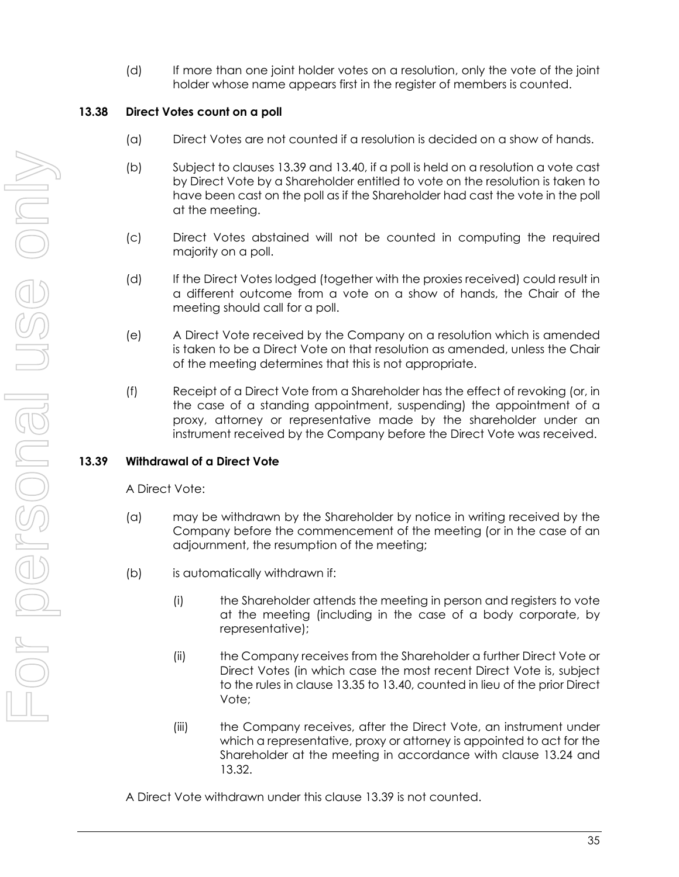(d) If more than one joint holder votes on a resolution, only the vote of the joint holder whose name appears first in the register of members is counted.

### **13.38 Direct Votes count on a poll**

- (a) Direct Votes are not counted if a resolution is decided on a show of hands.
- (b) Subject to clauses [13.39](#page-42-0) and [13.40,](#page-43-0) if a poll is held on a resolution a vote cast by Direct Vote by a Shareholder entitled to vote on the resolution is taken to have been cast on the poll as if the Shareholder had cast the vote in the poll at the meeting.
- (c) Direct Votes abstained will not be counted in computing the required majority on a poll.
- (d) If the Direct Votes lodged (together with the proxies received) could result in a different outcome from a vote on a show of hands, the Chair of the meeting should call for a poll.
- (e) A Direct Vote received by the Company on a resolution which is amended is taken to be a Direct Vote on that resolution as amended, unless the Chair of the meeting determines that this is not appropriate.
- (f) Receipt of a Direct Vote from a Shareholder has the effect of revoking (or, in the case of a standing appointment, suspending) the appointment of a proxy, attorney or representative made by the shareholder under an instrument received by the Company before the Direct Vote was received.

### <span id="page-42-0"></span>**13.39 Withdrawal of a Direct Vote**

A Direct Vote:

- (a) may be withdrawn by the Shareholder by notice in writing received by the Company before the commencement of the meeting (or in the case of an adjournment, the resumption of the meeting;
- (b) is automatically withdrawn if:
	- (i) the Shareholder attends the meeting in person and registers to vote at the meeting (including in the case of a body corporate, by representative);
	- (ii) the Company receives from the Shareholder a further Direct Vote or Direct Votes (in which case the most recent Direct Vote is, subject to the rules in clause [13.35](#page-40-3) t[o 13.40,](#page-43-0) counted in lieu of the prior Direct Vote;
	- (iii) the Company receives, after the Direct Vote, an instrument under which a representative, proxy or attorney is appointed to act for the Shareholder at the meeting in accordance with clause [13.24](#page-37-1) and [13.32.](#page-39-1)

A Direct Vote withdrawn under this clause [13.39](#page-42-0) is not counted.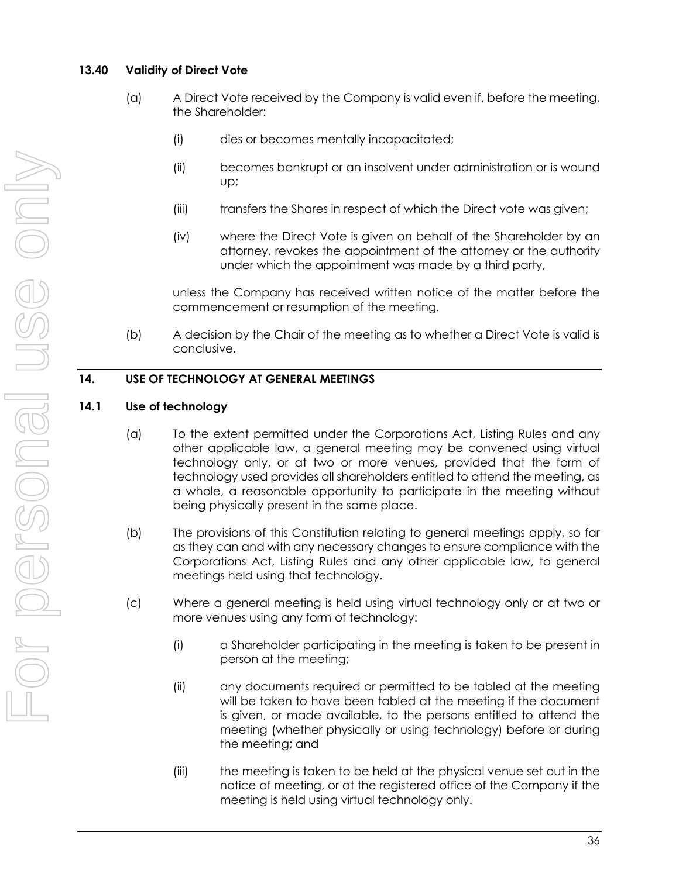#### <span id="page-43-0"></span>**13.40 Validity of Direct Vote**

- (a) A Direct Vote received by the Company is valid even if, before the meeting, the Shareholder:
	- (i) dies or becomes mentally incapacitated;
	- (ii) becomes bankrupt or an insolvent under administration or is wound up;
	- (iii) transfers the Shares in respect of which the Direct vote was given;
	- (iv) where the Direct Vote is given on behalf of the Shareholder by an attorney, revokes the appointment of the attorney or the authority under which the appointment was made by a third party,

unless the Company has received written notice of the matter before the commencement or resumption of the meeting.

(b) A decision by the Chair of the meeting as to whether a Direct Vote is valid is conclusive.

#### **14. USE OF TECHNOLOGY AT GENERAL MEETINGS**

#### **14.1 Use of technology**

- (a) To the extent permitted under the Corporations Act, Listing Rules and any other applicable law, a general meeting may be convened using virtual technology only, or at two or more venues, provided that the form of technology used provides all shareholders entitled to attend the meeting, as a whole, a reasonable opportunity to participate in the meeting without being physically present in the same place.
- (b) The provisions of this Constitution relating to general meetings apply, so far as they can and with any necessary changes to ensure compliance with the Corporations Act, Listing Rules and any other applicable law, to general meetings held using that technology.
- (c) Where a general meeting is held using virtual technology only or at two or more venues using any form of technology:
	- (i) a Shareholder participating in the meeting is taken to be present in person at the meeting;
	- (ii) any documents required or permitted to be tabled at the meeting will be taken to have been tabled at the meeting if the document is given, or made available, to the persons entitled to attend the meeting (whether physically or using technology) before or during the meeting; and
	- (iii) the meeting is taken to be held at the physical venue set out in the notice of meeting, or at the registered office of the Company if the meeting is held using virtual technology only.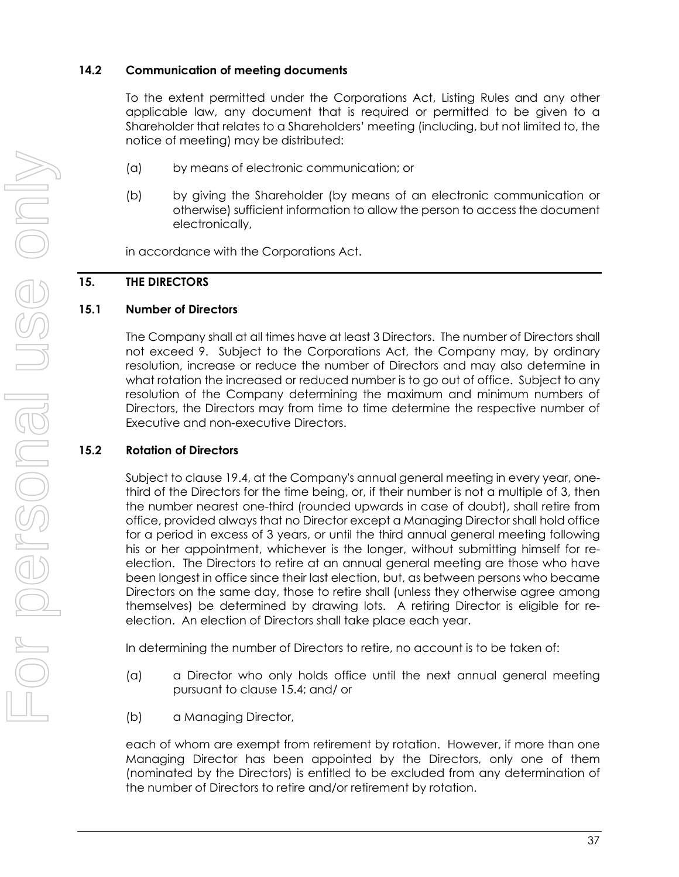#### **14.2 Communication of meeting documents**

To the extent permitted under the Corporations Act, Listing Rules and any other applicable law, any document that is required or permitted to be given to a Shareholder that relates to a Shareholders' meeting (including, but not limited to, the notice of meeting) may be distributed:

- (a) by means of electronic communication; or
- (b) by giving the Shareholder (by means of an electronic communication or otherwise) sufficient information to allow the person to access the document electronically,

in accordance with the Corporations Act.

#### **15. THE DIRECTORS**

#### **15.1 Number of Directors**

The Company shall at all times have at least 3 Directors. The number of Directors shall not exceed 9. Subject to the Corporations Act, the Company may, by ordinary resolution, increase or reduce the number of Directors and may also determine in what rotation the increased or reduced number is to go out of office. Subject to any resolution of the Company determining the maximum and minimum numbers of Directors, the Directors may from time to time determine the respective number of Executive and non-executive Directors.

#### <span id="page-44-0"></span>**15.2 Rotation of Directors**

Subject to clause [19.4,](#page-54-0) at the Company's annual general meeting in every year, onethird of the Directors for the time being, or, if their number is not a multiple of 3, then the number nearest one-third (rounded upwards in case of doubt), shall retire from office, provided always that no Director except a Managing Director shall hold office for a period in excess of 3 years, or until the third annual general meeting following his or her appointment, whichever is the longer, without submitting himself for reelection. The Directors to retire at an annual general meeting are those who have been longest in office since their last election, but, as between persons who became Directors on the same day, those to retire shall (unless they otherwise agree among themselves) be determined by drawing lots. A retiring Director is eligible for reelection. An election of Directors shall take place each year.

In determining the number of Directors to retire, no account is to be taken of:

- (a) a Director who only holds office until the next annual general meeting pursuant to clause [15.4;](#page-45-0) and/ or
- (b) a Managing Director,

each of whom are exempt from retirement by rotation. However, if more than one Managing Director has been appointed by the Directors, only one of them (nominated by the Directors) is entitled to be excluded from any determination of the number of Directors to retire and/or retirement by rotation.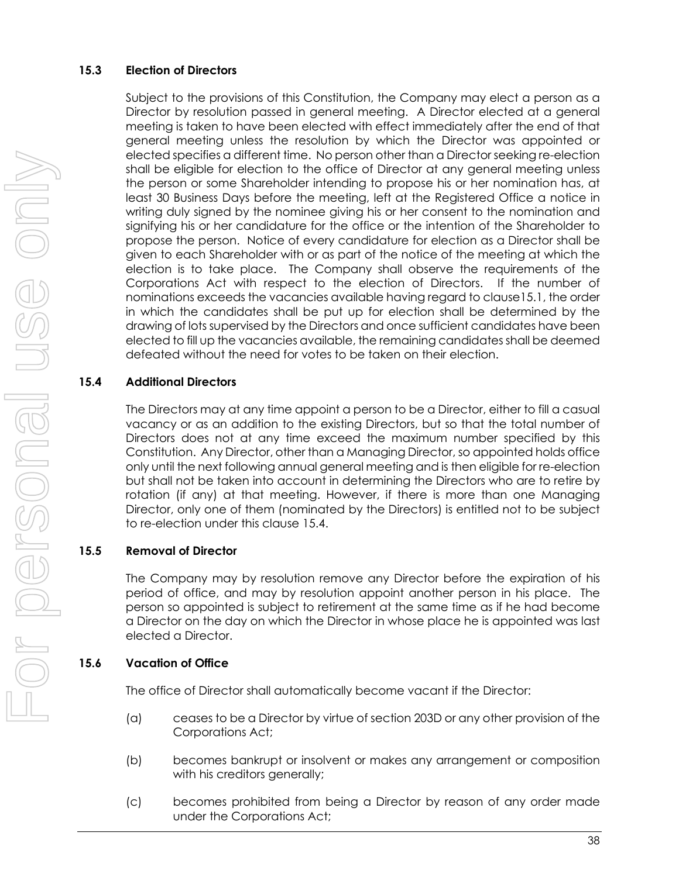### **15.3 Election of Directors**

Subject to the provisions of this Constitution, the Company may elect a person as a Director by resolution passed in general meeting. A Director elected at a general meeting is taken to have been elected with effect immediately after the end of that general meeting unless the resolution by which the Director was appointed or elected specifies a different time. No person other than a Director seeking re-election shall be eligible for election to the office of Director at any general meeting unless the person or some Shareholder intending to propose his or her nomination has, at least 30 Business Days before the meeting, left at the Registered Office a notice in writing duly signed by the nominee giving his or her consent to the nomination and signifying his or her candidature for the office or the intention of the Shareholder to propose the person. Notice of every candidature for election as a Director shall be given to each Shareholder with or as part of the notice of the meeting at which the election is to take place. The Company shall observe the requirements of the Corporations Act with respect to the election of Directors. If the number of nominations exceeds the vacancies available having regard to clause15.1, the order in which the candidates shall be put up for election shall be determined by the drawing of lots supervised by the Directors and once sufficient candidates have been elected to fill up the vacancies available, the remaining candidates shall be deemed defeated without the need for votes to be taken on their election.

### <span id="page-45-0"></span>**15.4 Additional Directors**

The Directors may at any time appoint a person to be a Director, either to fill a casual vacancy or as an addition to the existing Directors, but so that the total number of Directors does not at any time exceed the maximum number specified by this Constitution. Any Director, other than a Managing Director, so appointed holds office only until the next following annual general meeting and is then eligible for re-election but shall not be taken into account in determining the Directors who are to retire by rotation (if any) at that meeting. However, if there is more than one Managing Director, only one of them (nominated by the Directors) is entitled not to be subject to re-election under this clause [15.4.](#page-45-0)

### <span id="page-45-1"></span>**15.5 Removal of Director**

The Company may by resolution remove any Director before the expiration of his period of office, and may by resolution appoint another person in his place. The person so appointed is subject to retirement at the same time as if he had become a Director on the day on which the Director in whose place he is appointed was last elected a Director.

### **15.6 Vacation of Office**

The office of Director shall automatically become vacant if the Director:

- (a) ceases to be a Director by virtue of section 203D or any other provision of the Corporations Act;
- (b) becomes bankrupt or insolvent or makes any arrangement or composition with his creditors generally;
- (c) becomes prohibited from being a Director by reason of any order made under the Corporations Act;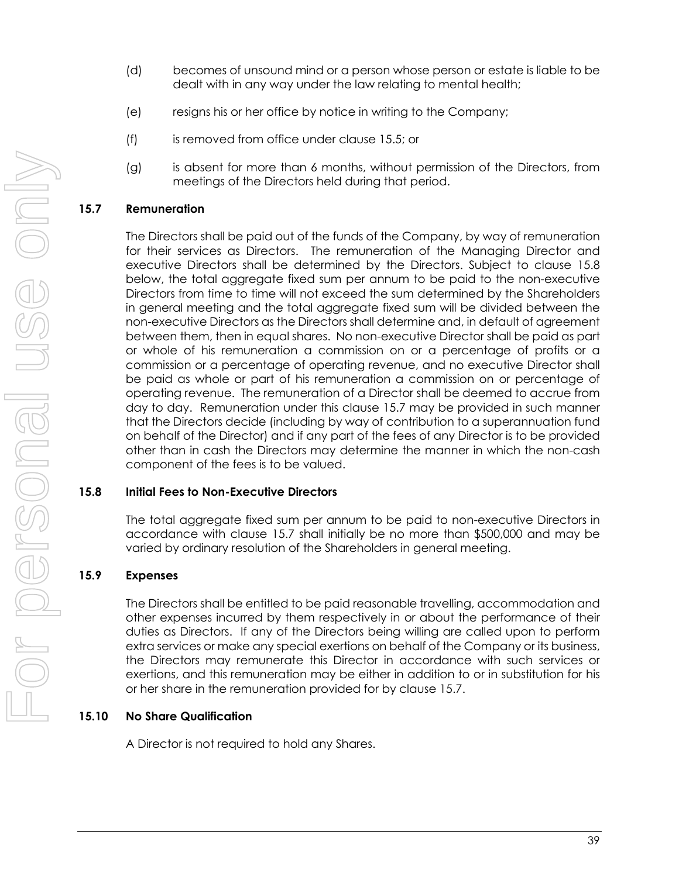- (d) becomes of unsound mind or a person whose person or estate is liable to be dealt with in any way under the law relating to mental health;
- (e) resigns his or her office by notice in writing to the Company;
- (f) is removed from office under clause [15.5;](#page-45-1) or
- (g) is absent for more than 6 months, without permission of the Directors, from meetings of the Directors held during that period.

#### <span id="page-46-1"></span>**15.7 Remuneration**

The Directors shall be paid out of the funds of the Company, by way of remuneration for their services as Directors. The remuneration of the Managing Director and executive Directors shall be determined by the Directors. Subject to clause [15.8](#page-46-0) below, the total aggregate fixed sum per annum to be paid to the non-executive Directors from time to time will not exceed the sum determined by the Shareholders in general meeting and the total aggregate fixed sum will be divided between the non-executive Directors as the Directors shall determine and, in default of agreement between them, then in equal shares. No non-executive Director shall be paid as part or whole of his remuneration a commission on or a percentage of profits or a commission or a percentage of operating revenue, and no executive Director shall be paid as whole or part of his remuneration a commission on or percentage of operating revenue. The remuneration of a Director shall be deemed to accrue from day to day. Remuneration under this clause [15.7](#page-46-1) may be provided in such manner that the Directors decide (including by way of contribution to a superannuation fund on behalf of the Director) and if any part of the fees of any Director is to be provided other than in cash the Directors may determine the manner in which the non-cash component of the fees is to be valued.

#### <span id="page-46-0"></span>**15.8 Initial Fees to Non-Executive Directors**

The total aggregate fixed sum per annum to be paid to non-executive Directors in accordance with clause [15.7](#page-46-1) shall initially be no more than \$500,000 and may be varied by ordinary resolution of the Shareholders in general meeting.

#### **15.9 Expenses**

The Directors shall be entitled to be paid reasonable travelling, accommodation and other expenses incurred by them respectively in or about the performance of their duties as Directors. If any of the Directors being willing are called upon to perform extra services or make any special exertions on behalf of the Company or its business, the Directors may remunerate this Director in accordance with such services or exertions, and this remuneration may be either in addition to or in substitution for his or her share in the remuneration provided for by clause [15.7.](#page-46-1)

#### **15.10 No Share Qualification**

A Director is not required to hold any Shares.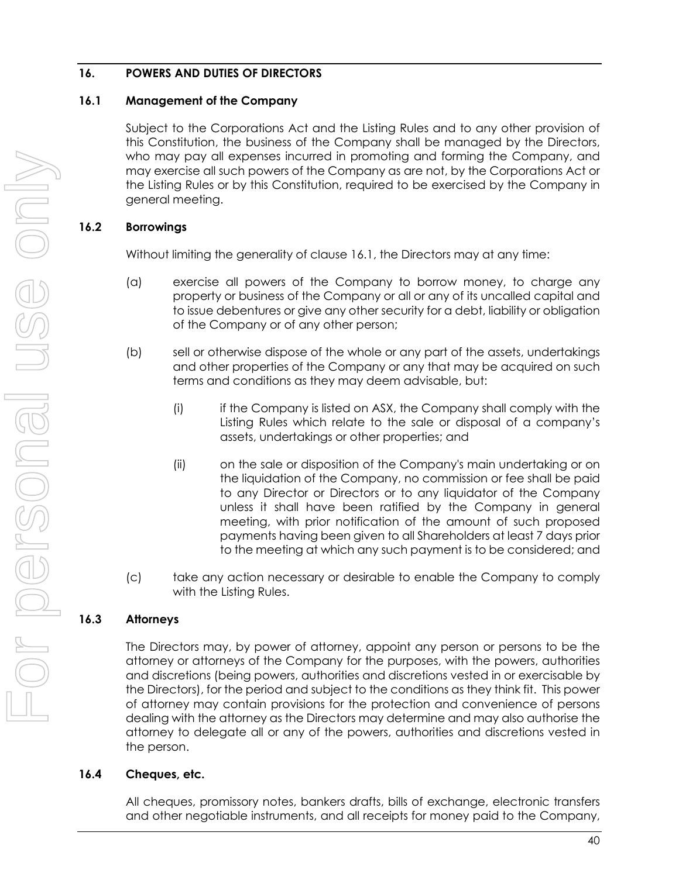### **16. POWERS AND DUTIES OF DIRECTORS**

#### <span id="page-47-0"></span>**16.1 Management of the Company**

Subject to the Corporations Act and the Listing Rules and to any other provision of this Constitution, the business of the Company shall be managed by the Directors, who may pay all expenses incurred in promoting and forming the Company, and may exercise all such powers of the Company as are not, by the Corporations Act or the Listing Rules or by this Constitution, required to be exercised by the Company in general meeting.

### **16.2 Borrowings**

Without limiting the generality of clause [16.1,](#page-47-0) the Directors may at any time:

- (a) exercise all powers of the Company to borrow money, to charge any property or business of the Company or all or any of its uncalled capital and to issue debentures or give any other security for a debt, liability or obligation of the Company or of any other person;
- (b) sell or otherwise dispose of the whole or any part of the assets, undertakings and other properties of the Company or any that may be acquired on such terms and conditions as they may deem advisable, but:
	- (i) if the Company is listed on ASX, the Company shall comply with the Listing Rules which relate to the sale or disposal of a company's assets, undertakings or other properties; and
	- (ii) on the sale or disposition of the Company's main undertaking or on the liquidation of the Company, no commission or fee shall be paid to any Director or Directors or to any liquidator of the Company unless it shall have been ratified by the Company in general meeting, with prior notification of the amount of such proposed payments having been given to all Shareholders at least 7 days prior to the meeting at which any such payment is to be considered; and
- (c) take any action necessary or desirable to enable the Company to comply with the Listing Rules.

## **16.3 Attorneys**

The Directors may, by power of attorney, appoint any person or persons to be the attorney or attorneys of the Company for the purposes, with the powers, authorities and discretions (being powers, authorities and discretions vested in or exercisable by the Directors), for the period and subject to the conditions as they think fit. This power of attorney may contain provisions for the protection and convenience of persons dealing with the attorney as the Directors may determine and may also authorise the attorney to delegate all or any of the powers, authorities and discretions vested in the person.

## **16.4 Cheques, etc.**

All cheques, promissory notes, bankers drafts, bills of exchange, electronic transfers and other negotiable instruments, and all receipts for money paid to the Company,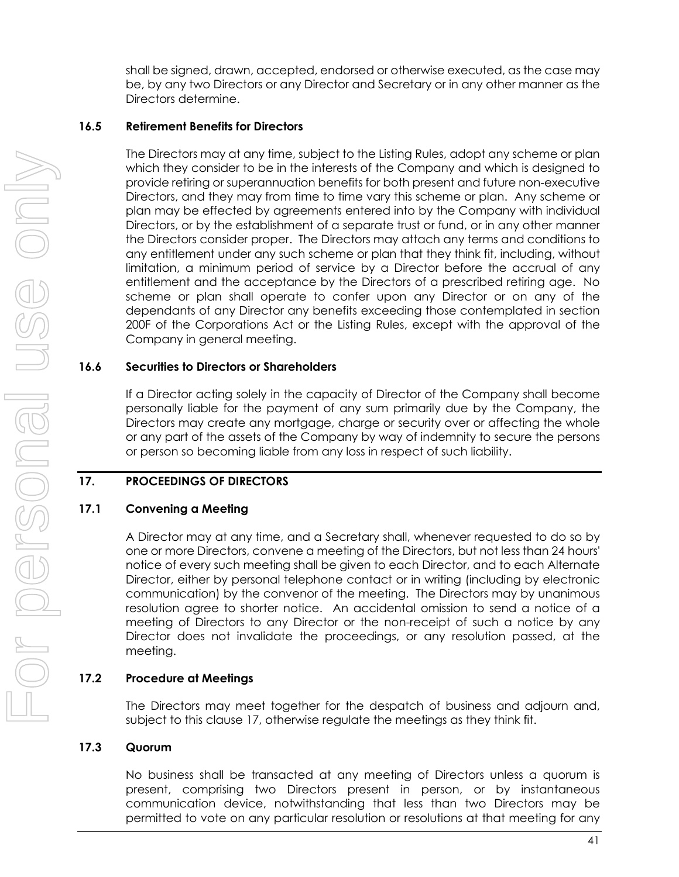shall be signed, drawn, accepted, endorsed or otherwise executed, as the case may be, by any two Directors or any Director and Secretary or in any other manner as the Directors determine.

#### **16.5 Retirement Benefits for Directors**

The Directors may at any time, subject to the Listing Rules, adopt any scheme or plan which they consider to be in the interests of the Company and which is designed to provide retiring or superannuation benefits for both present and future non-executive Directors, and they may from time to time vary this scheme or plan. Any scheme or plan may be effected by agreements entered into by the Company with individual Directors, or by the establishment of a separate trust or fund, or in any other manner the Directors consider proper. The Directors may attach any terms and conditions to any entitlement under any such scheme or plan that they think fit, including, without limitation, a minimum period of service by a Director before the accrual of any entitlement and the acceptance by the Directors of a prescribed retiring age. No scheme or plan shall operate to confer upon any Director or on any of the dependants of any Director any benefits exceeding those contemplated in section 200F of the Corporations Act or the Listing Rules, except with the approval of the Company in general meeting.

### **16.6 Securities to Directors or Shareholders**

If a Director acting solely in the capacity of Director of the Company shall become personally liable for the payment of any sum primarily due by the Company, the Directors may create any mortgage, charge or security over or affecting the whole or any part of the assets of the Company by way of indemnity to secure the persons or person so becoming liable from any loss in respect of such liability.

### <span id="page-48-0"></span>**17. PROCEEDINGS OF DIRECTORS**

### **17.1 Convening a Meeting**

A Director may at any time, and a Secretary shall, whenever requested to do so by one or more Directors, convene a meeting of the Directors, but not less than 24 hours' notice of every such meeting shall be given to each Director, and to each Alternate Director, either by personal telephone contact or in writing (including by electronic communication) by the convenor of the meeting. The Directors may by unanimous resolution agree to shorter notice. An accidental omission to send a notice of a meeting of Directors to any Director or the non-receipt of such a notice by any Director does not invalidate the proceedings, or any resolution passed, at the meeting.

### **17.2 Procedure at Meetings**

The Directors may meet together for the despatch of business and adjourn and, subject to this clause [17,](#page-48-0) otherwise regulate the meetings as they think fit.

### **17.3 Quorum**

No business shall be transacted at any meeting of Directors unless a quorum is present, comprising two Directors present in person, or by instantaneous communication device, notwithstanding that less than two Directors may be permitted to vote on any particular resolution or resolutions at that meeting for any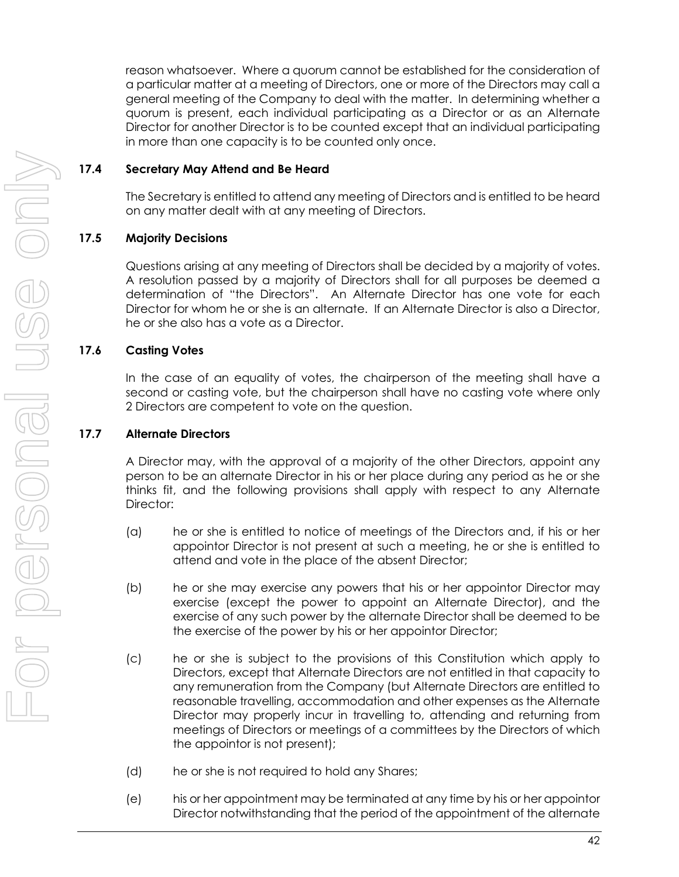reason whatsoever. Where a quorum cannot be established for the consideration of a particular matter at a meeting of Directors, one or more of the Directors may call a general meeting of the Company to deal with the matter. In determining whether a quorum is present, each individual participating as a Director or as an Alternate Director for another Director is to be counted except that an individual participating in more than one capacity is to be counted only once.

### **17.4 Secretary May Attend and Be Heard**

The Secretary is entitled to attend any meeting of Directors and is entitled to be heard on any matter dealt with at any meeting of Directors.

### **17.5 Majority Decisions**

Questions arising at any meeting of Directors shall be decided by a majority of votes. A resolution passed by a majority of Directors shall for all purposes be deemed a determination of "the Directors". An Alternate Director has one vote for each Director for whom he or she is an alternate. If an Alternate Director is also a Director, he or she also has a vote as a Director.

### **17.6 Casting Votes**

In the case of an equality of votes, the chairperson of the meeting shall have a second or casting vote, but the chairperson shall have no casting vote where only 2 Directors are competent to vote on the question.

### **17.7 Alternate Directors**

A Director may, with the approval of a majority of the other Directors, appoint any person to be an alternate Director in his or her place during any period as he or she thinks fit, and the following provisions shall apply with respect to any Alternate Director:

- (a) he or she is entitled to notice of meetings of the Directors and, if his or her appointor Director is not present at such a meeting, he or she is entitled to attend and vote in the place of the absent Director;
- (b) he or she may exercise any powers that his or her appointor Director may exercise (except the power to appoint an Alternate Director), and the exercise of any such power by the alternate Director shall be deemed to be the exercise of the power by his or her appointor Director;
- (c) he or she is subject to the provisions of this Constitution which apply to Directors, except that Alternate Directors are not entitled in that capacity to any remuneration from the Company (but Alternate Directors are entitled to reasonable travelling, accommodation and other expenses as the Alternate Director may properly incur in travelling to, attending and returning from meetings of Directors or meetings of a committees by the Directors of which the appointor is not present);
- (d) he or she is not required to hold any Shares;
- (e) his or her appointment may be terminated at any time by his or her appointor Director notwithstanding that the period of the appointment of the alternate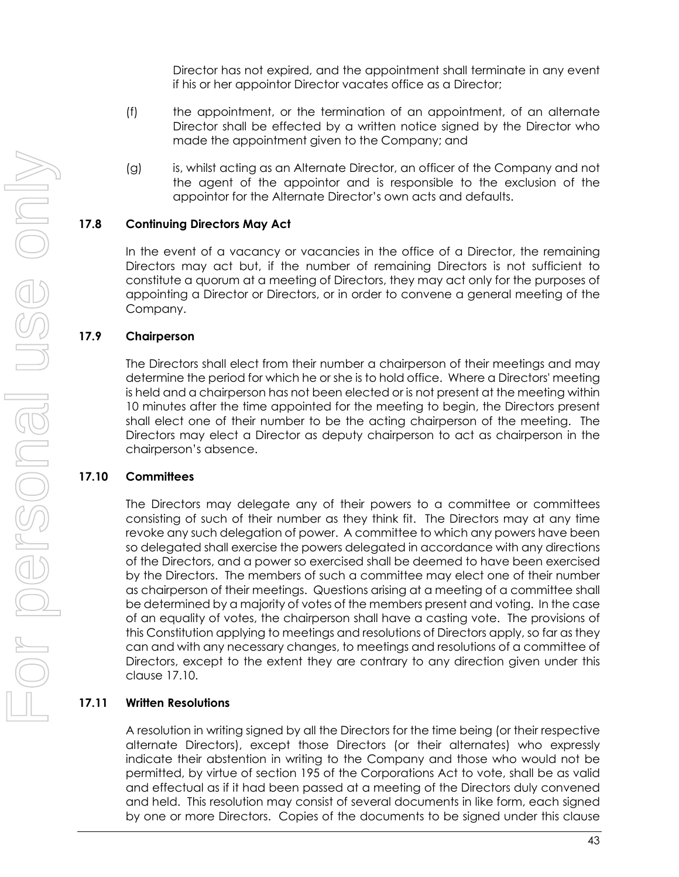Director has not expired, and the appointment shall terminate in any event if his or her appointor Director vacates office as a Director;

- (f) the appointment, or the termination of an appointment, of an alternate Director shall be effected by a written notice signed by the Director who made the appointment given to the Company; and
- (g) is, whilst acting as an Alternate Director, an officer of the Company and not the agent of the appointor and is responsible to the exclusion of the appointor for the Alternate Director's own acts and defaults.

### **17.8 Continuing Directors May Act**

In the event of a vacancy or vacancies in the office of a Director, the remaining Directors may act but, if the number of remaining Directors is not sufficient to constitute a quorum at a meeting of Directors, they may act only for the purposes of appointing a Director or Directors, or in order to convene a general meeting of the Company.

#### **17.9 Chairperson**

The Directors shall elect from their number a chairperson of their meetings and may determine the period for which he or she is to hold office. Where a Directors' meeting is held and a chairperson has not been elected or is not present at the meeting within 10 minutes after the time appointed for the meeting to begin, the Directors present shall elect one of their number to be the acting chairperson of the meeting. The Directors may elect a Director as deputy chairperson to act as chairperson in the chairperson's absence.

### <span id="page-50-0"></span>**17.10 Committees**

The Directors may delegate any of their powers to a committee or committees consisting of such of their number as they think fit. The Directors may at any time revoke any such delegation of power. A committee to which any powers have been so delegated shall exercise the powers delegated in accordance with any directions of the Directors, and a power so exercised shall be deemed to have been exercised by the Directors. The members of such a committee may elect one of their number as chairperson of their meetings. Questions arising at a meeting of a committee shall be determined by a majority of votes of the members present and voting. In the case of an equality of votes, the chairperson shall have a casting vote. The provisions of this Constitution applying to meetings and resolutions of Directors apply, so far as they can and with any necessary changes, to meetings and resolutions of a committee of Directors, except to the extent they are contrary to any direction given under this clause [17.10.](#page-50-0)

### **17.11 Written Resolutions**

A resolution in writing signed by all the Directors for the time being (or their respective alternate Directors), except those Directors (or their alternates) who expressly indicate their abstention in writing to the Company and those who would not be permitted, by virtue of section 195 of the Corporations Act to vote, shall be as valid and effectual as if it had been passed at a meeting of the Directors duly convened and held. This resolution may consist of several documents in like form, each signed by one or more Directors. Copies of the documents to be signed under this clause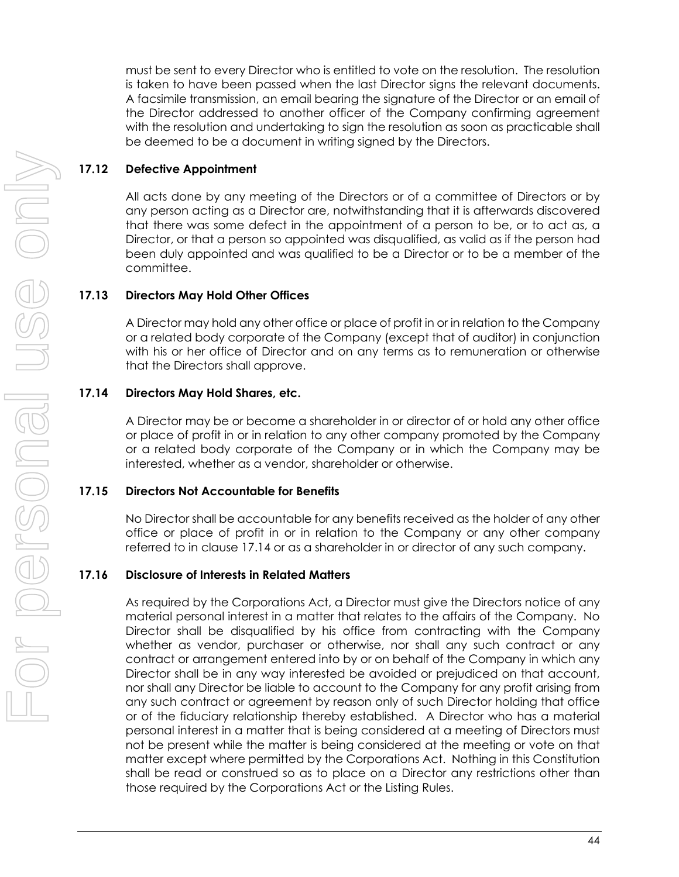must be sent to every Director who is entitled to vote on the resolution. The resolution is taken to have been passed when the last Director signs the relevant documents. A facsimile transmission, an email bearing the signature of the Director or an email of the Director addressed to another officer of the Company confirming agreement with the resolution and undertaking to sign the resolution as soon as practicable shall be deemed to be a document in writing signed by the Directors.

### **17.12 Defective Appointment**

All acts done by any meeting of the Directors or of a committee of Directors or by any person acting as a Director are, notwithstanding that it is afterwards discovered that there was some defect in the appointment of a person to be, or to act as, a Director, or that a person so appointed was disqualified, as valid as if the person had been duly appointed and was qualified to be a Director or to be a member of the committee.

### **17.13 Directors May Hold Other Offices**

A Director may hold any other office or place of profit in or in relation to the Company or a related body corporate of the Company (except that of auditor) in conjunction with his or her office of Director and on any terms as to remuneration or otherwise that the Directors shall approve.

### <span id="page-51-0"></span>**17.14 Directors May Hold Shares, etc.**

A Director may be or become a shareholder in or director of or hold any other office or place of profit in or in relation to any other company promoted by the Company or a related body corporate of the Company or in which the Company may be interested, whether as a vendor, shareholder or otherwise.

#### **17.15 Directors Not Accountable for Benefits**

No Director shall be accountable for any benefits received as the holder of any other office or place of profit in or in relation to the Company or any other company referred to in clause [17.14](#page-51-0) or as a shareholder in or director of any such company.

#### **17.16 Disclosure of Interests in Related Matters**

As required by the Corporations Act, a Director must give the Directors notice of any material personal interest in a matter that relates to the affairs of the Company. No Director shall be disqualified by his office from contracting with the Company whether as vendor, purchaser or otherwise, nor shall any such contract or any contract or arrangement entered into by or on behalf of the Company in which any Director shall be in any way interested be avoided or prejudiced on that account, nor shall any Director be liable to account to the Company for any profit arising from any such contract or agreement by reason only of such Director holding that office or of the fiduciary relationship thereby established. A Director who has a material personal interest in a matter that is being considered at a meeting of Directors must not be present while the matter is being considered at the meeting or vote on that matter except where permitted by the Corporations Act. Nothing in this Constitution shall be read or construed so as to place on a Director any restrictions other than those required by the Corporations Act or the Listing Rules.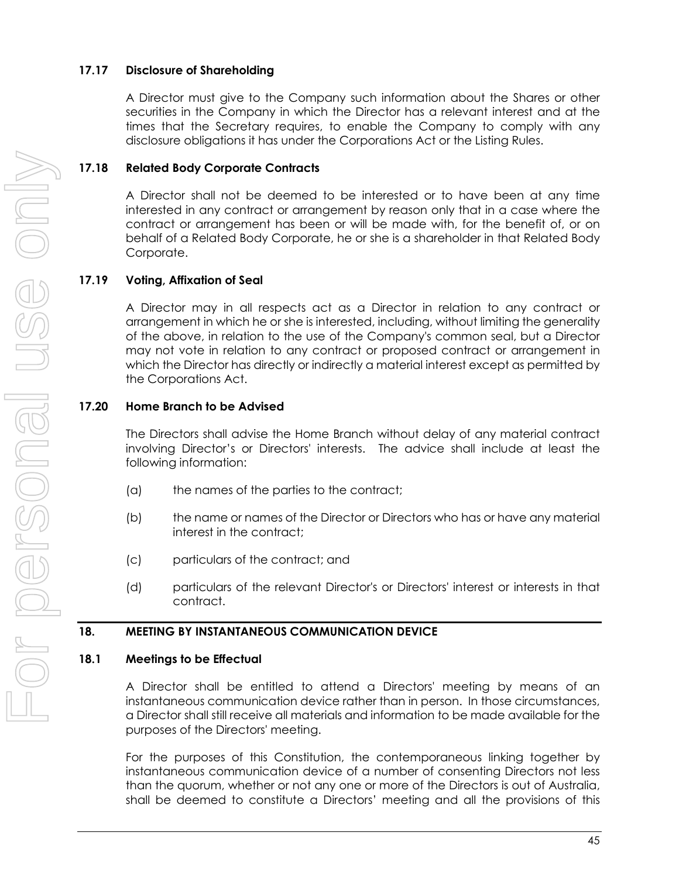### **17.17 Disclosure of Shareholding**

A Director must give to the Company such information about the Shares or other securities in the Company in which the Director has a relevant interest and at the times that the Secretary requires, to enable the Company to comply with any disclosure obligations it has under the Corporations Act or the Listing Rules.

### **17.18 Related Body Corporate Contracts**

A Director shall not be deemed to be interested or to have been at any time interested in any contract or arrangement by reason only that in a case where the contract or arrangement has been or will be made with, for the benefit of, or on behalf of a Related Body Corporate, he or she is a shareholder in that Related Body Corporate.

### **17.19 Voting, Affixation of Seal**

A Director may in all respects act as a Director in relation to any contract or arrangement in which he or she is interested, including, without limiting the generality of the above, in relation to the use of the Company's common seal, but a Director may not vote in relation to any contract or proposed contract or arrangement in which the Director has directly or indirectly a material interest except as permitted by the Corporations Act.

### **17.20 Home Branch to be Advised**

The Directors shall advise the Home Branch without delay of any material contract involving Director's or Directors' interests. The advice shall include at least the following information:

- (a) the names of the parties to the contract;
- (b) the name or names of the Director or Directors who has or have any material interest in the contract;
- (c) particulars of the contract; and
- (d) particulars of the relevant Director's or Directors' interest or interests in that contract.

#### **18. MEETING BY INSTANTANEOUS COMMUNICATION DEVICE**

#### <span id="page-52-0"></span>**18.1 Meetings to be Effectual**

A Director shall be entitled to attend a Directors' meeting by means of an instantaneous communication device rather than in person. In those circumstances, a Director shall still receive all materials and information to be made available for the purposes of the Directors' meeting.

For the purposes of this Constitution, the contemporaneous linking together by instantaneous communication device of a number of consenting Directors not less than the quorum, whether or not any one or more of the Directors is out of Australia, shall be deemed to constitute a Directors' meeting and all the provisions of this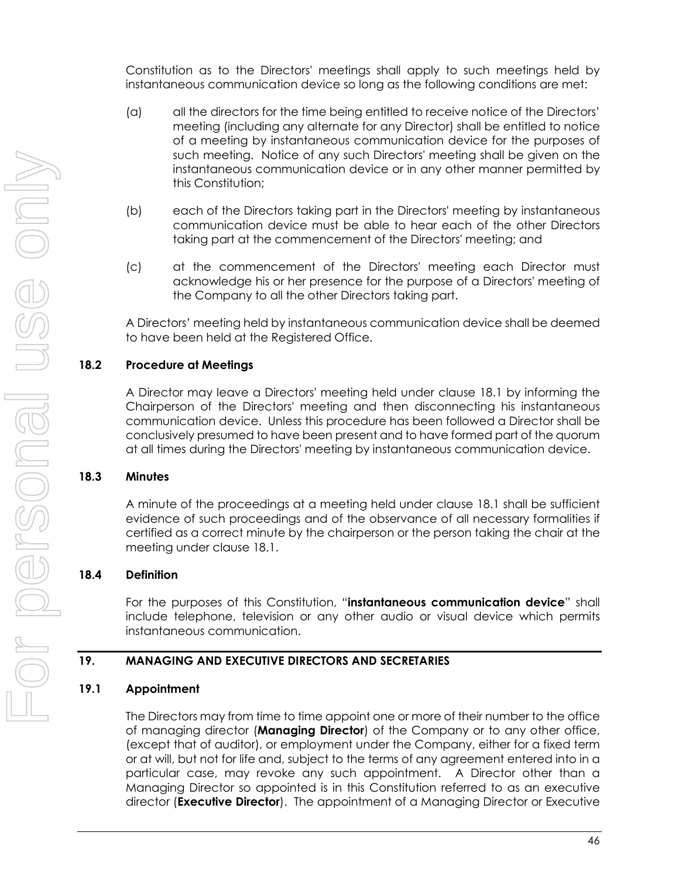Constitution as to the Directors' meetings shall apply to such meetings held by instantaneous communication device so long as the following conditions are met:

- (a) all the directors for the time being entitled to receive notice of the Directors' meeting (including any alternate for any Director) shall be entitled to notice of a meeting by instantaneous communication device for the purposes of such meeting. Notice of any such Directors' meeting shall be given on the instantaneous communication device or in any other manner permitted by this Constitution;
- (b) each of the Directors taking part in the Directors' meeting by instantaneous communication device must be able to hear each of the other Directors taking part at the commencement of the Directors' meeting; and
- (c) at the commencement of the Directors' meeting each Director must acknowledge his or her presence for the purpose of a Directors' meeting of the Company to all the other Directors taking part.

A Directors' meeting held by instantaneous communication device shall be deemed to have been held at the Registered Office.

### **18.2 Procedure at Meetings**

A Director may leave a Directors' meeting held under clause [18.1](#page-52-0) by informing the Chairperson of the Directors' meeting and then disconnecting his instantaneous communication device. Unless this procedure has been followed a Director shall be conclusively presumed to have been present and to have formed part of the quorum at all times during the Directors' meeting by instantaneous communication device.

#### **18.3 Minutes**

A minute of the proceedings at a meeting held under clause [18.1](#page-52-0) shall be sufficient evidence of such proceedings and of the observance of all necessary formalities if certified as a correct minute by the chairperson or the person taking the chair at the meeting under clause [18.1.](#page-52-0)

#### **18.4 Definition**

For the purposes of this Constitution, "**instantaneous communication device**" shall include telephone, television or any other audio or visual device which permits instantaneous communication.

#### **19. MANAGING AND EXECUTIVE DIRECTORS AND SECRETARIES**

#### **19.1 Appointment**

The Directors may from time to time appoint one or more of their number to the office of managing director (**Managing Director**) of the Company or to any other office, (except that of auditor), or employment under the Company, either for a fixed term or at will, but not for life and, subject to the terms of any agreement entered into in a particular case, may revoke any such appointment. A Director other than a Managing Director so appointed is in this Constitution referred to as an executive director (**Executive Director**). The appointment of a Managing Director or Executive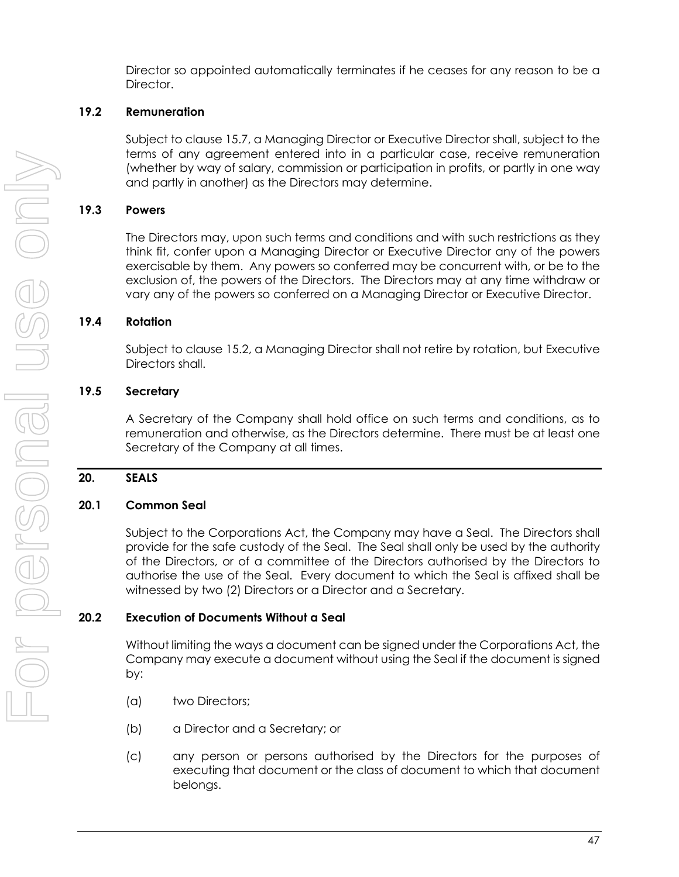Director so appointed automatically terminates if he ceases for any reason to be a Director.

### **19.2 Remuneration**

Subject to clause [15.7,](#page-46-1) a Managing Director or Executive Director shall, subject to the terms of any agreement entered into in a particular case, receive remuneration (whether by way of salary, commission or participation in profits, or partly in one way and partly in another) as the Directors may determine.

## **19.3 Powers**

The Directors may, upon such terms and conditions and with such restrictions as they think fit, confer upon a Managing Director or Executive Director any of the powers exercisable by them. Any powers so conferred may be concurrent with, or be to the exclusion of, the powers of the Directors. The Directors may at any time withdraw or vary any of the powers so conferred on a Managing Director or Executive Director.

## <span id="page-54-0"></span>**19.4 Rotation**

Subject to claus[e 15.2,](#page-44-0) a Managing Director shall not retire by rotation, but Executive Directors shall.

## **19.5 Secretary**

A Secretary of the Company shall hold office on such terms and conditions, as to remuneration and otherwise, as the Directors determine. There must be at least one Secretary of the Company at all times.

# **20. SEALS**

### <span id="page-54-1"></span>**20.1 Common Seal**

Subject to the Corporations Act, the Company may have a Seal. The Directors shall provide for the safe custody of the Seal. The Seal shall only be used by the authority of the Directors, or of a committee of the Directors authorised by the Directors to authorise the use of the Seal. Every document to which the Seal is affixed shall be witnessed by two (2) Directors or a Director and a Secretary.

## **20.2 Execution of Documents Without a Seal**

Without limiting the ways a document can be signed under the Corporations Act, the Company may execute a document without using the Seal if the document is signed by:

- (a) two Directors;
- (b) a Director and a Secretary; or
- (c) any person or persons authorised by the Directors for the purposes of executing that document or the class of document to which that document belongs.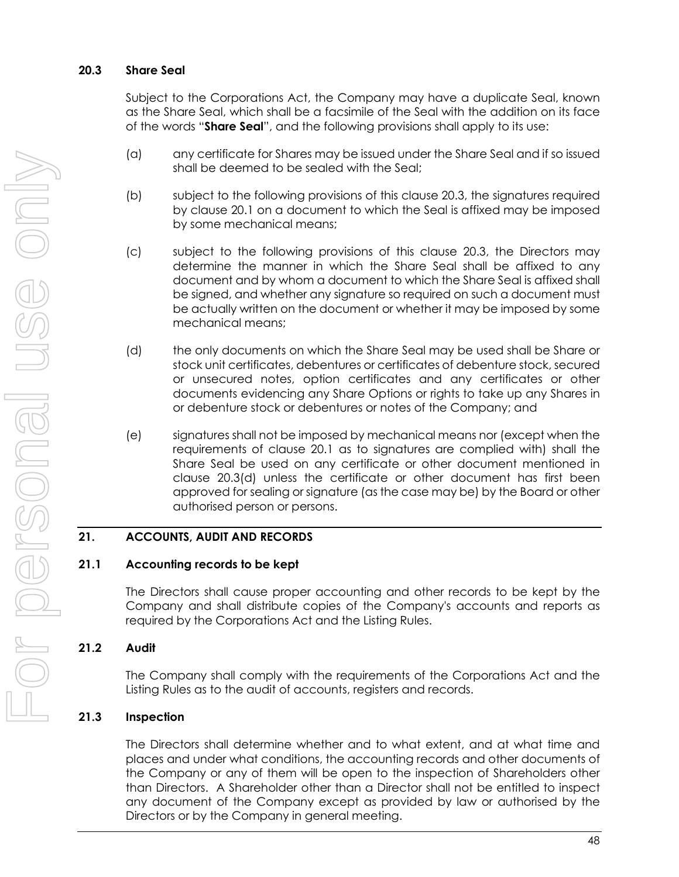#### <span id="page-55-0"></span>**20.3 Share Seal**

Subject to the Corporations Act, the Company may have a duplicate Seal, known as the Share Seal, which shall be a facsimile of the Seal with the addition on its face of the words "**Share Seal**", and the following provisions shall apply to its use:

- (a) any certificate for Shares may be issued under the Share Seal and if so issued shall be deemed to be sealed with the Seal;
- (b) subject to the following provisions of this clause [20.3,](#page-55-0) the signatures required by clause [20.1](#page-54-1) on a document to which the Seal is affixed may be imposed by some mechanical means;
- (c) subject to the following provisions of this clause [20.3,](#page-55-0) the Directors may determine the manner in which the Share Seal shall be affixed to any document and by whom a document to which the Share Seal is affixed shall be signed, and whether any signature so required on such a document must be actually written on the document or whether it may be imposed by some mechanical means;
- <span id="page-55-1"></span>(d) the only documents on which the Share Seal may be used shall be Share or stock unit certificates, debentures or certificates of debenture stock, secured or unsecured notes, option certificates and any certificates or other documents evidencing any Share Options or rights to take up any Shares in or debenture stock or debentures or notes of the Company; and
- (e) signatures shall not be imposed by mechanical means nor (except when the requirements of clause [20.1](#page-54-1) as to signatures are complied with) shall the Share Seal be used on any certificate or other document mentioned in clause [20.3](#page-55-0)[\(d\)](#page-55-1) unless the certificate or other document has first been approved for sealing or signature (as the case may be) by the Board or other authorised person or persons.

#### **21. ACCOUNTS, AUDIT AND RECORDS**

#### **21.1 Accounting records to be kept**

The Directors shall cause proper accounting and other records to be kept by the Company and shall distribute copies of the Company's accounts and reports as required by the Corporations Act and the Listing Rules.

#### **21.2 Audit**

The Company shall comply with the requirements of the Corporations Act and the Listing Rules as to the audit of accounts, registers and records.

#### **21.3 Inspection**

The Directors shall determine whether and to what extent, and at what time and places and under what conditions, the accounting records and other documents of the Company or any of them will be open to the inspection of Shareholders other than Directors. A Shareholder other than a Director shall not be entitled to inspect any document of the Company except as provided by law or authorised by the Directors or by the Company in general meeting.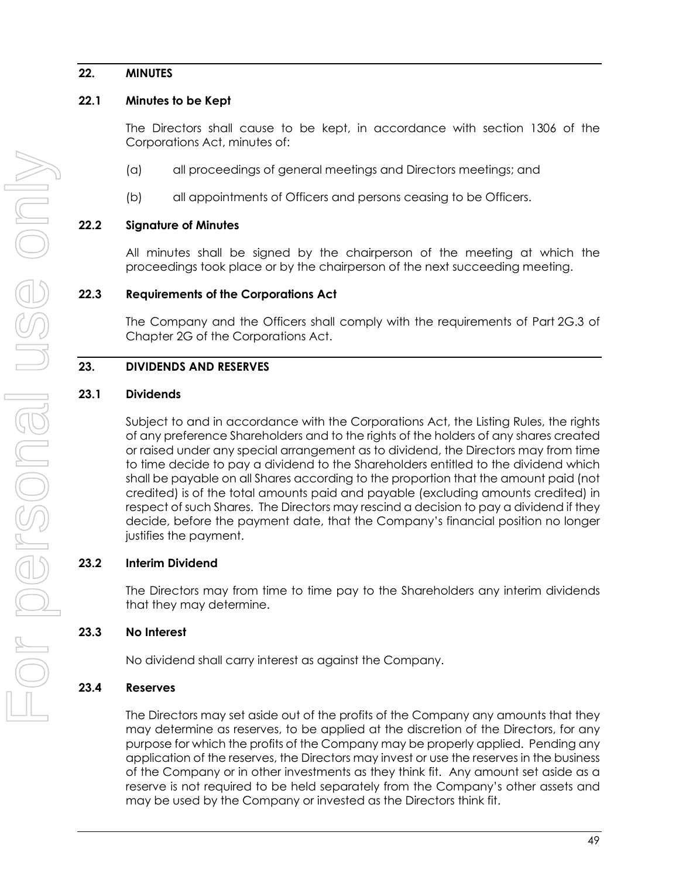#### **22. MINUTES**

#### **22.1 Minutes to be Kept**

The Directors shall cause to be kept, in accordance with section 1306 of the Corporations Act, minutes of:

- (a) all proceedings of general meetings and Directors meetings; and
- (b) all appointments of Officers and persons ceasing to be Officers.

#### **22.2 Signature of Minutes**

All minutes shall be signed by the chairperson of the meeting at which the proceedings took place or by the chairperson of the next succeeding meeting.

#### **22.3 Requirements of the Corporations Act**

The Company and the Officers shall comply with the requirements of Part 2G.3 of Chapter 2G of the Corporations Act.

#### <span id="page-56-0"></span>**23. DIVIDENDS AND RESERVES**

#### **23.1 Dividends**

Subject to and in accordance with the Corporations Act, the Listing Rules, the rights of any preference Shareholders and to the rights of the holders of any shares created or raised under any special arrangement as to dividend, the Directors may from time to time decide to pay a dividend to the Shareholders entitled to the dividend which shall be payable on all Shares according to the proportion that the amount paid (not credited) is of the total amounts paid and payable (excluding amounts credited) in respect of such Shares. The Directors may rescind a decision to pay a dividend if they decide, before the payment date, that the Company's financial position no longer justifies the payment.

#### **23.2 Interim Dividend**

The Directors may from time to time pay to the Shareholders any interim dividends that they may determine.

#### **23.3 No Interest**

No dividend shall carry interest as against the Company.

#### **23.4 Reserves**

The Directors may set aside out of the profits of the Company any amounts that they may determine as reserves, to be applied at the discretion of the Directors, for any purpose for which the profits of the Company may be properly applied. Pending any application of the reserves, the Directors may invest or use the reserves in the business of the Company or in other investments as they think fit. Any amount set aside as a reserve is not required to be held separately from the Company's other assets and may be used by the Company or invested as the Directors think fit.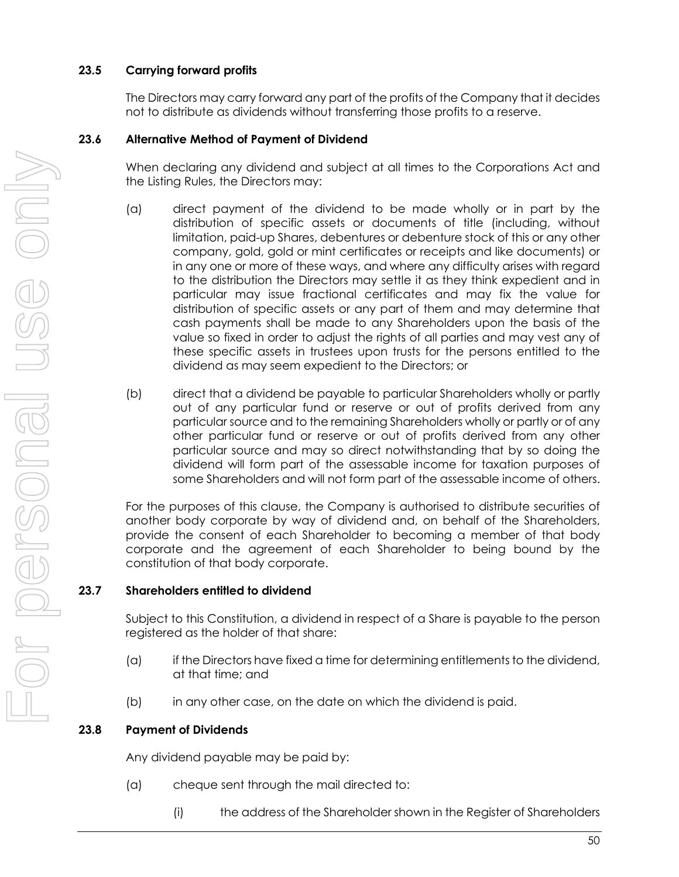### **23.5 Carrying forward profits**

The Directors may carry forward any part of the profits of the Company that it decides not to distribute as dividends without transferring those profits to a reserve.

### **23.6 Alternative Method of Payment of Dividend**

When declaring any dividend and subject at all times to the Corporations Act and the Listing Rules, the Directors may:

- (a) direct payment of the dividend to be made wholly or in part by the distribution of specific assets or documents of title (including, without limitation, paid-up Shares, debentures or debenture stock of this or any other company, gold, gold or mint certificates or receipts and like documents) or in any one or more of these ways, and where any difficulty arises with regard to the distribution the Directors may settle it as they think expedient and in particular may issue fractional certificates and may fix the value for distribution of specific assets or any part of them and may determine that cash payments shall be made to any Shareholders upon the basis of the value so fixed in order to adjust the rights of all parties and may vest any of these specific assets in trustees upon trusts for the persons entitled to the dividend as may seem expedient to the Directors; or
- (b) direct that a dividend be payable to particular Shareholders wholly or partly out of any particular fund or reserve or out of profits derived from any particular source and to the remaining Shareholders wholly or partly or of any other particular fund or reserve or out of profits derived from any other particular source and may so direct notwithstanding that by so doing the dividend will form part of the assessable income for taxation purposes of some Shareholders and will not form part of the assessable income of others.

For the purposes of this clause, the Company is authorised to distribute securities of another body corporate by way of dividend and, on behalf of the Shareholders, provide the consent of each Shareholder to becoming a member of that body corporate and the agreement of each Shareholder to being bound by the constitution of that body corporate.

#### **23.7 Shareholders entitled to dividend**

Subject to this Constitution, a dividend in respect of a Share is payable to the person registered as the holder of that share:

- (a) if the Directors have fixed a time for determining entitlements to the dividend, at that time; and
- (b) in any other case, on the date on which the dividend is paid.

### **23.8 Payment of Dividends**

Any dividend payable may be paid by:

- (a) cheque sent through the mail directed to:
	- (i) the address of the Shareholder shown in the Register of Shareholders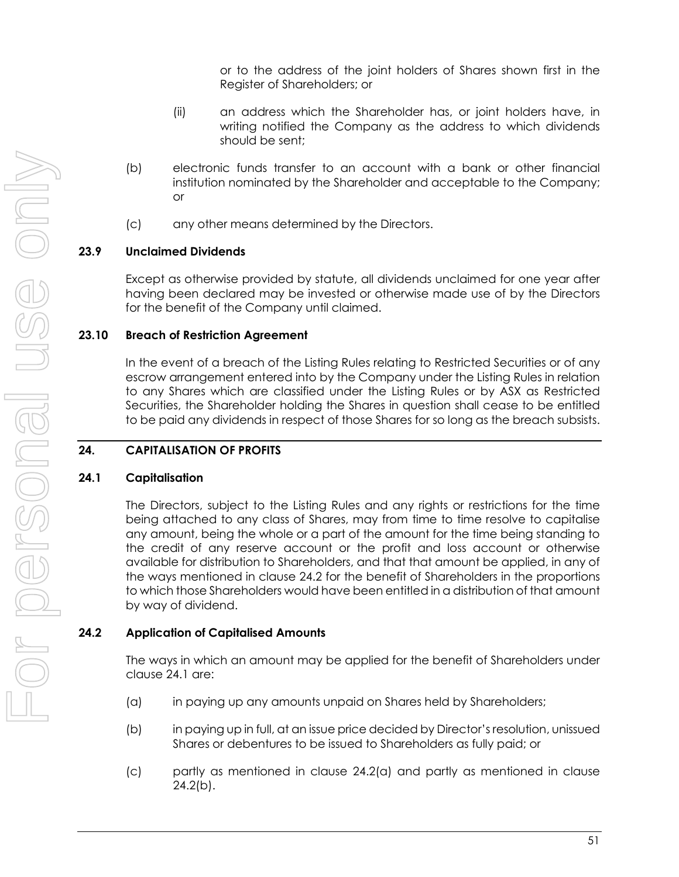or to the address of the joint holders of Shares shown first in the Register of Shareholders; or

- (ii) an address which the Shareholder has, or joint holders have, in writing notified the Company as the address to which dividends should be sent;
- (b) electronic funds transfer to an account with a bank or other financial institution nominated by the Shareholder and acceptable to the Company; or
- (c) any other means determined by the Directors.

### **23.9 Unclaimed Dividends**

Except as otherwise provided by statute, all dividends unclaimed for one year after having been declared may be invested or otherwise made use of by the Directors for the benefit of the Company until claimed.

## **23.10 Breach of Restriction Agreement**

In the event of a breach of the Listing Rules relating to Restricted Securities or of any escrow arrangement entered into by the Company under the Listing Rules in relation to any Shares which are classified under the Listing Rules or by ASX as Restricted Securities, the Shareholder holding the Shares in question shall cease to be entitled to be paid any dividends in respect of those Shares for so long as the breach subsists.

### **24. CAPITALISATION OF PROFITS**

### <span id="page-58-1"></span>**24.1 Capitalisation**

The Directors, subject to the Listing Rules and any rights or restrictions for the time being attached to any class of Shares, may from time to time resolve to capitalise any amount, being the whole or a part of the amount for the time being standing to the credit of any reserve account or the profit and loss account or otherwise available for distribution to Shareholders, and that that amount be applied, in any of the ways mentioned in clause [24.2](#page-58-0) for the benefit of Shareholders in the proportions to which those Shareholders would have been entitled in a distribution of that amount by way of dividend.

## <span id="page-58-0"></span>**24.2 Application of Capitalised Amounts**

The ways in which an amount may be applied for the benefit of Shareholders under claus[e 24.1](#page-58-1) are:

- <span id="page-58-2"></span>(a) in paying up any amounts unpaid on Shares held by Shareholders;
- <span id="page-58-3"></span>(b) in paying up in full, at an issue price decided by Director's resolution, unissued Shares or debentures to be issued to Shareholders as fully paid; or
- (c) partly as mentioned in clause [24.2\(a\)](#page-58-2) and partly as mentioned in clause [24.2\(b\).](#page-58-3)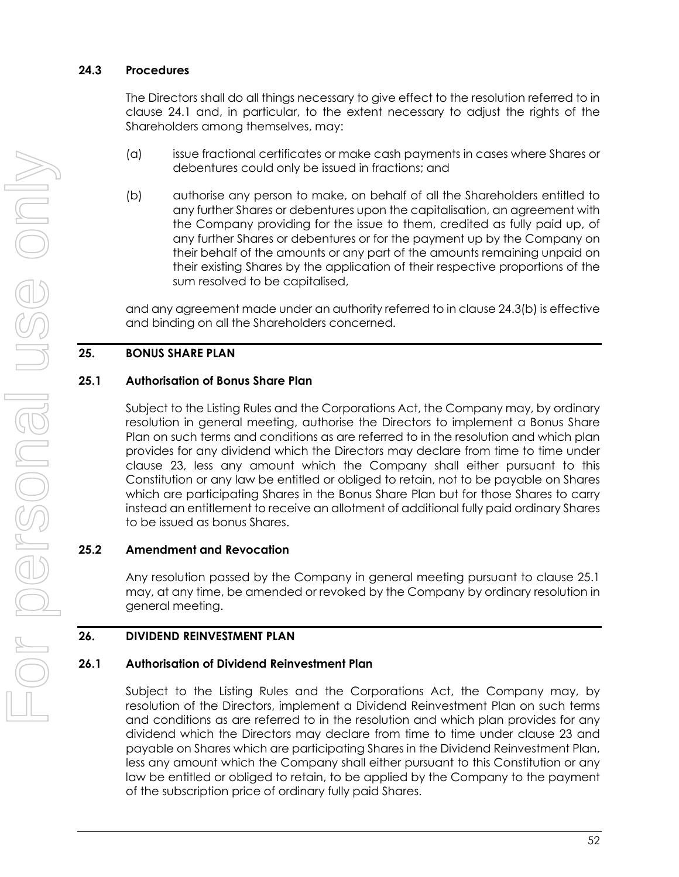#### **24.3 Procedures**

The Directors shall do all things necessary to give effect to the resolution referred to in clause [24.1](#page-58-1) and, in particular, to the extent necessary to adjust the rights of the Shareholders among themselves, may:

- (a) issue fractional certificates or make cash payments in cases where Shares or debentures could only be issued in fractions; and
- <span id="page-59-0"></span>(b) authorise any person to make, on behalf of all the Shareholders entitled to any further Shares or debentures upon the capitalisation, an agreement with the Company providing for the issue to them, credited as fully paid up, of any further Shares or debentures or for the payment up by the Company on their behalf of the amounts or any part of the amounts remaining unpaid on their existing Shares by the application of their respective proportions of the sum resolved to be capitalised,

and any agreement made under an authority referred to in clause [24.3\(b\)](#page-59-0) is effective and binding on all the Shareholders concerned.

### **25. BONUS SHARE PLAN**

### <span id="page-59-1"></span>**25.1 Authorisation of Bonus Share Plan**

Subject to the Listing Rules and the Corporations Act, the Company may, by ordinary resolution in general meeting, authorise the Directors to implement a Bonus Share Plan on such terms and conditions as are referred to in the resolution and which plan provides for any dividend which the Directors may declare from time to time under clause [23,](#page-56-0) less any amount which the Company shall either pursuant to this Constitution or any law be entitled or obliged to retain, not to be payable on Shares which are participating Shares in the Bonus Share Plan but for those Shares to carry instead an entitlement to receive an allotment of additional fully paid ordinary Shares to be issued as bonus Shares.

#### **25.2 Amendment and Revocation**

Any resolution passed by the Company in general meeting pursuant to clause [25.1](#page-59-1) may, at any time, be amended or revoked by the Company by ordinary resolution in general meeting.

### **26. DIVIDEND REINVESTMENT PLAN**

### <span id="page-59-2"></span>**26.1 Authorisation of Dividend Reinvestment Plan**

Subject to the Listing Rules and the Corporations Act, the Company may, by resolution of the Directors, implement a Dividend Reinvestment Plan on such terms and conditions as are referred to in the resolution and which plan provides for any dividend which the Directors may declare from time to time under clause [23](#page-56-0) and payable on Shares which are participating Shares in the Dividend Reinvestment Plan, less any amount which the Company shall either pursuant to this Constitution or any law be entitled or obliged to retain, to be applied by the Company to the payment of the subscription price of ordinary fully paid Shares.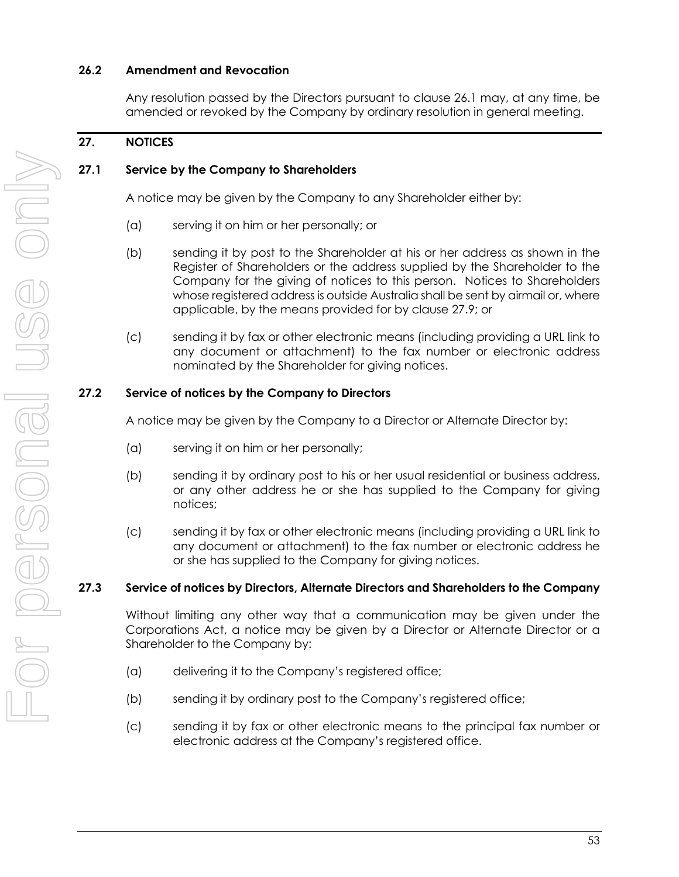### **26.2 Amendment and Revocation**

Any resolution passed by the Directors pursuant to clause [26.1](#page-59-2) may, at any time, be amended or revoked by the Company by ordinary resolution in general meeting.

#### **27. NOTICES**

### **27.1 Service by the Company to Shareholders**

A notice may be given by the Company to any Shareholder either by:

- (a) serving it on him or her personally; or
- (b) sending it by post to the Shareholder at his or her address as shown in the Register of Shareholders or the address supplied by the Shareholder to the Company for the giving of notices to this person. Notices to Shareholders whose registered address is outside Australia shall be sent by airmail or, where applicable, by the means provided for by clause [27.9;](#page-62-0) or
- (c) sending it by fax or other electronic means (including providing a URL link to any document or attachment) to the fax number or electronic address nominated by the Shareholder for giving notices.

#### **27.2 Service of notices by the Company to Directors**

A notice may be given by the Company to a Director or Alternate Director by:

- (a) serving it on him or her personally;
- (b) sending it by ordinary post to his or her usual residential or business address, or any other address he or she has supplied to the Company for giving notices;
- (c) sending it by fax or other electronic means (including providing a URL link to any document or attachment) to the fax number or electronic address he or she has supplied to the Company for giving notices.

#### **27.3 Service of notices by Directors, Alternate Directors and Shareholders to the Company**

Without limiting any other way that a communication may be given under the Corporations Act, a notice may be given by a Director or Alternate Director or a Shareholder to the Company by:

- (a) delivering it to the Company's registered office;
- (b) sending it by ordinary post to the Company's registered office;
- (c) sending it by fax or other electronic means to the principal fax number or electronic address at the Company's registered office.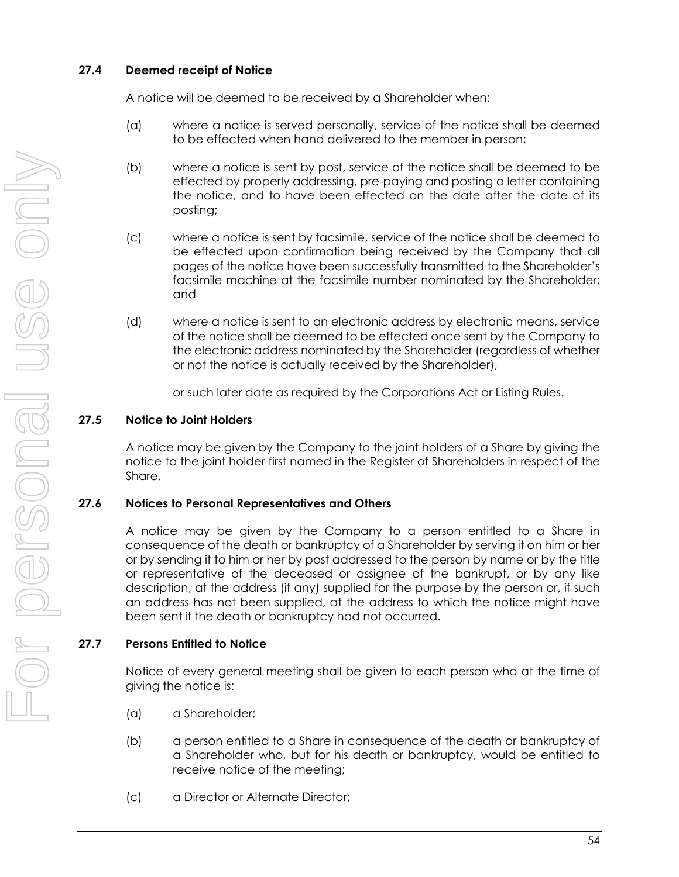### **27.4 Deemed receipt of Notice**

A notice will be deemed to be received by a Shareholder when:

- (a) where a notice is served personally, service of the notice shall be deemed to be effected when hand delivered to the member in person;
- (b) where a notice is sent by post, service of the notice shall be deemed to be effected by properly addressing, pre-paying and posting a letter containing the notice, and to have been effected on the date after the date of its posting;
- (c) where a notice is sent by facsimile, service of the notice shall be deemed to be effected upon confirmation being received by the Company that all pages of the notice have been successfully transmitted to the Shareholder's facsimile machine at the facsimile number nominated by the Shareholder; and
- (d) where a notice is sent to an electronic address by electronic means, service of the notice shall be deemed to be effected once sent by the Company to the electronic address nominated by the Shareholder (regardless of whether or not the notice is actually received by the Shareholder),

or such later date as required by the Corporations Act or Listing Rules.

### **27.5 Notice to Joint Holders**

A notice may be given by the Company to the joint holders of a Share by giving the notice to the joint holder first named in the Register of Shareholders in respect of the Share.

#### **27.6 Notices to Personal Representatives and Others**

A notice may be given by the Company to a person entitled to a Share in consequence of the death or bankruptcy of a Shareholder by serving it on him or her or by sending it to him or her by post addressed to the person by name or by the title or representative of the deceased or assignee of the bankrupt, or by any like description, at the address (if any) supplied for the purpose by the person or, if such an address has not been supplied, at the address to which the notice might have been sent if the death or bankruptcy had not occurred.

#### **27.7 Persons Entitled to Notice**

Notice of every general meeting shall be given to each person who at the time of giving the notice is:

- (a) a Shareholder;
- (b) a person entitled to a Share in consequence of the death or bankruptcy of a Shareholder who, but for his death or bankruptcy, would be entitled to receive notice of the meeting;
- (c) a Director or Alternate Director;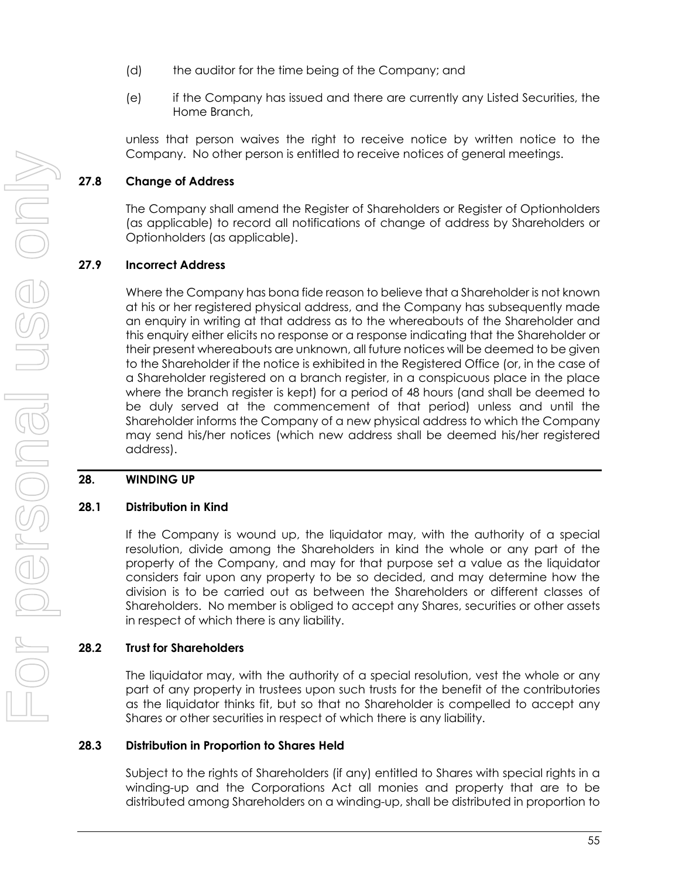- (d) the auditor for the time being of the Company; and
- (e) if the Company has issued and there are currently any Listed Securities, the Home Branch,

unless that person waives the right to receive notice by written notice to the Company. No other person is entitled to receive notices of general meetings.

### **27.8 Change of Address**

The Company shall amend the Register of Shareholders or Register of Optionholders (as applicable) to record all notifications of change of address by Shareholders or Optionholders (as applicable).

### <span id="page-62-0"></span>**27.9 Incorrect Address**

Where the Company has bona fide reason to believe that a Shareholder is not known at his or her registered physical address, and the Company has subsequently made an enquiry in writing at that address as to the whereabouts of the Shareholder and this enquiry either elicits no response or a response indicating that the Shareholder or their present whereabouts are unknown, all future notices will be deemed to be given to the Shareholder if the notice is exhibited in the Registered Office (or, in the case of a Shareholder registered on a branch register, in a conspicuous place in the place where the branch register is kept) for a period of 48 hours (and shall be deemed to be duly served at the commencement of that period) unless and until the Shareholder informs the Company of a new physical address to which the Company may send his/her notices (which new address shall be deemed his/her registered address).

## **28. WINDING UP**

### **28.1 Distribution in Kind**

If the Company is wound up, the liquidator may, with the authority of a special resolution, divide among the Shareholders in kind the whole or any part of the property of the Company, and may for that purpose set a value as the liquidator considers fair upon any property to be so decided, and may determine how the division is to be carried out as between the Shareholders or different classes of Shareholders. No member is obliged to accept any Shares, securities or other assets in respect of which there is any liability.

## **28.2 Trust for Shareholders**

The liquidator may, with the authority of a special resolution, vest the whole or any part of any property in trustees upon such trusts for the benefit of the contributories as the liquidator thinks fit, but so that no Shareholder is compelled to accept any Shares or other securities in respect of which there is any liability.

## **28.3 Distribution in Proportion to Shares Held**

Subject to the rights of Shareholders (if any) entitled to Shares with special rights in a winding-up and the Corporations Act all monies and property that are to be distributed among Shareholders on a winding-up, shall be distributed in proportion to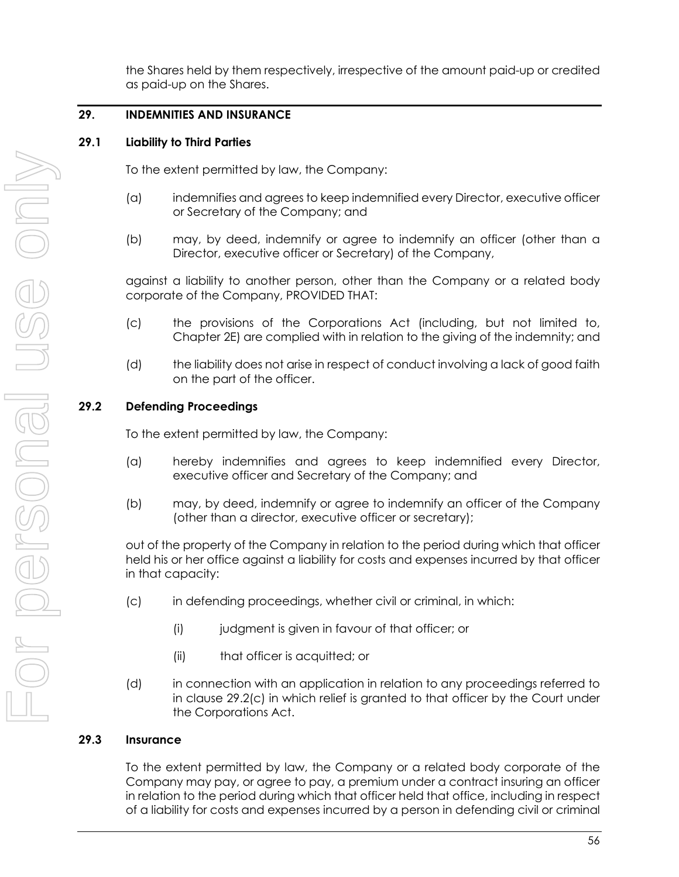the Shares held by them respectively, irrespective of the amount paid-up or credited as paid-up on the Shares.

#### <span id="page-63-1"></span>**29. INDEMNITIES AND INSURANCE**

#### **29.1 Liability to Third Parties**

To the extent permitted by law, the Company:

- (a) indemnifies and agrees to keep indemnified every Director, executive officer or Secretary of the Company; and
- (b) may, by deed, indemnify or agree to indemnify an officer (other than a Director, executive officer or Secretary) of the Company,

against a liability to another person, other than the Company or a related body corporate of the Company, PROVIDED THAT:

- (c) the provisions of the Corporations Act (including, but not limited to, Chapter 2E) are complied with in relation to the giving of the indemnity; and
- (d) the liability does not arise in respect of conduct involving a lack of good faith on the part of the officer.

### **29.2 Defending Proceedings**

To the extent permitted by law, the Company:

- (a) hereby indemnifies and agrees to keep indemnified every Director, executive officer and Secretary of the Company; and
- (b) may, by deed, indemnify or agree to indemnify an officer of the Company (other than a director, executive officer or secretary);

out of the property of the Company in relation to the period during which that officer held his or her office against a liability for costs and expenses incurred by that officer in that capacity:

- <span id="page-63-0"></span>(c) in defending proceedings, whether civil or criminal, in which:
	- (i) judgment is given in favour of that officer; or
	- (ii) that officer is acquitted; or
- (d) in connection with an application in relation to any proceedings referred to in clause [29.2\(c\)](#page-63-0) in which relief is granted to that officer by the Court under the Corporations Act.

#### **29.3 Insurance**

To the extent permitted by law, the Company or a related body corporate of the Company may pay, or agree to pay, a premium under a contract insuring an officer in relation to the period during which that officer held that office, including in respect of a liability for costs and expenses incurred by a person in defending civil or criminal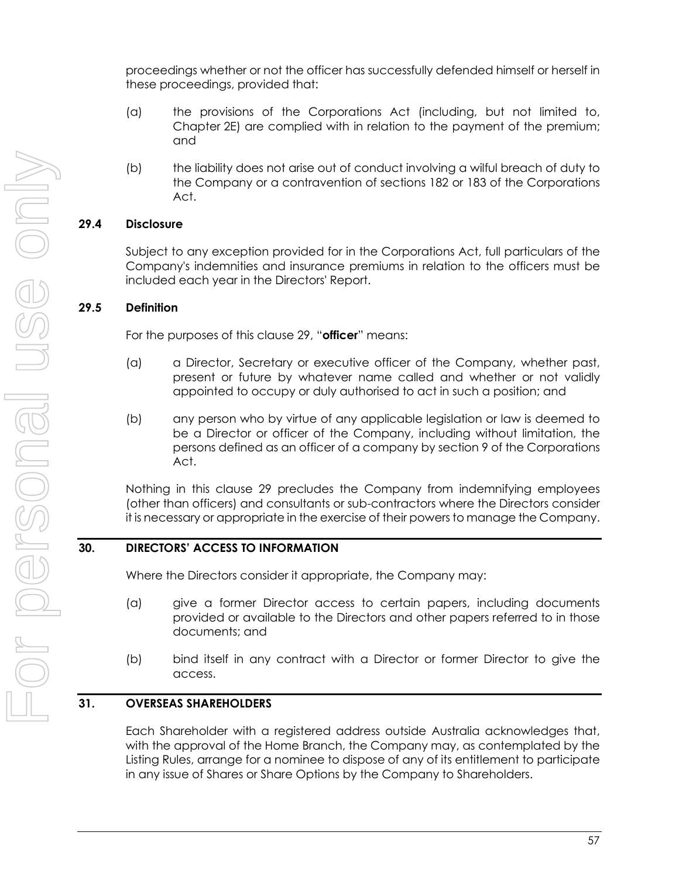proceedings whether or not the officer has successfully defended himself or herself in these proceedings, provided that:

- (a) the provisions of the Corporations Act (including, but not limited to, Chapter 2E) are complied with in relation to the payment of the premium; and
- (b) the liability does not arise out of conduct involving a wilful breach of duty to the Company or a contravention of sections 182 or 183 of the Corporations Act.

### **29.4 Disclosure**

Subject to any exception provided for in the Corporations Act, full particulars of the Company's indemnities and insurance premiums in relation to the officers must be included each year in the Directors' Report.

### **29.5 Definition**

For the purposes of this clause [29,](#page-63-1) "**officer**" means:

- (a) a Director, Secretary or executive officer of the Company, whether past, present or future by whatever name called and whether or not validly appointed to occupy or duly authorised to act in such a position; and
- (b) any person who by virtue of any applicable legislation or law is deemed to be a Director or officer of the Company, including without limitation, the persons defined as an officer of a company by section 9 of the Corporations Act.

Nothing in this clause [29](#page-63-1) precludes the Company from indemnifying employees (other than officers) and consultants or sub-contractors where the Directors consider it is necessary or appropriate in the exercise of their powers to manage the Company.

#### **30. DIRECTORS' ACCESS TO INFORMATION**

Where the Directors consider it appropriate, the Company may:

- (a) give a former Director access to certain papers, including documents provided or available to the Directors and other papers referred to in those documents; and
- (b) bind itself in any contract with a Director or former Director to give the access.

#### **31. OVERSEAS SHAREHOLDERS**

Each Shareholder with a registered address outside Australia acknowledges that, with the approval of the Home Branch, the Company may, as contemplated by the Listing Rules, arrange for a nominee to dispose of any of its entitlement to participate in any issue of Shares or Share Options by the Company to Shareholders.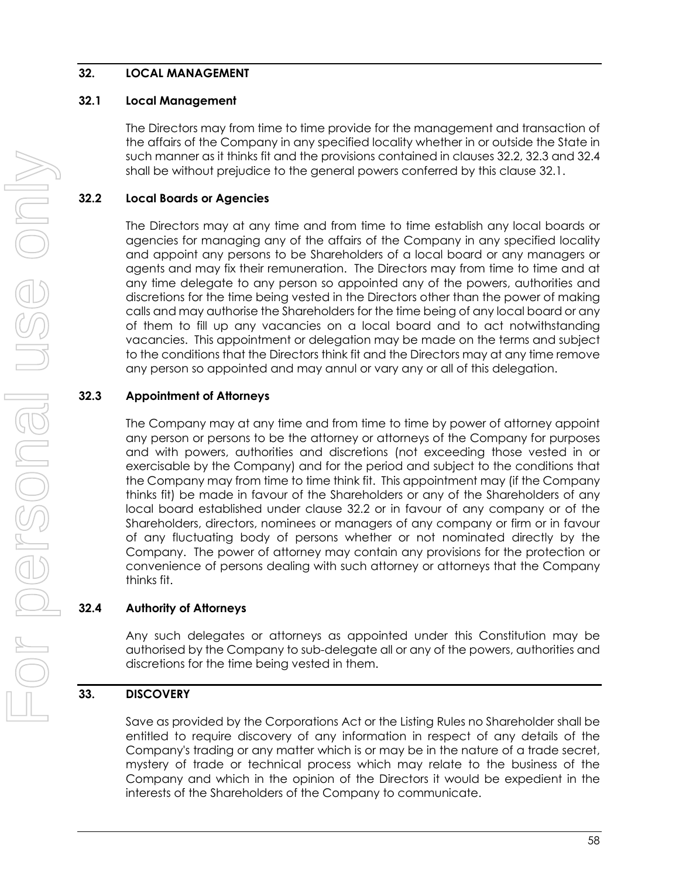### **32. LOCAL MANAGEMENT**

#### <span id="page-65-3"></span>**32.1 Local Management**

The Directors may from time to time provide for the management and transaction of the affairs of the Company in any specified locality whether in or outside the State in such manner as it thinks fit and the provisions contained in clauses [32.2,](#page-65-0) [32.3](#page-65-1) an[d 32.4](#page-65-2) shall be without prejudice to the general powers conferred by this clause [32.1.](#page-65-3)

### <span id="page-65-0"></span>**32.2 Local Boards or Agencies**

The Directors may at any time and from time to time establish any local boards or agencies for managing any of the affairs of the Company in any specified locality and appoint any persons to be Shareholders of a local board or any managers or agents and may fix their remuneration. The Directors may from time to time and at any time delegate to any person so appointed any of the powers, authorities and discretions for the time being vested in the Directors other than the power of making calls and may authorise the Shareholders for the time being of any local board or any of them to fill up any vacancies on a local board and to act notwithstanding vacancies. This appointment or delegation may be made on the terms and subject to the conditions that the Directors think fit and the Directors may at any time remove any person so appointed and may annul or vary any or all of this delegation.

### <span id="page-65-1"></span>**32.3 Appointment of Attorneys**

The Company may at any time and from time to time by power of attorney appoint any person or persons to be the attorney or attorneys of the Company for purposes and with powers, authorities and discretions (not exceeding those vested in or exercisable by the Company) and for the period and subject to the conditions that the Company may from time to time think fit. This appointment may (if the Company thinks fit) be made in favour of the Shareholders or any of the Shareholders of any local board established under clause [32.2](#page-65-0) or in favour of any company or of the Shareholders, directors, nominees or managers of any company or firm or in favour of any fluctuating body of persons whether or not nominated directly by the Company. The power of attorney may contain any provisions for the protection or convenience of persons dealing with such attorney or attorneys that the Company thinks fit.

### <span id="page-65-2"></span>**32.4 Authority of Attorneys**

Any such delegates or attorneys as appointed under this Constitution may be authorised by the Company to sub-delegate all or any of the powers, authorities and discretions for the time being vested in them.

## **33. DISCOVERY**

Save as provided by the Corporations Act or the Listing Rules no Shareholder shall be entitled to require discovery of any information in respect of any details of the Company's trading or any matter which is or may be in the nature of a trade secret, mystery of trade or technical process which may relate to the business of the Company and which in the opinion of the Directors it would be expedient in the interests of the Shareholders of the Company to communicate.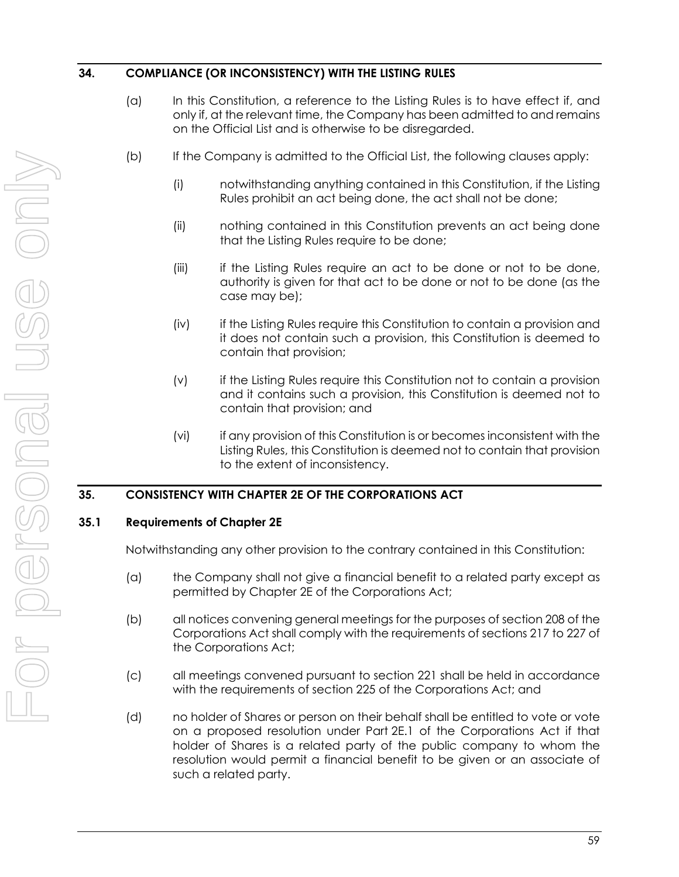### **34. COMPLIANCE (OR INCONSISTENCY) WITH THE LISTING RULES**

- (a) In this Constitution, a reference to the Listing Rules is to have effect if, and only if, at the relevant time, the Company has been admitted to and remains on the Official List and is otherwise to be disregarded.
- (b) If the Company is admitted to the Official List, the following clauses apply:
	- (i) notwithstanding anything contained in this Constitution, if the Listing Rules prohibit an act being done, the act shall not be done;
	- (ii) nothing contained in this Constitution prevents an act being done that the Listing Rules require to be done;
	- (iii) if the Listing Rules require an act to be done or not to be done, authority is given for that act to be done or not to be done (as the case may be);
	- (iv) if the Listing Rules require this Constitution to contain a provision and it does not contain such a provision, this Constitution is deemed to contain that provision;
	- (v) if the Listing Rules require this Constitution not to contain a provision and it contains such a provision, this Constitution is deemed not to contain that provision; and
	- (vi) if any provision of this Constitution is or becomes inconsistent with the Listing Rules, this Constitution is deemed not to contain that provision to the extent of inconsistency.

### <span id="page-66-0"></span>**35. CONSISTENCY WITH CHAPTER 2E OF THE CORPORATIONS ACT**

#### **35.1 Requirements of Chapter 2E**

Notwithstanding any other provision to the contrary contained in this Constitution:

- (a) the Company shall not give a financial benefit to a related party except as permitted by Chapter 2E of the Corporations Act;
- (b) all notices convening general meetings for the purposes of section 208 of the Corporations Act shall comply with the requirements of sections 217 to 227 of the Corporations Act;
- (c) all meetings convened pursuant to section 221 shall be held in accordance with the requirements of section 225 of the Corporations Act; and
- (d) no holder of Shares or person on their behalf shall be entitled to vote or vote on a proposed resolution under Part 2E.1 of the Corporations Act if that holder of Shares is a related party of the public company to whom the resolution would permit a financial benefit to be given or an associate of such a related party.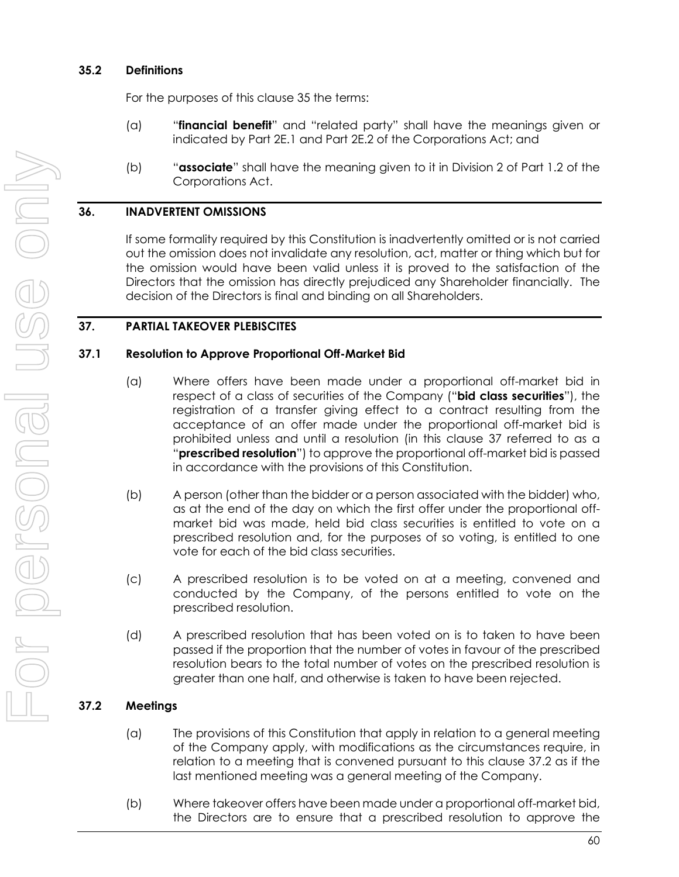### **35.2 Definitions**

For the purposes of this clause [35](#page-66-0) the terms:

- (a) "**financial benefit**" and "related party" shall have the meanings given or indicated by Part 2E.1 and Part 2E.2 of the Corporations Act; and
- (b) "**associate**" shall have the meaning given to it in Division 2 of Part 1.2 of the Corporations Act.

### **36. INADVERTENT OMISSIONS**

If some formality required by this Constitution is inadvertently omitted or is not carried out the omission does not invalidate any resolution, act, matter or thing which but for the omission would have been valid unless it is proved to the satisfaction of the Directors that the omission has directly prejudiced any Shareholder financially. The decision of the Directors is final and binding on all Shareholders.

### <span id="page-67-0"></span>**37. PARTIAL TAKEOVER PLEBISCITES**

### **37.1 Resolution to Approve Proportional Off-Market Bid**

- (a) Where offers have been made under a proportional off-market bid in respect of a class of securities of the Company ("**bid class securities**"), the registration of a transfer giving effect to a contract resulting from the acceptance of an offer made under the proportional off-market bid is prohibited unless and until a resolution (in this clause [37](#page-67-0) referred to as a "**prescribed resolution**") to approve the proportional off-market bid is passed in accordance with the provisions of this Constitution.
- (b) A person (other than the bidder or a person associated with the bidder) who, as at the end of the day on which the first offer under the proportional offmarket bid was made, held bid class securities is entitled to vote on a prescribed resolution and, for the purposes of so voting, is entitled to one vote for each of the bid class securities.
- (c) A prescribed resolution is to be voted on at a meeting, convened and conducted by the Company, of the persons entitled to vote on the prescribed resolution.
- (d) A prescribed resolution that has been voted on is to taken to have been passed if the proportion that the number of votes in favour of the prescribed resolution bears to the total number of votes on the prescribed resolution is greater than one half, and otherwise is taken to have been rejected.

### <span id="page-67-1"></span>**37.2 Meetings**

- (a) The provisions of this Constitution that apply in relation to a general meeting of the Company apply, with modifications as the circumstances require, in relation to a meeting that is convened pursuant to this clause [37.2](#page-67-1) as if the last mentioned meeting was a general meeting of the Company.
- (b) Where takeover offers have been made under a proportional off-market bid, the Directors are to ensure that a prescribed resolution to approve the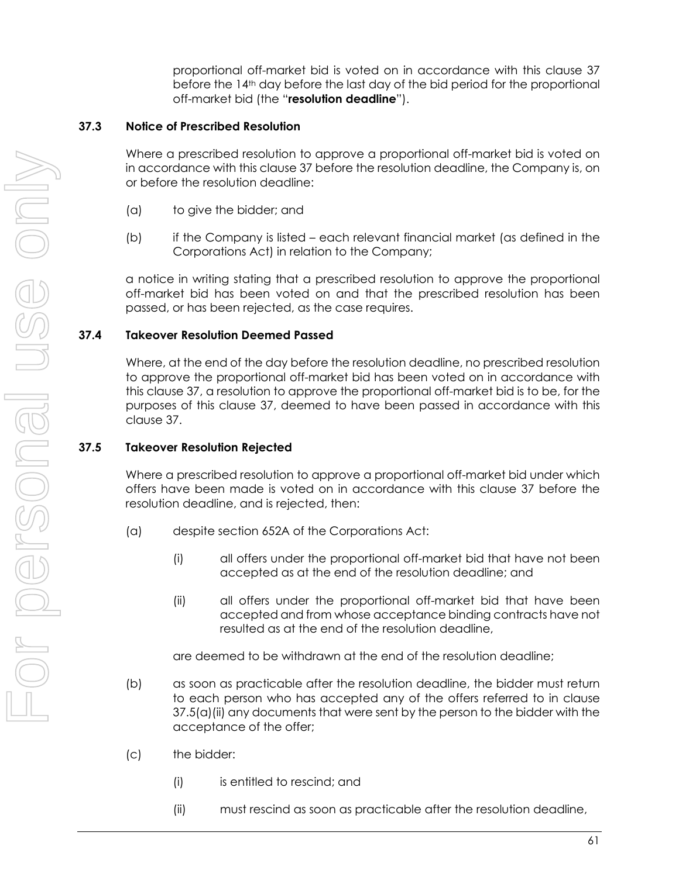proportional off-market bid is voted on in accordance with this clause [37](#page-67-0) before the 14th day before the last day of the bid period for the proportional off-market bid (the "**resolution deadline**").

#### **37.3 Notice of Prescribed Resolution**

Where a prescribed resolution to approve a proportional off-market bid is voted on in accordance with this clause [37](#page-67-0) before the resolution deadline, the Company is, on or before the resolution deadline:

- (a) to give the bidder; and
- (b) if the Company is listed each relevant financial market (as defined in the Corporations Act) in relation to the Company;

a notice in writing stating that a prescribed resolution to approve the proportional off-market bid has been voted on and that the prescribed resolution has been passed, or has been rejected, as the case requires.

#### **37.4 Takeover Resolution Deemed Passed**

Where, at the end of the day before the resolution deadline, no prescribed resolution to approve the proportional off-market bid has been voted on in accordance with this clause [37,](#page-67-0) a resolution to approve the proportional off-market bid is to be, for the purposes of this clause [37,](#page-67-0) deemed to have been passed in accordance with this clause [37.](#page-67-0)

#### **37.5 Takeover Resolution Rejected**

Where a prescribed resolution to approve a proportional off-market bid under which offers have been made is voted on in accordance with this clause [37](#page-67-0) before the resolution deadline, and is rejected, then:

- <span id="page-68-0"></span>(a) despite section 652A of the Corporations Act:
	- (i) all offers under the proportional off-market bid that have not been accepted as at the end of the resolution deadline; and
	- (ii) all offers under the proportional off-market bid that have been accepted and from whose acceptance binding contracts have not resulted as at the end of the resolution deadline,

are deemed to be withdrawn at the end of the resolution deadline;

- (b) as soon as practicable after the resolution deadline, the bidder must return to each person who has accepted any of the offers referred to in clause [37.5\(a\)\(ii\)](#page-68-0) any documents that were sent by the person to the bidder with the acceptance of the offer;
- (c) the bidder:
	- (i) is entitled to rescind; and
	- (ii) must rescind as soon as practicable after the resolution deadline,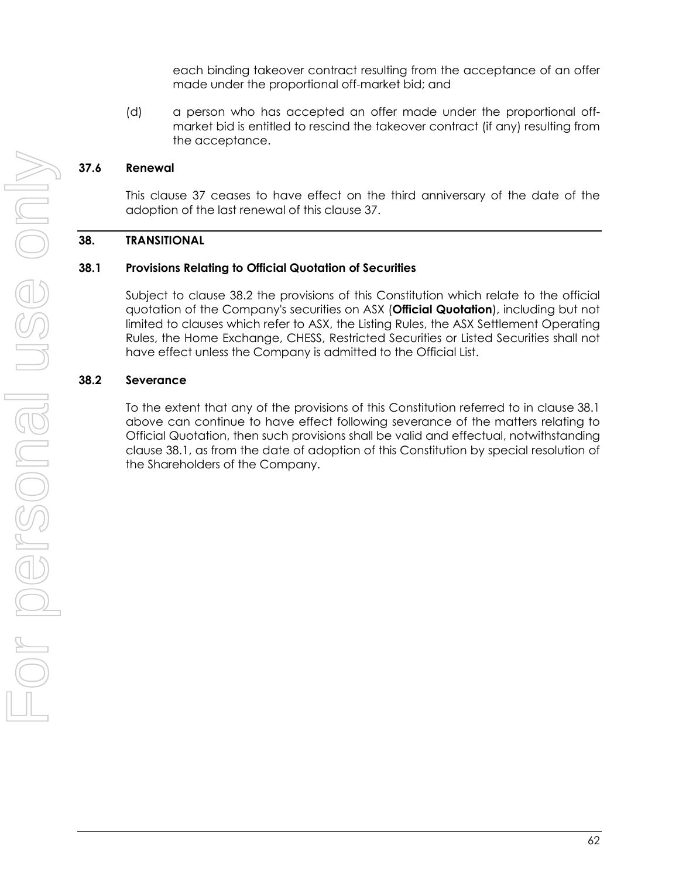each binding takeover contract resulting from the acceptance of an offer made under the proportional off-market bid; and

(d) a person who has accepted an offer made under the proportional offmarket bid is entitled to rescind the takeover contract (if any) resulting from the acceptance.

#### **37.6 Renewal**

This clause [37](#page-67-0) ceases to have effect on the third anniversary of the date of the adoption of the last renewal of this claus[e 37.](#page-67-0)

#### **38. TRANSITIONAL**

#### <span id="page-69-1"></span>**38.1 Provisions Relating to Official Quotation of Securities**

Subject to clause [38.2](#page-69-0) the provisions of this Constitution which relate to the official quotation of the Company's securities on ASX (**Official Quotation**), including but not limited to clauses which refer to ASX, the Listing Rules, the ASX Settlement Operating Rules, the Home Exchange, CHESS, Restricted Securities or Listed Securities shall not have effect unless the Company is admitted to the Official List.

#### <span id="page-69-0"></span>**38.2 Severance**

To the extent that any of the provisions of this Constitution referred to in clause [38.1](#page-69-1) above can continue to have effect following severance of the matters relating to Official Quotation, then such provisions shall be valid and effectual, notwithstanding clause [38.1,](#page-69-1) as from the date of adoption of this Constitution by special resolution of the Shareholders of the Company.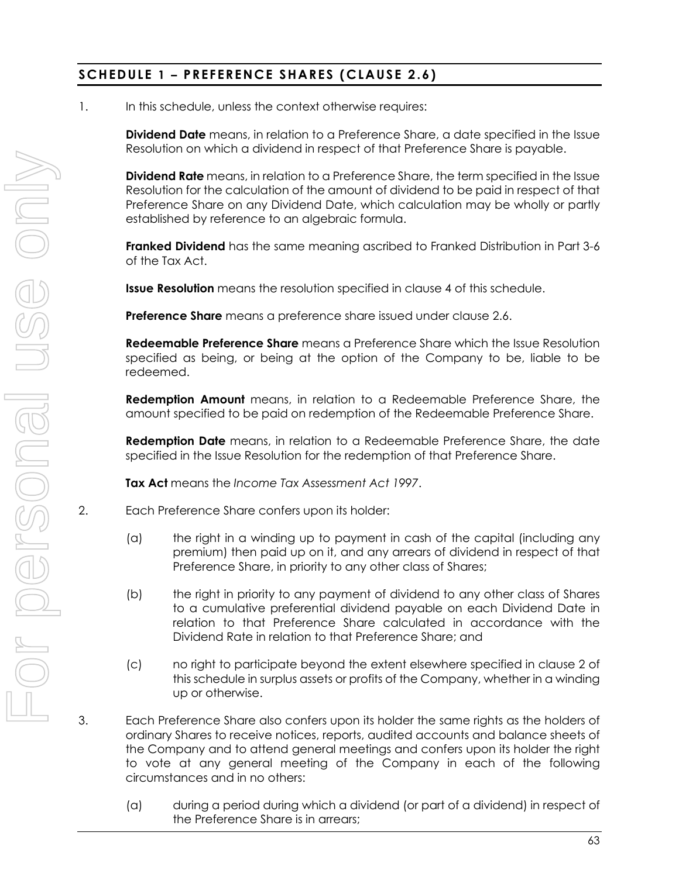# **SCHEDULE 1 – PREFERENCE SHARES (CLAUSE [2.6\)](#page-13-0)**

1. In this schedule, unless the context otherwise requires:

**Dividend Date** means, in relation to a Preference Share, a date specified in the Issue Resolution on which a dividend in respect of that Preference Share is payable.

**Dividend Rate** means, in relation to a Preference Share, the term specified in the Issue Resolution for the calculation of the amount of dividend to be paid in respect of that Preference Share on any Dividend Date, which calculation may be wholly or partly established by reference to an algebraic formula.

**Franked Dividend** has the same meaning ascribed to Franked Distribution in Part 3-6 of the Tax Act.

**Issue Resolution** means the resolution specified in clause [4](#page-71-0) of this schedule.

**Preference Share** means a preference share issued under clause [2.6.](#page-13-0)

**Redeemable Preference Share** means a Preference Share which the Issue Resolution specified as being, or being at the option of the Company to be, liable to be redeemed.

**Redemption Amount** means, in relation to a Redeemable Preference Share, the amount specified to be paid on redemption of the Redeemable Preference Share.

**Redemption Date** means, in relation to a Redeemable Preference Share, the date specified in the Issue Resolution for the redemption of that Preference Share.

**Tax Act** means the *Income Tax Assessment Act 1997*.

- <span id="page-70-0"></span>2. Each Preference Share confers upon its holder:
	- (a) the right in a winding up to payment in cash of the capital (including any premium) then paid up on it, and any arrears of dividend in respect of that Preference Share, in priority to any other class of Shares;
	- (b) the right in priority to any payment of dividend to any other class of Shares to a cumulative preferential dividend payable on each Dividend Date in relation to that Preference Share calculated in accordance with the Dividend Rate in relation to that Preference Share; and
	- (c) no right to participate beyond the extent elsewhere specified in clause [2](#page-70-0) of this schedule in surplus assets or profits of the Company, whether in a winding up or otherwise.
- 3. Each Preference Share also confers upon its holder the same rights as the holders of ordinary Shares to receive notices, reports, audited accounts and balance sheets of the Company and to attend general meetings and confers upon its holder the right to vote at any general meeting of the Company in each of the following circumstances and in no others:
	- (a) during a period during which a dividend (or part of a dividend) in respect of the Preference Share is in arrears;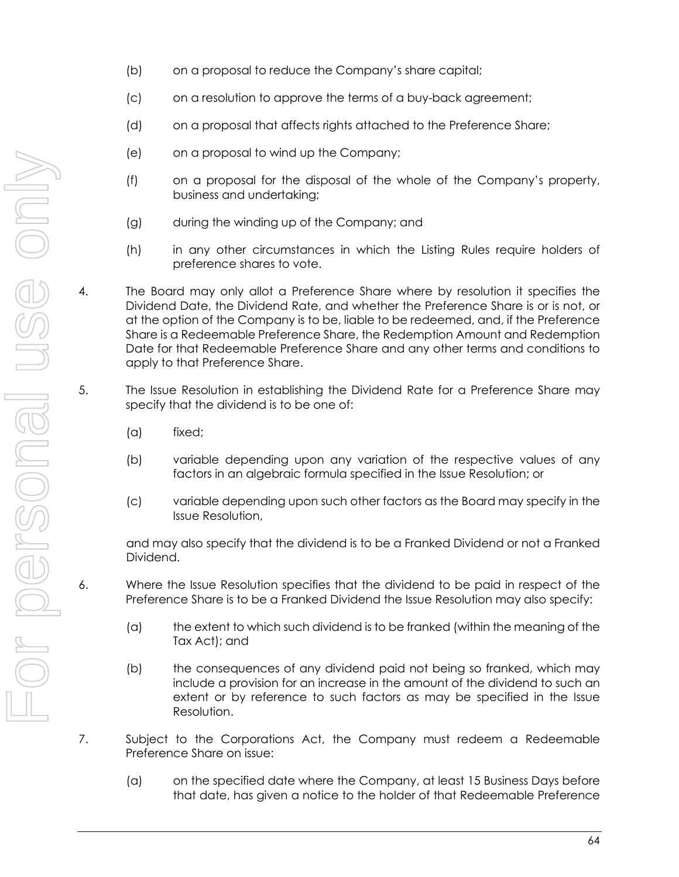- (b) on a proposal to reduce the Company's share capital;
- (c) on a resolution to approve the terms of a buy-back agreement;
- (d) on a proposal that affects rights attached to the Preference Share;
- (e) on a proposal to wind up the Company;
- (f) on a proposal for the disposal of the whole of the Company's property, business and undertaking;
- (g) during the winding up of the Company; and
- (h) in any other circumstances in which the Listing Rules require holders of preference shares to vote.
- <span id="page-71-0"></span>4. The Board may only allot a Preference Share where by resolution it specifies the Dividend Date, the Dividend Rate, and whether the Preference Share is or is not, or at the option of the Company is to be, liable to be redeemed, and, if the Preference Share is a Redeemable Preference Share, the Redemption Amount and Redemption Date for that Redeemable Preference Share and any other terms and conditions to apply to that Preference Share.
- 5. The Issue Resolution in establishing the Dividend Rate for a Preference Share may specify that the dividend is to be one of:
	- (a) fixed;
	- (b) variable depending upon any variation of the respective values of any factors in an algebraic formula specified in the Issue Resolution; or
	- (c) variable depending upon such other factors as the Board may specify in the Issue Resolution,

and may also specify that the dividend is to be a Franked Dividend or not a Franked Dividend.

- 6. Where the Issue Resolution specifies that the dividend to be paid in respect of the Preference Share is to be a Franked Dividend the Issue Resolution may also specify:
	- (a) the extent to which such dividend is to be franked (within the meaning of the Tax Act); and
	- (b) the consequences of any dividend paid not being so franked, which may include a provision for an increase in the amount of the dividend to such an extent or by reference to such factors as may be specified in the Issue Resolution.
- 7. Subject to the Corporations Act, the Company must redeem a Redeemable Preference Share on issue:
	- (a) on the specified date where the Company, at least 15 Business Days before that date, has given a notice to the holder of that Redeemable Preference